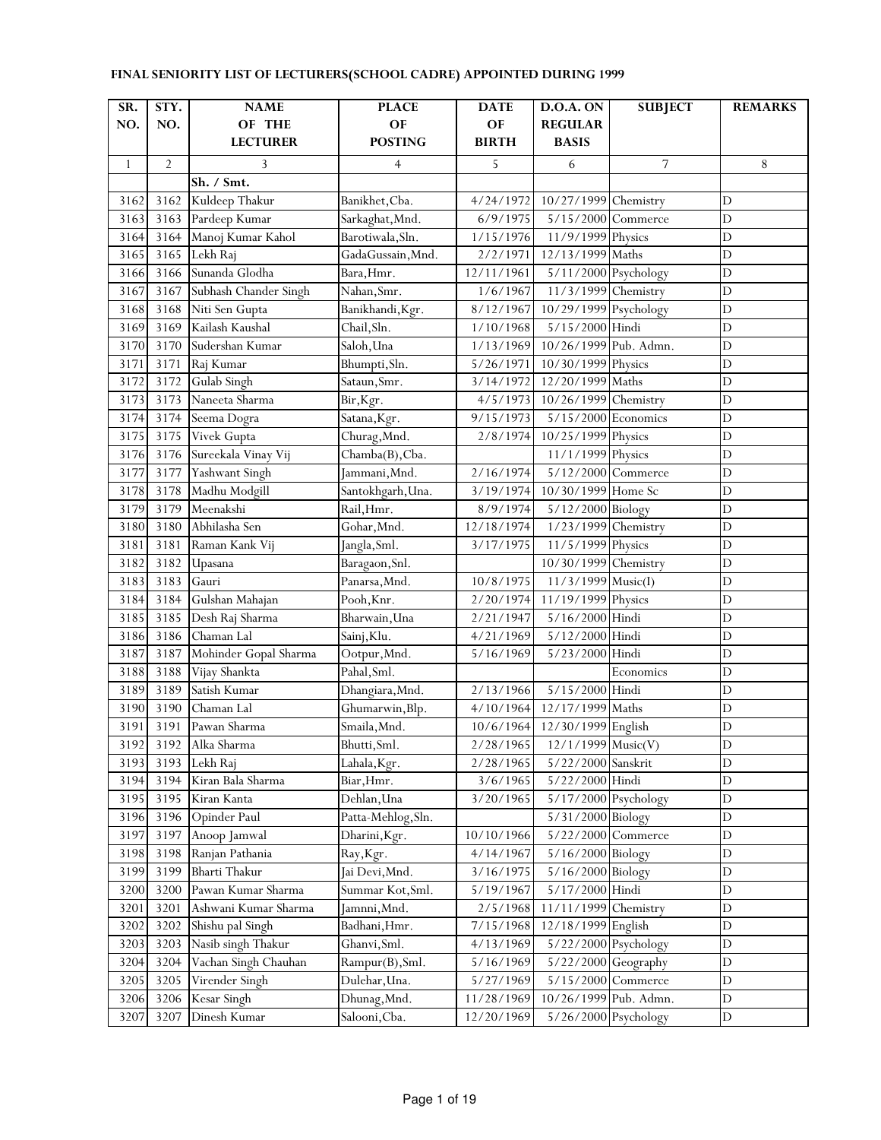| SR.          | STY.           | <b>NAME</b>           | <b>PLACE</b>       | <b>DATE</b>  | <b>D.O.A. ON</b>      | <b>SUBJECT</b>     | <b>REMARKS</b> |
|--------------|----------------|-----------------------|--------------------|--------------|-----------------------|--------------------|----------------|
| NO.          | NO.            | OF THE                | OF                 | OF           | <b>REGULAR</b>        |                    |                |
|              |                | <b>LECTURER</b>       | <b>POSTING</b>     | <b>BIRTH</b> | <b>BASIS</b>          |                    |                |
| $\mathbf{1}$ | $\overline{2}$ | 3                     | 4                  | 5            | 6                     | 7                  | 8              |
|              |                | Sh. / Smt.            |                    |              |                       |                    |                |
| 3162         | 3162           | Kuldeep Thakur        | Banikhet, Cba.     | 4/24/1972    | 10/27/1999 Chemistry  |                    | D              |
| 3163         | 3163           | Pardeep Kumar         | Sarkaghat, Mnd.    | 6/9/1975     | 5/15/2000 Commerce    |                    | $\mathbf D$    |
| 3164         | 3164           | Manoj Kumar Kahol     | Barotiwala, Sln.   | 1/15/1976    | 11/9/1999 Physics     |                    | $\mathbf D$    |
| 3165         | 3165           | Lekh Raj              | GadaGussain, Mnd.  | 2/2/1971     | 12/13/1999 Maths      |                    | D              |
| 3166         | 3166           | Sunanda Glodha        | Bara, Hmr.         | 12/11/1961   | 5/11/2000 Psychology  |                    | $\mathbf D$    |
| 3167         | 3167           | Subhash Chander Singh | Nahan, Smr.        | 1/6/1967     | 11/3/1999 Chemistry   |                    | $\mathbf D$    |
| 3168         | 3168           | Niti Sen Gupta        | Banikhandi, Kgr.   | 8/12/1967    | 10/29/1999 Psychology |                    | $\mathbf D$    |
| 3169         | 3169           | Kailash Kaushal       | Chail, Sln.        | 1/10/1968    | 5/15/2000 Hindi       |                    | D              |
| 3170         | 3170           | Sudershan Kumar       | Saloh, Una         | 1/13/1969    | 10/26/1999 Pub. Admn. |                    | $\overline{D}$ |
| 3171         | 3171           | Raj Kumar             | Bhumpti, Sln.      | 5/26/1971    | 10/30/1999 Physics    |                    | $\mathbf D$    |
| 3172         | 3172           | Gulab Singh           | Sataun, Smr.       | 3/14/1972    | 12/20/1999 Maths      |                    | $\mathbf D$    |
| 3173         | 3173           | Naneeta Sharma        | Bir, Kgr.          | 4/5/1973     | 10/26/1999 Chemistry  |                    | $\mathbf D$    |
| 3174         | 3174           | Seema Dogra           | Satana, Kgr.       | 9/15/1973    | 5/15/2000 Economics   |                    | $\mathbf D$    |
| 3175         | 3175           | Vivek Gupta           | Churag, Mnd.       | 2/8/1974     | 10/25/1999 Physics    |                    | $\mathbf D$    |
| 3176         | 3176           | Sureekala Vinay Vij   | Chamba(B), Cba.    |              | 11/1/1999 Physics     |                    | $\mathbf D$    |
| 3177         | 3177           | Yashwant Singh        | Jammani, Mnd.      | 2/16/1974    | 5/12/2000 Commerce    |                    | $\mathbf D$    |
| 3178         | 3178           | Madhu Modgill         | Santokhgarh, Una.  | 3/19/1974    | 10/30/1999 Home Sc    |                    | $\overline{D}$ |
| 3179         | 3179           | Meenakshi             | Rail, Hmr.         | 8/9/1974     | 5/12/2000 Biology     |                    | $\mathbf D$    |
| 3180         | 3180           | Abhilasha Sen         | Gohar, Mnd.        | 12/18/1974   | 1/23/1999 Chemistry   |                    | D              |
| 3181         | 3181           | Raman Kank Vij        | Jangla, Sml.       | 3/17/1975    | 11/5/1999 Physics     |                    | D              |
| 3182         | 3182           | Upasana               | Baragaon, Snl.     |              | 10/30/1999 Chemistry  |                    | $\mathbf D$    |
| 3183         | 3183           | Gauri                 | Panarsa, Mnd.      | 10/8/1975    | 11/3/1999 Music(I)    |                    | $\mathbf D$    |
| 3184         | 3184           | Gulshan Mahajan       | Pooh, Knr.         | 2/20/1974    | 11/19/1999 Physics    |                    | $\mathbf D$    |
| 3185         | 3185           | Desh Raj Sharma       | Bharwain, Una      | 2/21/1947    | 5/16/2000 Hindi       |                    | D              |
| 3186         | 3186           | Chaman Lal            | Sainj, Klu.        | 4/21/1969    | 5/12/2000 Hindi       |                    | D              |
| 3187         | 3187           | Mohinder Gopal Sharma | Ootpur, Mnd.       | 5/16/1969    | 5/23/2000 Hindi       |                    | $\mathbf D$    |
| 3188         | 3188           | Vijay Shankta         | Pahal, Sml.        |              |                       | Economics          | $\overline{D}$ |
| 3189         | 3189           | Satish Kumar          | Dhangiara, Mnd.    | 2/13/1966    | 5/15/2000 Hindi       |                    | $\mathbf D$    |
| 3190         | 3190           | Chaman Lal            | Ghumarwin, Blp.    | 4/10/1964    | 12/17/1999 Maths      |                    | $\overline{D}$ |
| 3191         | 3191           | Pawan Sharma          | Smaila, Mnd.       | 10/6/1964    | 12/30/1999 English    |                    | D              |
| 3192         | 3192           | Alka Sharma           | Bhutti, Sml.       | 2/28/1965    | $12/1/1999$ Music(V)  |                    | D              |
| 3193         | 3193           | Lekh Raj              | Lahala, Kgr.       | 2/28/1965    | 5/22/2000 Sanskrit    |                    | $\mathbf D$    |
| 3194         | 3194           | Kiran Bala Sharma     | Biar, Hmr.         | 3/6/1965     | 5/22/2000 Hindi       |                    | $\mathbf D$    |
| 3195         | 3195           | Kiran Kanta           | Dehlan, Una        | 3/20/1965    | 5/17/2000 Psychology  |                    | $\mathbf D$    |
| 3196         | 3196           | Opinder Paul          | Patta-Mehlog, Sln. |              | 5/31/2000 Biology     |                    | $\mathbf D$    |
| 3197         | 3197           | Anoop Jamwal          | Dharini, Kgr.      | 10/10/1966   | 5/22/2000 Commerce    |                    | $\mathbf D$    |
| 3198         | 3198           | Ranjan Pathania       | Ray, Kgr.          | 4/14/1967    | 5/16/2000 Biology     |                    | $\mathbf D$    |
| 3199         | 3199           | <b>Bharti Thakur</b>  | Jai Devi, Mnd.     | 3/16/1975    | 5/16/2000 Biology     |                    | $\mathbf D$    |
| 3200         | 3200           | Pawan Kumar Sharma    | Summar Kot, Sml.   | 5/19/1967    | $5/17/2000$ Hindi     |                    | $\mathbf D$    |
| 3201         | 3201           | Ashwani Kumar Sharma  | Jamnni, Mnd.       | 2/5/1968     | 11/11/1999 Chemistry  |                    | $\mathbf D$    |
| 3202         | 3202           | Shishu pal Singh      | Badhani, Hmr.      | 7/15/1968    | 12/18/1999 English    |                    | $\mathbf D$    |
| 3203         | 3203           | Nasib singh Thakur    | Ghanvi, Sml.       | 4/13/1969    | 5/22/2000 Psychology  |                    | $\mathbf D$    |
| 3204         | 3204           | Vachan Singh Chauhan  | Rampur(B), Sml.    | 5/16/1969    | 5/22/2000 Geography   |                    | $\mathbf D$    |
| 3205         | 3205           | Virender Singh        | Dulehar, Una.      | 5/27/1969    |                       | 5/15/2000 Commerce | $\mathbf D$    |
| 3206         | 3206           | Kesar Singh           | Dhunag, Mnd.       | 11/28/1969   | 10/26/1999 Pub. Admn. |                    | $\mathbf D$    |
| 3207         | 3207           | Dinesh Kumar          | Salooni, Cba.      | 12/20/1969   | 5/26/2000 Psychology  |                    | $\mathbf D$    |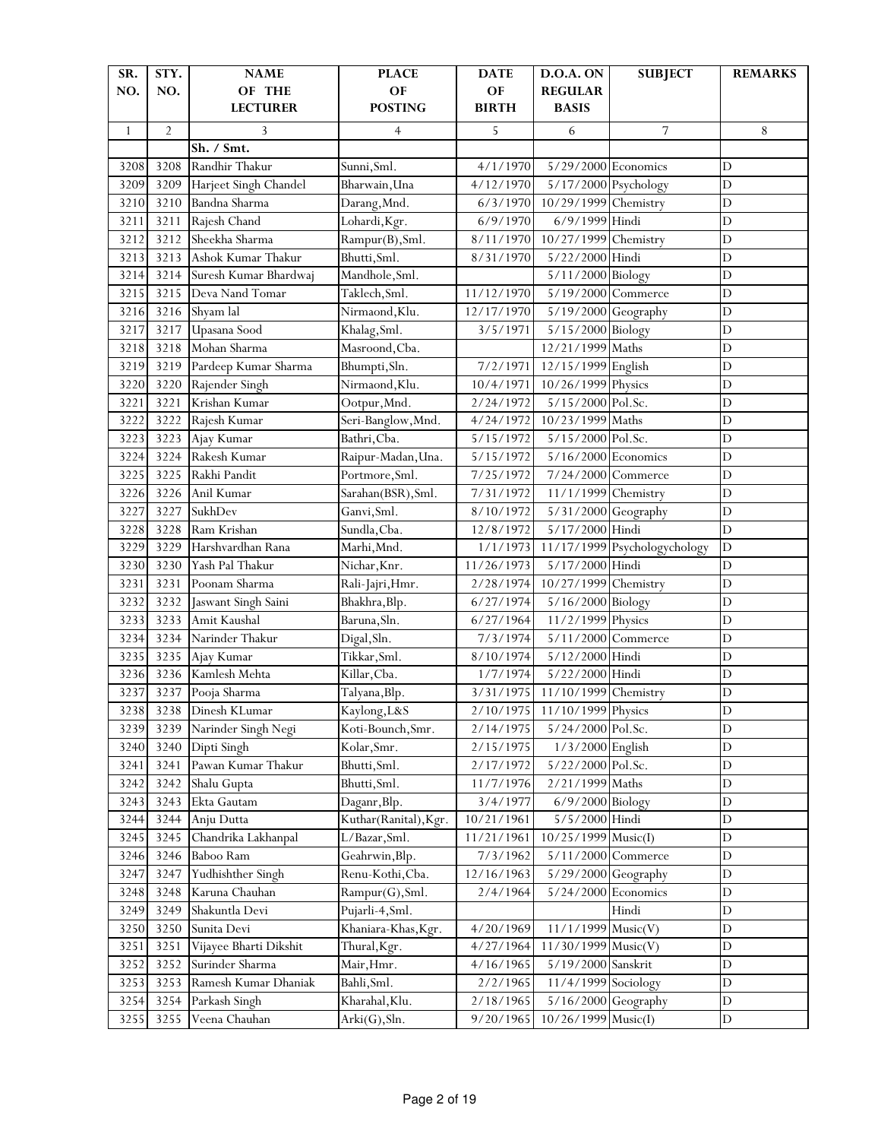| SR.          | STY.           | <b>NAME</b>            | <b>PLACE</b>              | <b>DATE</b>          | <b>D.O.A. ON</b>      | <b>SUBJECT</b>               | <b>REMARKS</b> |
|--------------|----------------|------------------------|---------------------------|----------------------|-----------------------|------------------------------|----------------|
| NO.          | NO.            | OF THE                 | OF                        | OF                   | <b>REGULAR</b>        |                              |                |
|              |                | <b>LECTURER</b>        | <b>POSTING</b>            | <b>BIRTH</b>         | <b>BASIS</b>          |                              |                |
| $\mathbf{1}$ | $\overline{2}$ | 3                      | $\overline{4}$            | 5                    | 6                     | 7                            | 8              |
|              |                | Sh. / Smt.             |                           |                      |                       |                              |                |
| 3208         | 3208           | Randhir Thakur         | Sunni, Sml.               | 4/1/1970             | $5/29/2000$ Economics |                              | $\mathbf D$    |
| 3209         | 3209           | Harjeet Singh Chandel  | Bharwain, Una             | 4/12/1970            | 5/17/2000 Psychology  |                              | $\mathbf D$    |
| 3210         | 3210           | Bandna Sharma          | Darang, Mnd.              | 6/3/1970             | 10/29/1999 Chemistry  |                              | $\mathbf D$    |
| 3211         | 3211           | Rajesh Chand           | Lohardi, Kgr.             | 6/9/1970             | 6/9/1999 Hindi        |                              | $\mathbf D$    |
| 3212         | 3212           | Sheekha Sharma         | Rampur(B), Sml.           | 8/11/1970            | 10/27/1999 Chemistry  |                              | D              |
| 3213         | 3213           | Ashok Kumar Thakur     | Bhutti, Sml.              | 8/31/1970            | 5/22/2000 Hindi       |                              | $\overline{D}$ |
| 3214         | 3214           | Suresh Kumar Bhardwaj  | Mandhole, Sml.            |                      | 5/11/2000 Biology     |                              | D              |
| 3215         | 3215           | Deva Nand Tomar        | Taklech, Sml.             | 11/12/1970           | 5/19/2000 Commerce    |                              | $\overline{D}$ |
| 3216         | 3216           | Shyam lal              | Nirmaond, Klu.            | 12/17/1970           | 5/19/2000 Geography   |                              | $\overline{D}$ |
| 3217         | 3217           | Upasana Sood           | Khalag, Sml.              | 3/5/1971             | 5/15/2000 Biology     |                              | $\mathbf D$    |
| 3218         | 3218           | Mohan Sharma           | Masroond, Cba.            |                      | 12/21/1999 Maths      |                              | $\mathbf D$    |
| 3219         | 3219           | Pardeep Kumar Sharma   | Bhumpti, Sln.             | 7/2/1971             | 12/15/1999 English    |                              | $\mathbf D$    |
| 3220         | 3220           | Rajender Singh         | Nirmaond, Klu.            | 10/4/1971            | 10/26/1999 Physics    |                              | $\overline{D}$ |
| 3221         | 3221           | Krishan Kumar          | Ootpur, Mnd.              | 2/24/1972            | 5/15/2000 Pol.Sc.     |                              | $\mathbf D$    |
| 3222         | 3222           | Rajesh Kumar           | Seri-Banglow, Mnd.        | 4/24/1972            | 10/23/1999 Maths      |                              | $\mathbf D$    |
| 3223         | 3223           | Ajay Kumar             | Bathri, Cba.              | 5/15/1972            | 5/15/2000 Pol.Sc.     |                              | D              |
| 3224         | 3224           | Rakesh Kumar           | Raipur-Madan, Una.        | 5/15/1972            | 5/16/2000 Economics   |                              | D              |
| 3225         | 3225           | Rakhi Pandit           | Portmore, Sml.            | 7/25/1972            | 7/24/2000 Commerce    |                              | $\overline{D}$ |
| 3226         | 3226           | Anil Kumar             | Sarahan(BSR), Sml.        | 7/31/1972            | 11/1/1999 Chemistry   |                              | D              |
| 3227         | 3227           | SukhDev                | Ganvi, Sml.               | 8/10/1972            | 5/31/2000 Geography   |                              | $\mathbf D$    |
| 3228         | 3228           | Ram Krishan            | Sundla, Cba.              | 12/8/1972            | 5/17/2000 Hindi       |                              | D              |
| 3229         | 3229           | Harshvardhan Rana      | Marhi, Mnd.               | 1/1/1973             |                       | 11/17/1999 Psychologychology | $\mathbf D$    |
| 3230         | 3230           | Yash Pal Thakur        | Nichar, Knr.              | 11/26/1973           | 5/17/2000 Hindi       |                              | $\mathbf D$    |
| 3231         | 3231           | Poonam Sharma          | Rali-Jajri, Hmr.          | 2/28/1974            | 10/27/1999 Chemistry  |                              | D              |
| 3232         | 3232           | Jaswant Singh Saini    | Bhakhra, Blp.             | 6/27/1974            | 5/16/2000 Biology     |                              | D              |
| 3233         | 3233           | Amit Kaushal           | Baruna, Sln.              | 6/27/1964            | 11/2/1999 Physics     |                              | D              |
| 3234         | 3234           | Narinder Thakur        | Digal, Sln.               | 7/3/1974             | 5/11/2000 Commerce    |                              | D              |
| 3235         | 3235           | Ajay Kumar             | Tikkar, Sml.              | 8/10/1974            | 5/12/2000 Hindi       |                              | $\overline{D}$ |
| 3236         | 3236           | Kamlesh Mehta          | Killar, Cba.              | 1/7/1974             | 5/22/2000 Hindi       |                              | $\overline{D}$ |
| 3237         | 3237           | Pooja Sharma           | Talyana, Blp.             | 3/31/1975            | 11/10/1999 Chemistry  |                              | $\mathbf D$    |
| 3238         | 3238           | Dinesh KLumar          | Kaylong, L&S              | $\frac{2}{10}$ /1975 | 11/10/1999 Physics    |                              | D              |
| 3239         | 3239           | Narinder Singh Negi    | Koti-Bounch, Smr.         | 2/14/1975            | 5/24/2000 Pol.Sc.     |                              | $\mathbf D$    |
| 3240         | 3240           | Dipti Singh            | Kolar, Smr.               | 2/15/1975            | 1/3/2000 English      |                              | $\mathbf D$    |
| 3241         | 3241           | Pawan Kumar Thakur     | Bhutti, Sml.              | 2/17/1972            | 5/22/2000 Pol.Sc.     |                              | $\mathbf D$    |
| 3242         | 3242           | Shalu Gupta            | Bhutti, Sml.              | 11/7/1976            | 2/21/1999 Maths       |                              | $\mathbf D$    |
| 3243         | 3243           | Ekta Gautam            | Daganr, Blp.              | 3/4/1977             | 6/9/2000 Biology      |                              | $\mathbf D$    |
| 3244         | 3244           | Anju Dutta             | Kuthar(Ranital), Kgr.     | 10/21/1961           | 5/5/2000 Hindi        |                              | D              |
| 3245         | 3245           | Chandrika Lakhanpal    | L/Bazar, Sml.             | 11/21/1961           | 10/25/1999 Music(I)   |                              | $\mathbf D$    |
| 3246         | 3246           | Baboo Ram              | Geahrwin, Blp.            | 7/3/1962             |                       | 5/11/2000 Commerce           | D              |
| 3247         | 3247           | Yudhishther Singh      | Renu-Kothi, Cba.          | 12/16/1963           | 5/29/2000 Geography   |                              | $\mathbf D$    |
| 3248         | 3248           | Karuna Chauhan         | Rampur(G), Sml.           | 2/4/1964             | 5/24/2000 Economics   |                              | D              |
| 3249         | 3249           | Shakuntla Devi         | Pujarli-4, Sml.           |                      |                       | Hindi                        | $\mathbf D$    |
| 3250         | 3250           | Sunita Devi            | Khaniara-Khas, Kgr.       | 4/20/1969            | $11/1/1999$ Music(V)  |                              | $\mathbf D$    |
| 3251         | 3251           | Vijayee Bharti Dikshit | Thural, Kgr.              | 4/27/1964            | $11/30/1999$ Music(V) |                              | $\mathbf D$    |
| 3252         | 3252           | Surinder Sharma        |                           | 4/16/1965            | 5/19/2000 Sanskrit    |                              | $\mathbf D$    |
| 3253         | 3253           | Ramesh Kumar Dhaniak   | Mair, Hmr.<br>Bahli, Sml. | 2/2/1965             | 11/4/1999 Sociology   |                              | $\mathbf D$    |
|              |                |                        |                           |                      |                       |                              |                |
| 3254         | 3254           | Parkash Singh          | Kharahal, Klu.            | 2/18/1965            | 5/16/2000 Geography   |                              | D              |
| 3255         | 3255           | Veena Chauhan          | Arki(G), Sh.              | 9/20/1965            | 10/26/1999 Music(I)   |                              | $\mathbf D$    |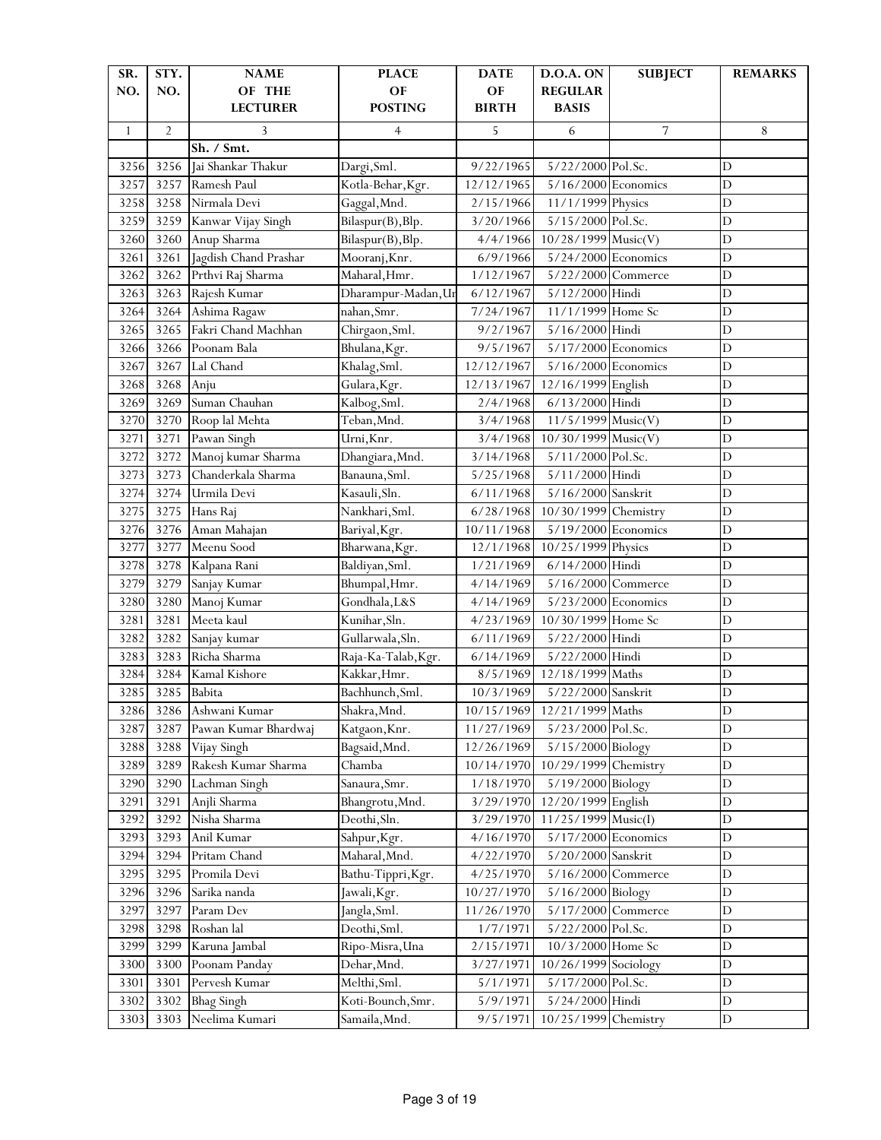| SR.          | STY.           | <b>NAME</b>           | <b>PLACE</b>        | <b>DATE</b>  | <b>D.O.A. ON</b>      | <b>SUBJECT</b>     | <b>REMARKS</b> |
|--------------|----------------|-----------------------|---------------------|--------------|-----------------------|--------------------|----------------|
| NO.          | NO.            | OF THE                | OF                  | OF           | <b>REGULAR</b>        |                    |                |
|              |                | <b>LECTURER</b>       | <b>POSTING</b>      | <b>BIRTH</b> | <b>BASIS</b>          |                    |                |
| $\mathbf{1}$ | $\overline{2}$ | 3                     | 4                   | 5            | 6                     | 7                  | 8              |
|              |                | Sh. / Smt.            |                     |              |                       |                    |                |
| 3256         | 3256           | Jai Shankar Thakur    | Dargi, Sml.         | 9/22/1965    | 5/22/2000 Pol.Sc.     |                    | $\mathbf D$    |
| 3257         | 3257           | Ramesh Paul           | Kotla-Behar, Kgr.   | 12/12/1965   | $5/16/2000$ Economics |                    | $\mathbf D$    |
| 3258         | 3258           | Nirmala Devi          | Gaggal, Mnd.        | 2/15/1966    | 11/1/1999 Physics     |                    | $\mathbf D$    |
| 3259         | 3259           | Kanwar Vijay Singh    | Bilaspur(B), Blp.   | 3/20/1966    | 5/15/2000 Pol.Sc.     |                    | D              |
| 3260         | 3260           | Anup Sharma           | Bilaspur(B), Blp.   | 4/4/1966     | 10/28/1999 Music(V)   |                    | D              |
| 3261         | 3261           | Jagdish Chand Prashar | Mooranj, Knr.       | 6/9/1966     | 5/24/2000 Economics   |                    | D              |
| 3262         | 3262           | Prthvi Raj Sharma     | Maharal, Hmr.       | 1/12/1967    | 5/22/2000 Commerce    |                    | D              |
| 3263         | 3263           | Rajesh Kumar          | Dharampur-Madan, Ur | 6/12/1967    | 5/12/2000 Hindi       |                    | $\overline{D}$ |
| 3264         | 3264           | Ashima Ragaw          | nahan, Smr.         | 7/24/1967    | 11/1/1999 Home Sc     |                    | $\overline{D}$ |
| 3265         | 3265           | Fakri Chand Machhan   | Chirgaon, Sml.      | 9/2/1967     | 5/16/2000 Hindi       |                    | $\mathbf D$    |
| 3266         | 3266           | Poonam Bala           | Bhulana, Kgr.       | 9/5/1967     | 5/17/2000 Economics   |                    | $\mathbf D$    |
| 3267         | 3267           | Lal Chand             | Khalag, Sml.        | 12/12/1967   | 5/16/2000 Economics   |                    | $\mathbf D$    |
| 3268         | 3268           | Anju                  | Gulara, Kgr.        | 12/13/1967   | 12/16/1999 English    |                    | $\overline{D}$ |
| 3269         | 3269           | Suman Chauhan         | Kalbog, Sml.        | 2/4/1968     | 6/13/2000 Hindi       |                    | $\mathbf D$    |
| 3270         | 3270           | Roop lal Mehta        | Teban, Mnd.         | 3/4/1968     | $11/5/1999$ Music(V)  |                    | D              |
| 3271         | 3271           | Pawan Singh           | Urni, Knr.          | 3/4/1968     | 10/30/1999 Music(V)   |                    | D              |
| 3272         | 3272           | Manoj kumar Sharma    | Dhangiara, Mnd.     | 3/14/1968    | 5/11/2000 Pol.Sc.     |                    | D              |
| 3273         | 3273           | Chanderkala Sharma    | Banauna, Sml.       | 5/25/1968    | 5/11/2000 Hindi       |                    | $\overline{D}$ |
| 3274         | 3274           | Urmila Devi           | Kasauli, Sln.       | 6/11/1968    | 5/16/2000 Sanskrit    |                    | $\mathbf D$    |
| 3275         | 3275           | Hans Raj              | Nankhari, Sml.      | 6/28/1968    | 10/30/1999 Chemistry  |                    | $\mathbf D$    |
| 3276         | 3276           | Aman Mahajan          | Bariyal, Kgr.       | 10/11/1968   | 5/19/2000 Economics   |                    | $\mathbf D$    |
| 3277         | 3277           | Meenu Sood            | Bharwana, Kgr.      | 12/1/1968    | 10/25/1999 Physics    |                    | D              |
| 3278         | 3278           | Kalpana Rani          | Baldiyan, Sml.      | 1/21/1969    | 6/14/2000 Hindi       |                    | $\mathbf D$    |
| 3279         | 3279           | Sanjay Kumar          | Bhumpal, Hmr.       | 4/14/1969    | 5/16/2000 Commerce    |                    | $\mathbf D$    |
| 3280         | 3280           | Manoj Kumar           | Gondhala, L&S       | 4/14/1969    | 5/23/2000 Economics   |                    | D              |
| 3281         | 3281           | Meeta kaul            | Kunihar, Sln.       | 4/23/1969    | 10/30/1999 Home Sc    |                    | D              |
| 3282         | 3282           | Sanjay kumar          | Gullarwala, Sln.    | 6/11/1969    | 5/22/2000 Hindi       |                    | D              |
| 3283         | 3283           | Richa Sharma          | Raja-Ka-Talab, Kgr. | 6/14/1969    | 5/22/2000 Hindi       |                    | $\overline{D}$ |
| 3284         | 3284           | Kamal Kishore         | Kakkar, Hmr.        | 8/5/1969     | 12/18/1999 Maths      |                    | $\overline{D}$ |
| 3285         | 3285           | Babita                | Bachhunch, Sml.     | 10/3/1969    | 5/22/2000 Sanskrit    |                    | $\mathbf D$    |
| 3286         | 3286           | Ashwani Kumar         | Shakra, Mnd.        | 10/15/1969   | 12/21/1999 Maths      |                    | D              |
| 3287         | 3287           | Pawan Kumar Bhardwaj  | Katgaon, Knr.       | 11/27/1969   | 5/23/2000 Pol.Sc.     |                    | $\mathbf D$    |
| 3288         | 3288           | Vijay Singh           | Bagsaid, Mnd.       | 12/26/1969   | 5/15/2000 Biology     |                    | $\mathbf D$    |
| 3289         | 3289           | Rakesh Kumar Sharma   | Chamba              | 10/14/1970   | 10/29/1999 Chemistry  |                    | $\mathbf D$    |
| 3290         | 3290           | Lachman Singh         | Sanaura, Smr.       | 1/18/1970    | 5/19/2000 Biology     |                    | $\mathbf D$    |
| 3291         | 3291           | Anjli Sharma          | Bhangrotu, Mnd.     | 3/29/1970    | 12/20/1999 English    |                    | $\mathbf D$    |
| 3292         | 3292           | Nisha Sharma          | Deothi, Sln.        | 3/29/1970    | 11/25/1999 Music(I)   |                    | $\mathbf D$    |
| 3293         | 3293           | Anil Kumar            | Sahpur, Kgr.        | 4/16/1970    | 5/17/2000 Economics   |                    | $\mathbf D$    |
| 3294         | 3294           | Pritam Chand          | Maharal, Mnd.       | 4/22/1970    | 5/20/2000 Sanskrit    |                    | D              |
| 3295         | 3295           | Promila Devi          | Bathu-Tippri, Kgr.  | 4/25/1970    |                       | 5/16/2000 Commerce | $\mathbf D$    |
| 3296         | 3296           | Sarika nanda          | Jawali, Kgr.        | 10/27/1970   | 5/16/2000 Biology     |                    | D              |
| 3297         | 3297           | Param Dev             | Jangla, Sml.        | 11/26/1970   |                       | 5/17/2000 Commerce | $\mathbf D$    |
| 3298         | 3298           | Roshan lal            | Deothi, Sml.        | 1/7/1971     | 5/22/2000 Pol.Sc.     |                    | $\mathbf D$    |
| 3299         | 3299           | Karuna Jambal         | Ripo-Misra, Una     | 2/15/1971    | 10/3/2000 Home Sc     |                    | $\mathbf D$    |
| 3300         | 3300           | Poonam Panday         | Dehar, Mnd.         | 3/27/1971    | 10/26/1999 Sociology  |                    | $\mathbf D$    |
| 3301         | 3301           | Pervesh Kumar         | Melthi, Sml.        | 5/1/1971     | 5/17/2000 Pol.Sc.     |                    | $\mathbf D$    |
| 3302         | 3302           | <b>Bhag Singh</b>     | Koti-Bounch, Smr.   | 5/9/1971     | 5/24/2000 Hindi       |                    | D              |
| 3303         | 3303           | Neelima Kumari        | Samaila, Mnd.       | 9/5/1971     | 10/25/1999 Chemistry  |                    | $\mathbf D$    |
|              |                |                       |                     |              |                       |                    |                |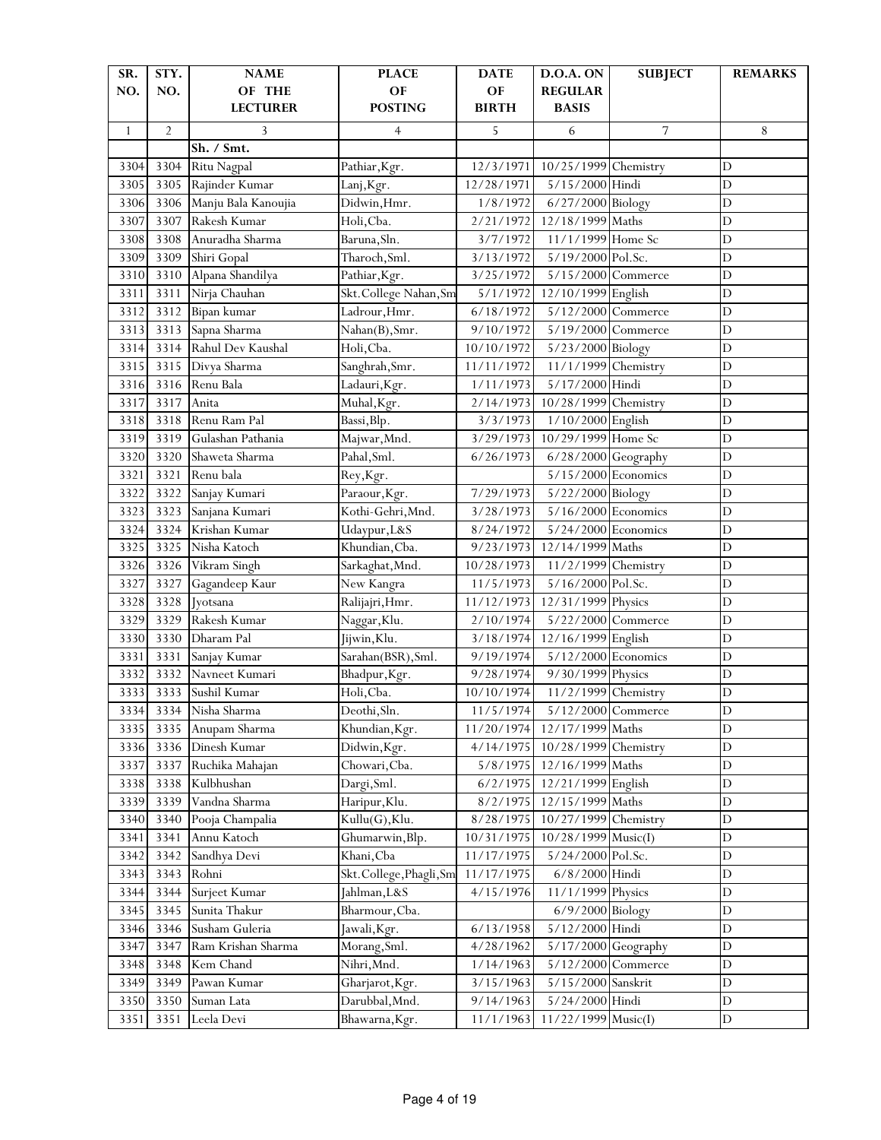| SR.          | STY.           | <b>NAME</b>         | <b>PLACE</b>            | <b>DATE</b>  | <b>D.O.A. ON</b>      | <b>SUBJECT</b>     | <b>REMARKS</b> |
|--------------|----------------|---------------------|-------------------------|--------------|-----------------------|--------------------|----------------|
| NO.          | NO.            | OF THE              | OF                      | OF           | <b>REGULAR</b>        |                    |                |
|              |                | <b>LECTURER</b>     | <b>POSTING</b>          | <b>BIRTH</b> | <b>BASIS</b>          |                    |                |
| $\mathbf{1}$ | $\overline{2}$ | 3                   | $\overline{4}$          | 5            | 6                     | 7                  | 8              |
|              |                | Sh. / Smt.          |                         |              |                       |                    |                |
| 3304         | 3304           | Ritu Nagpal         | Pathiar, Kgr.           | 12/3/1971    | 10/25/1999 Chemistry  |                    | $\mathbf D$    |
| 3305         | 3305           | Rajinder Kumar      | Lanj, Kgr.              | 12/28/1971   | 5/15/2000 Hindi       |                    | D              |
| 3306         | 3306           | Manju Bala Kanoujia | Didwin, Hmr.            | 1/8/1972     | 6/27/2000 Biology     |                    | $\overline{D}$ |
| 3307         | 3307           | Rakesh Kumar        | Holi, Cba.              | 2/21/1972    | 12/18/1999 Maths      |                    | $\mathbf D$    |
| 3308         | 3308           | Anuradha Sharma     | Baruna, Sln.            | 3/7/1972     | 11/1/1999 Home Sc     |                    | D              |
| 3309         | 3309           | Shiri Gopal         | Tharoch, Sml.           | 3/13/1972    | 5/19/2000 Pol.Sc.     |                    | D              |
| 3310         | 3310           | Alpana Shandilya    | Pathiar, Kgr.           | 3/25/1972    | 5/15/2000 Commerce    |                    | D              |
| 3311         | 3311           | Nirja Chauhan       | Skt.College Nahan, Sm   | 5/1/1972     | 12/10/1999 English    |                    | $\overline{D}$ |
| 3312         | 3312           | Bipan kumar         | Ladrour, Hmr.           | 6/18/1972    | 5/12/2000 Commerce    |                    | $\overline{D}$ |
| 3313         | 3313           | Sapna Sharma        | Nahan(B), Smr.          | 9/10/1972    | 5/19/2000 Commerce    |                    | $\mathbf D$    |
| 3314         | 3314           | Rahul Dev Kaushal   | Holi, Cba.              | 10/10/1972   | 5/23/2000 Biology     |                    | $\mathbf D$    |
| 3315         | 3315           | Divya Sharma        | Sanghrah, Smr.          | 11/11/1972   | 11/1/1999 Chemistry   |                    | D              |
| 3316         | 3316           | Renu Bala           | Ladauri, Kgr.           | 1/11/1973    | 5/17/2000 Hindi       |                    | $\overline{D}$ |
| 3317         | 3317           | Anita               | Muhal, Kgr.             | 2/14/1973    | 10/28/1999 Chemistry  |                    | $\mathbf D$    |
| 3318         | 3318           | Renu Ram Pal        | Bassi, Blp.             | 3/3/1973     | 1/10/2000 English     |                    | $\mathbf D$    |
| 3319         | 3319           | Gulashan Pathania   | Majwar, Mnd.            | 3/29/1973    | 10/29/1999 Home Sc    |                    | D              |
| 3320         | 3320           | Shaweta Sharma      | Pahal, Sml.             | 6/26/1973    | $6/28/2000$ Geography |                    | D              |
| 3321         | 3321           | Renu bala           | Rey, Kgr.               |              | 5/15/2000 Economics   |                    | $\overline{D}$ |
| 3322         | 3322           | Sanjay Kumari       | Paraour, Kgr.           | 7/29/1973    | 5/22/2000 Biology     |                    | D              |
| 3323         | 3323           | Sanjana Kumari      | Kothi-Gehri, Mnd.       | 3/28/1973    | $5/16/2000$ Economics |                    | $\mathbf D$    |
| 3324         | 3324           | Krishan Kumar       | Udaypur, L&S            | 8/24/1972    | $5/24/2000$ Economics |                    | $\mathbf D$    |
| 3325         | 3325           | Nisha Katoch        | Khundian, Cba.          | 9/23/1973    | 12/14/1999 Maths      |                    | D              |
| 3326         | 3326           | Vikram Singh        | Sarkaghat, Mnd.         | 10/28/1973   | 11/2/1999 Chemistry   |                    | $\overline{D}$ |
| 3327         | 3327           | Gagandeep Kaur      | New Kangra              | 11/5/1973    | 5/16/2000 Pol.Sc.     |                    | D              |
| 3328         | 3328           | Jyotsana            | Ralijajri, Hmr.         | 11/12/1973   | 12/31/1999 Physics    |                    | D              |
| 3329         | 3329           | Rakesh Kumar        | Naggar, Klu.            | 2/10/1974    | 5/22/2000 Commerce    |                    | D              |
| 3330         | 3330           | Dharam Pal          | Jijwin, Klu.            | 3/18/1974    | 12/16/1999 English    |                    | D              |
| 3331         | 3331           | Sanjay Kumar        | Sarahan(BSR), Sml.      | 9/19/1974    | 5/12/2000 Economics   |                    | $\overline{D}$ |
| 3332         | 3332           | Navneet Kumari      | Bhadpur, Kgr.           | 9/28/1974    | 9/30/1999 Physics     |                    | D              |
| 3333         | 3333           | Sushil Kumar        | Holi, Cba.              | 10/10/1974   | 11/2/1999 Chemistry   |                    | $\mathbf D$    |
| 3334         | 3334           | Nisha Sharma        | Deothi, Sln.            | 11/5/1974    | 5/12/2000 Commerce    |                    | D              |
| 3335         | 3335           | Anupam Sharma       | Khundian, Kgr.          | 11/20/1974   | 12/17/1999 Maths      |                    | $\mathbf D$    |
| 3336         | 3336           | Dinesh Kumar        | Didwin, Kgr.            | 4/14/1975    | 10/28/1999 Chemistry  |                    | $\mathbf D$    |
| 3337         | 3337           | Ruchika Mahajan     | Chowari, Cba.           | 5/8/1975     | 12/16/1999 Maths      |                    | $\mathbf D$    |
| 3338         | 3338           | Kulbhushan          | Dargi, Sml.             | 6/2/1975     | 12/21/1999 English    |                    | $\mathbf D$    |
| 3339         | 3339           | Vandna Sharma       | Haripur, Klu.           | 8/2/1975     | 12/15/1999 Maths      |                    | $\mathbf D$    |
| 3340         | 3340           | Pooja Champalia     | Kullu(G), Klu.          | 8/28/1975    | 10/27/1999 Chemistry  |                    | $\mathbf D$    |
| 3341         | 3341           | Annu Katoch         | Ghumarwin, Blp.         | 10/31/1975   | 10/28/1999 Music(I)   |                    | $\mathbf D$    |
| 3342         | 3342           | Sandhya Devi        | Khani, Cba              | 11/17/1975   | 5/24/2000 Pol.Sc.     |                    | D              |
| 3343         | 3343           | Rohni               | Skt.College, Phagli, Sm | 11/17/1975   | $6/8/2000$ Hindi      |                    | $\mathbf D$    |
| 3344         | 3344           | Surjeet Kumar       | Jahlman, L&S            | 4/15/1976    | 11/1/1999 Physics     |                    | D              |
| 3345         | 3345           | Sunita Thakur       | Bharmour, Cba.          |              | 6/9/2000 Biology      |                    | $\mathbf D$    |
| 3346         | 3346           | Susham Guleria      | Jawali, Kgr.            | 6/13/1958    | 5/12/2000 Hindi       |                    | $\mathbf D$    |
| 3347         | 3347           | Ram Krishan Sharma  | Morang, Sml.            | 4/28/1962    | 5/17/2000 Geography   |                    | $\mathbf D$    |
| 3348         | 3348           | Kem Chand           | Nihri, Mnd.             | 1/14/1963    |                       | 5/12/2000 Commerce | $\mathbf D$    |
| 3349         | 3349           | Pawan Kumar         | Gharjarot, Kgr.         | 3/15/1963    | 5/15/2000 Sanskrit    |                    | $\mathbf D$    |
| 3350         | 3350           | Suman Lata          | Darubbal, Mnd.          | 9/14/1963    | 5/24/2000 Hindi       |                    | D              |
|              |                |                     |                         |              |                       |                    |                |
| 3351         | 3351           | Leela Devi          | Bhawarna, Kgr.          | 11/1/1963    | 11/22/1999 Music(I)   |                    | $\mathbf D$    |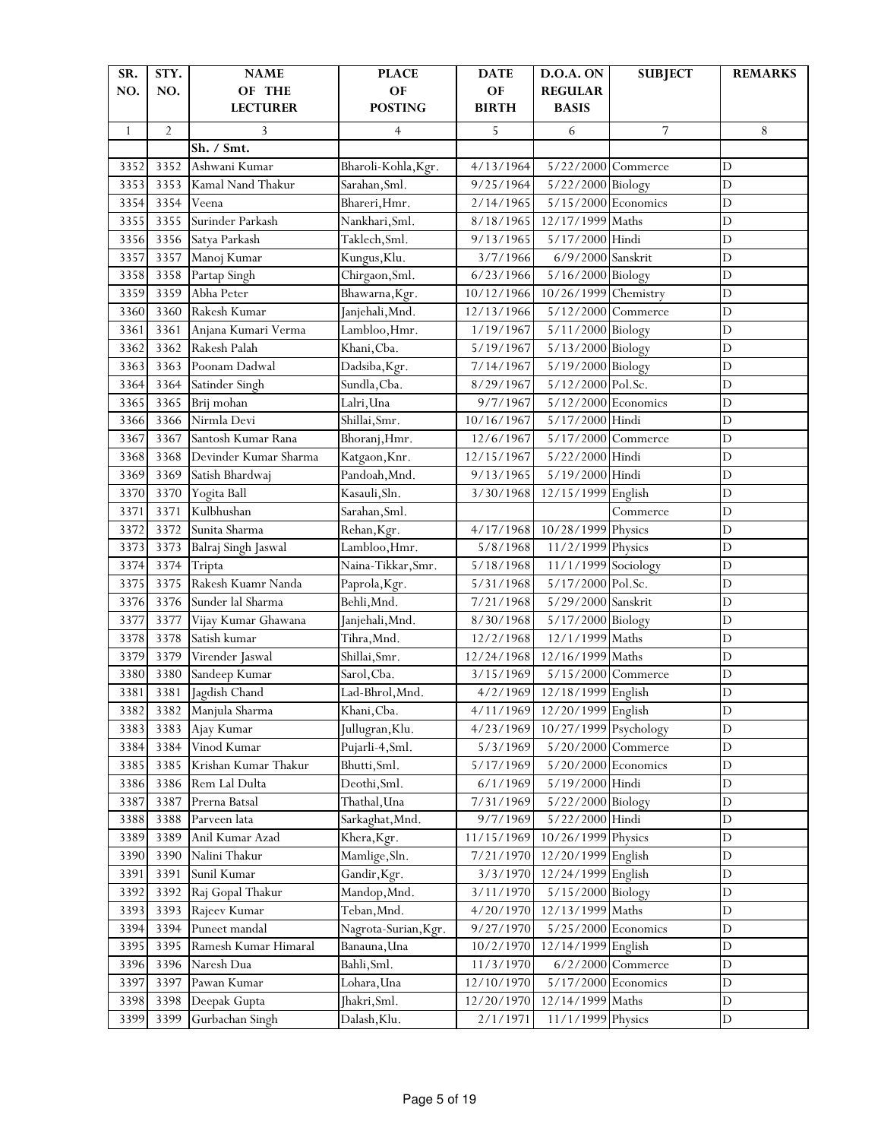| SR.          | STY.           | <b>NAME</b>               | <b>PLACE</b>         | <b>DATE</b>        | D.O.A. ON                      | <b>SUBJECT</b>      | <b>REMARKS</b> |
|--------------|----------------|---------------------------|----------------------|--------------------|--------------------------------|---------------------|----------------|
| NO.          | NO.            | OF THE<br><b>LECTURER</b> | OF<br><b>POSTING</b> | OF<br><b>BIRTH</b> | <b>REGULAR</b><br><b>BASIS</b> |                     |                |
| $\mathbf{1}$ | $\overline{2}$ | 3                         | $\overline{4}$       | 5                  | 6                              | 7                   | 8              |
|              |                | Sh. / Smt.                |                      |                    |                                |                     |                |
| 3352         | 3352           | Ashwani Kumar             | Bharoli-Kohla, Kgr.  | 4/13/1964          | 5/22/2000 Commerce             |                     | D              |
| 3353         | 3353           | Kamal Nand Thakur         | Sarahan, Sml.        | 9/25/1964          | 5/22/2000 Biology              |                     | D              |
| 3354         | 3354           | Veena                     | Bhareri, Hmr.        | 2/14/1965          | 5/15/2000 Economics            |                     | $\mathbf D$    |
| 3355         | 3355           | Surinder Parkash          | Nankhari, Sml.       | 8/18/1965          | 12/17/1999 Maths               |                     | D              |
| 3356         | 3356           | Satya Parkash             | Taklech, Sml.        | 9/13/1965          | 5/17/2000 Hindi                |                     | D              |
| 3357         | 3357           | Manoj Kumar               | Kungus, Klu.         | 3/7/1966           | 6/9/2000 Sanskrit              |                     | D              |
| 3358         | 3358           | Partap Singh              | Chirgaon, Sml.       | 6/23/1966          | 5/16/2000 Biology              |                     | D              |
| 3359         | 3359           | Abha Peter                | Bhawarna, Kgr.       | 10/12/1966         | 10/26/1999 Chemistry           |                     | $\mathbf D$    |
| 3360         | 3360           | Rakesh Kumar              | Janjehali, Mnd.      | 12/13/1966         | 5/12/2000 Commerce             |                     | $\mathbf D$    |
| 3361         | 3361           | Anjana Kumari Verma       | Lambloo, Hmr.        | 1/19/1967          | 5/11/2000 Biology              |                     | $\mathbf D$    |
| 3362         | 3362           | Rakesh Palah              | Khani, Cba.          | 5/19/1967          | 5/13/2000 Biology              |                     | $\mathbf D$    |
| 3363         | 3363           | Poonam Dadwal             | Dadsiba, Kgr.        | 7/14/1967          | 5/19/2000 Biology              |                     | D              |
| 3364         | 3364           | Satinder Singh            | Sundla, Cba.         | 8/29/1967          | 5/12/2000 Pol.Sc.              |                     | D              |
| 3365         | 3365           | Brij mohan                | Lalri, Una           | 9/7/1967           | 5/12/2000 Economics            |                     | D              |
| 3366         | 3366           | Nirmla Devi               | Shillai, Smr.        | 10/16/1967         | 5/17/2000 Hindi                |                     | D              |
| 3367         | 3367           | Santosh Kumar Rana        | Bhoranj, Hmr.        | 12/6/1967          | 5/17/2000 Commerce             |                     | D              |
| 3368         | 3368           | Devinder Kumar Sharma     | Katgaon, Knr.        | 12/15/1967         | 5/22/2000 Hindi                |                     | D              |
| 3369         | 3369           | Satish Bhardwaj           | Pandoah, Mnd.        | 9/13/1965          | 5/19/2000 Hindi                |                     | $\overline{D}$ |
| 3370         | 3370           | Yogita Ball               | Kasauli, Sln.        | 3/30/1968          | 12/15/1999 English             |                     | $\mathbf D$    |
| 3371         | 3371           | Kulbhushan                | Sarahan, Sml.        |                    |                                | Commerce            | $\mathbf D$    |
| 3372         | 3372           | Sunita Sharma             | Rehan, Kgr.          | 4/17/1968          | 10/28/1999 Physics             |                     | D              |
| 3373         | 3373           | Balraj Singh Jaswal       | Lambloo, Hmr.        | 5/8/1968           | 11/2/1999 Physics              |                     | D              |
| 3374         | 3374           | Tripta                    | Naina-Tikkar, Smr.   | 5/18/1968          | 11/1/1999 Sociology            |                     | $\mathbf D$    |
| 3375         | 3375           | Rakesh Kuamr Nanda        | Paprola, Kgr.        | 5/31/1968          | 5/17/2000 Pol.Sc.              |                     | D              |
| 3376         | 3376           | Sunder lal Sharma         | Behli, Mnd.          | 7/21/1968          | 5/29/2000 Sanskrit             |                     | $\overline{D}$ |
| 3377         | 3377           | Vijay Kumar Ghawana       | Janjehali, Mnd.      | 8/30/1968          | 5/17/2000 Biology              |                     | D              |
| 3378         | 3378           | Satish kumar              | Tihra, Mnd.          | 12/2/1968          | 12/1/1999 Maths                |                     | D              |
| 3379         | 3379           | Virender Jaswal           | Shillai, Smr.        | 12/24/1968         | 12/16/1999 Maths               |                     | $\mathbf D$    |
| 3380         | 3380           | Sandeep Kumar             | Sarol, Cba.          | 3/15/1969          | 5/15/2000 Commerce             |                     | $\mathbf D$    |
| 3381         | 3381           | Jagdish Chand             | Lad-Bhrol, Mnd.      | 4/2/1969           | 12/18/1999 English             |                     | $\mathbf D$    |
| 3382         | 3382           | Manjula Sharma            | Khani, Cba.          | 4/11/1969          | 12/20/1999 English             |                     | D              |
| 3383         | 3383           | Ajay Kumar                | Jullugran, Klu.      | 4/23/1969          | 10/27/1999 Psychology          |                     | D              |
| 3384         | 3384           | Vinod Kumar               | Pujarli-4, Sml.      | 5/3/1969           |                                | 5/20/2000 Commerce  | $\mathbf D$    |
| 3385         | 3385           | Krishan Kumar Thakur      | Bhutti, Sml.         | 5/17/1969          | 5/20/2000 Economics            |                     | $\mathbf D$    |
| 3386         | 3386           | Rem Lal Dulta             | Deothi, Sml.         | 6/1/1969           | 5/19/2000 Hindi                |                     | $\mathbf D$    |
| 3387         | 3387           | Prerna Batsal             | Thathal, Una         | 7/31/1969          | 5/22/2000 Biology              |                     | D              |
| 3388         | 3388           | Parveen lata              | Sarkaghat, Mnd.      | 9/7/1969           | 5/22/2000 Hindi                |                     | $\mathbf D$    |
| 3389         | 3389           | Anil Kumar Azad           | Khera, Kgr.          | 11/15/1969         | 10/26/1999 Physics             |                     | $\mathbf D$    |
| 3390         | 3390           | Nalini Thakur             | Mamlige, Sln.        | 7/21/1970          | 12/20/1999 English             |                     | D              |
| 3391         | 3391           | Sunil Kumar               | Gandir, Kgr.         | 3/3/1970           | 12/24/1999 English             |                     | D              |
| 3392         | 3392           | Raj Gopal Thakur          | Mandop, Mnd.         | 3/11/1970          | 5/15/2000 Biology              |                     | $\mathbf D$    |
| 3393         | 3393           | Rajeev Kumar              | Teban, Mnd.          | 4/20/1970          | 12/13/1999 Maths               |                     | $\mathbf D$    |
| 3394         | 3394           | Puneet mandal             | Nagrota-Surian, Kgr. | 9/27/1970          | 5/25/2000 Economics            |                     | D              |
| 3395         | 3395           | Ramesh Kumar Himaral      | Banauna, Una         | 10/2/1970          | 12/14/1999 English             |                     | $\mathbf D$    |
| 3396         | 3396           | Naresh Dua                | Bahli, Sml.          | 11/3/1970          |                                | $6/2/2000$ Commerce | $\mathbf D$    |
| 3397         | 3397           | Pawan Kumar               | Lohara, Una          | 12/10/1970         | $5/17/2000$ Economics          |                     | $\mathbf D$    |
| 3398         | 3398           | Deepak Gupta              | Jhakri, Sml.         | 12/20/1970         | 12/14/1999 Maths               |                     | $\mathbf D$    |
| 3399         | 3399           | Gurbachan Singh           | Dalash, Klu.         | 2/1/1971           | 11/1/1999 Physics              |                     | D              |
|              |                |                           |                      |                    |                                |                     |                |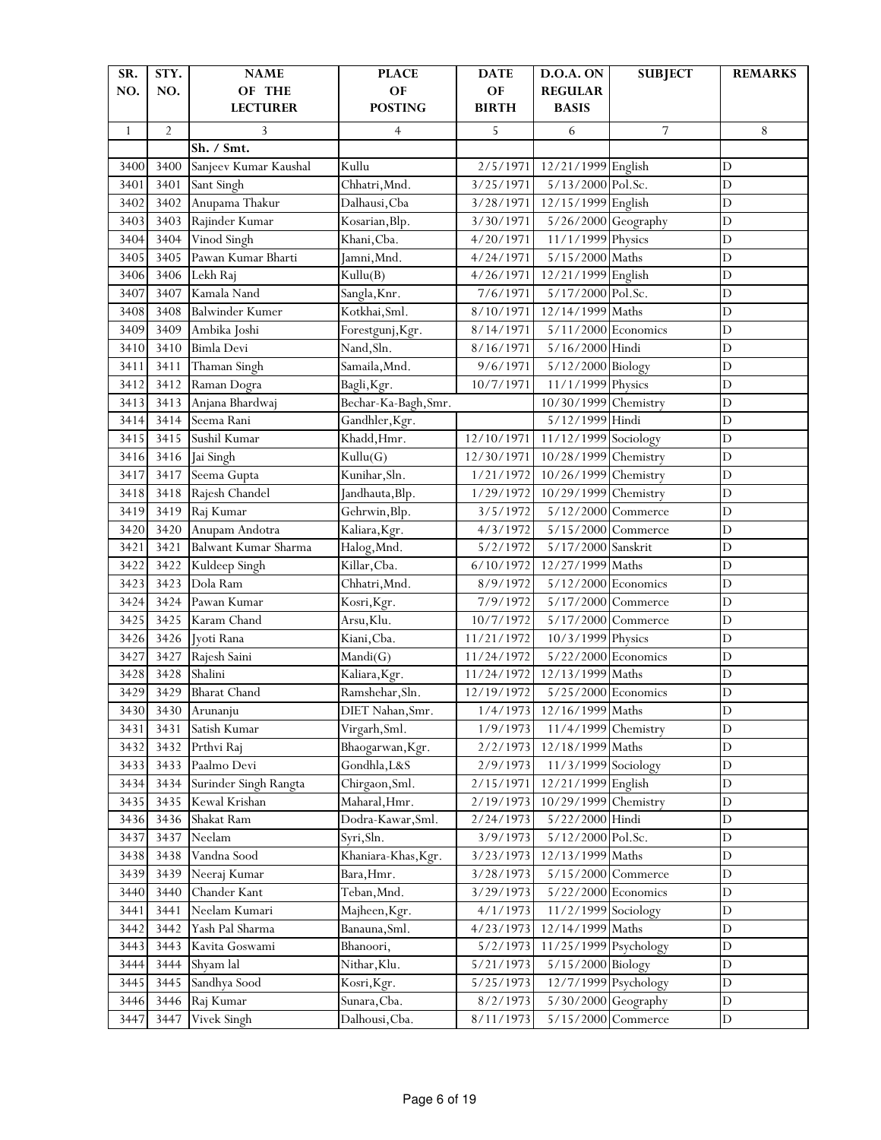| SR.          | STY.           | <b>NAME</b>             | <b>PLACE</b>              | <b>DATE</b>  | D.O.A. ON                 | <b>SUBJECT</b>     | <b>REMARKS</b> |
|--------------|----------------|-------------------------|---------------------------|--------------|---------------------------|--------------------|----------------|
| NO.          | NO.            | OF THE                  | OF                        | OF           | <b>REGULAR</b>            |                    |                |
|              |                | <b>LECTURER</b>         | <b>POSTING</b>            | <b>BIRTH</b> | <b>BASIS</b>              |                    |                |
| $\mathbf{1}$ | $\overline{2}$ | 3                       | $\overline{4}$            | 5            | 6                         | 7                  | 8              |
|              |                | Sh. / Smt.              |                           |              |                           |                    |                |
| 3400         | 3400           | Sanjeev Kumar Kaushal   | Kullu                     | 2/5/1971     | 12/21/1999 English        |                    | $\mathbf D$    |
| 3401         | 3401           | Sant Singh              | Chhatri, Mnd.             | 3/25/1971    | 5/13/2000 Pol.Sc.         |                    | $\mathbf D$    |
| 3402         | 3402           | Anupama Thakur          | Dalhausi, Cba             | 3/28/1971    | 12/15/1999 English        |                    | $\overline{D}$ |
| 3403         | 3403           | Rajinder Kumar          | Kosarian, Blp.            | 3/30/1971    | 5/26/2000 Geography       |                    | D              |
| 3404         | 3404           | Vinod Singh             | Khani, Cba.               | 4/20/1971    | 11/1/1999 Physics         |                    | D              |
| 3405         | 3405           | Pawan Kumar Bharti      | Jamni, Mnd.               | 4/24/1971    | 5/15/2000 Maths           |                    | D              |
| 3406         | 3406           | Lekh Raj                | Kullu(B)                  | 4/26/1971    | 12/21/1999 English        |                    | D              |
| 3407         | 3407           | Kamala Nand             | Sangla, Knr.              | 7/6/1971     | 5/17/2000 Pol.Sc.         |                    | $\overline{D}$ |
| 3408         | 3408           | <b>Balwinder Kumer</b>  | Kotkhai, Sml.             | 8/10/1971    | 12/14/1999 Maths          |                    | $\overline{D}$ |
| 3409         | 3409           | Ambika Joshi            | Forestgunj, Kgr.          | 8/14/1971    | 5/11/2000 Economics       |                    | $\mathbf D$    |
| 3410         | 3410           | <b>Bimla Devi</b>       | Nand, Sln.                | 8/16/1971    | 5/16/2000 Hindi           |                    | $\mathbf D$    |
| 3411         | 3411           | Thaman Singh            | Samaila, Mnd.             | 9/6/1971     | 5/12/2000 Biology         |                    | D              |
| 3412         | 3412           | Raman Dogra             | Bagli, Kgr.               | 10/7/1971    | 11/1/1999 Physics         |                    | $\overline{D}$ |
| 3413         | 3413           | Anjana Bhardwaj         | Bechar-Ka-Bagh, Smr.      |              | 10/30/1999 Chemistry      |                    | D              |
| 3414         | 3414           | Seema Rani              | Gandhler, Kgr.            |              | 5/12/1999 Hindi           |                    | D              |
| 3415         | 3415           | Sushil Kumar            | Khadd, Hmr.               | 12/10/1971   | 11/12/1999 Sociology      |                    | D              |
| 3416         | 3416           | Jai Singh               | Kullu(G)                  | 12/30/1971   | 10/28/1999 Chemistry      |                    | D              |
| 3417         | 3417           | Seema Gupta             | Kunihar, Sln.             | 1/21/1972    | 10/26/1999 Chemistry      |                    | $\overline{D}$ |
| 3418         | 3418           | Rajesh Chandel          | Jandhauta, Blp.           | 1/29/1972    | 10/29/1999 Chemistry      |                    | $\mathbf D$    |
| 3419         | 3419           | Raj Kumar               | Gehrwin, Blp.             | 3/5/1972     | 5/12/2000 Commerce        |                    | $\mathbf D$    |
| 3420         | 3420           | Anupam Andotra          | Kaliara, Kgr.             | 4/3/1972     | 5/15/2000 Commerce        |                    | $\mathbf D$    |
| 3421         | 3421           | Balwant Kumar Sharma    | Halog, Mnd.               | 5/2/1972     | 5/17/2000 Sanskrit        |                    | D              |
| 3422         | 3422           | Kuldeep Singh           | Killar, Cba.              | 6/10/1972    | 12/27/1999 Maths          |                    | $\mathbf D$    |
| 3423         | 3423           | Dola Ram                | Chhatri, Mnd.             | 8/9/1972     | 5/12/2000 Economics       |                    | D              |
| 3424         | 3424           | Pawan Kumar             | Kosri, Kgr.               | 7/9/1972     | 5/17/2000 Commerce        |                    | D              |
| 3425         | 3425           | Karam Chand             | Arsu, Klu.                | 10/7/1972    | 5/17/2000 Commerce        |                    | D              |
| 3426         | 3426           | Jyoti Rana              | Kiani, Cba.               | 11/21/1972   | 10/3/1999 Physics         |                    | D              |
| 3427         | 3427           |                         |                           | 11/24/1972   | 5/22/2000 Economics       |                    | $\overline{D}$ |
| 3428         | 3428           | Rajesh Saini<br>Shalini | Mandi(G)<br>Kaliara, Kgr. | 11/24/1972   | 12/13/1999 Maths          |                    | $\overline{D}$ |
| 3429         | 3429           | <b>Bharat Chand</b>     |                           |              | 5/25/2000 Economics       |                    | $\mathbf D$    |
|              |                |                         | Ramshehar, Sln.           | 12/19/1972   | 1/4/1973 12/16/1999 Maths |                    |                |
| 3430         | 3430           | Arunanju                | DIET Nahan, Smr.          |              |                           |                    | D              |
| 3431         | 3431           | Satish Kumar            | Virgarh, Sml.             | 1/9/1973     | 11/4/1999 Chemistry       |                    | $\mathbf D$    |
| 3432         | 3432           | Prthvi Raj              | Bhaogarwan, Kgr.          | 2/2/1973     | 12/18/1999 Maths          |                    | $\mathbf D$    |
| 3433         | 3433           | Paalmo Devi             | Gondhla, L&S              | 2/9/1973     | 11/3/1999 Sociology       |                    | $\mathbf D$    |
| 3434         | 3434           | Surinder Singh Rangta   | Chirgaon, Sml.            | 2/15/1971    | 12/21/1999 English        |                    | $\mathbf D$    |
| 3435         | 3435           | Kewal Krishan           | Maharal, Hmr.             | 2/19/1973    | 10/29/1999 Chemistry      |                    | $\mathbf D$    |
| 3436         | 3436           | Shakat Ram              | Dodra-Kawar, Sml.         | 2/24/1973    | 5/22/2000 Hindi           |                    | $\mathbf D$    |
| 3437         | 3437           | Neelam                  | Syri, Sln.                | 3/9/1973     | 5/12/2000 Pol.Sc.         |                    | $\mathbf D$    |
| 3438         | 3438           | Vandna Sood             | Khaniara-Khas, Kgr.       | 3/23/1973    | 12/13/1999 Maths          |                    | D              |
| 3439         | 3439           | Neeraj Kumar            | Bara, Hmr.                | 3/28/1973    |                           | 5/15/2000 Commerce | $\mathbf D$    |
| 3440         | 3440           | Chander Kant            | Teban, Mnd.               | 3/29/1973    | 5/22/2000 Economics       |                    | D              |
| 3441         | 3441           | Neelam Kumari           | Majheen, Kgr.             | 4/1/1973     | 11/2/1999 Sociology       |                    | $\mathbf D$    |
| 3442         | 3442           | Yash Pal Sharma         | Banauna, Sml.             | 4/23/1973    | 12/14/1999 Maths          |                    | $\mathbf D$    |
| 3443         | 3443           | Kavita Goswami          | Bhanoori,                 | 5/2/1973     | 11/25/1999 Psychology     |                    | $\mathbf D$    |
| 3444         | 3444           | Shyam lal               | Nithar, Klu.              | 5/21/1973    | 5/15/2000 Biology         |                    | $\mathbf D$    |
| 3445         | 3445           | Sandhya Sood            | Kosri, Kgr.               | 5/25/1973    | 12/7/1999 Psychology      |                    | $\mathbf D$    |
| 3446         | 3446           | Raj Kumar               | Sunara, Cba.              | 8/2/1973     | 5/30/2000 Geography       |                    | D              |
| 3447         | 3447           | Vivek Singh             | Dalhousi, Cba.            | 8/11/1973    |                           | 5/15/2000 Commerce | $\mathbf D$    |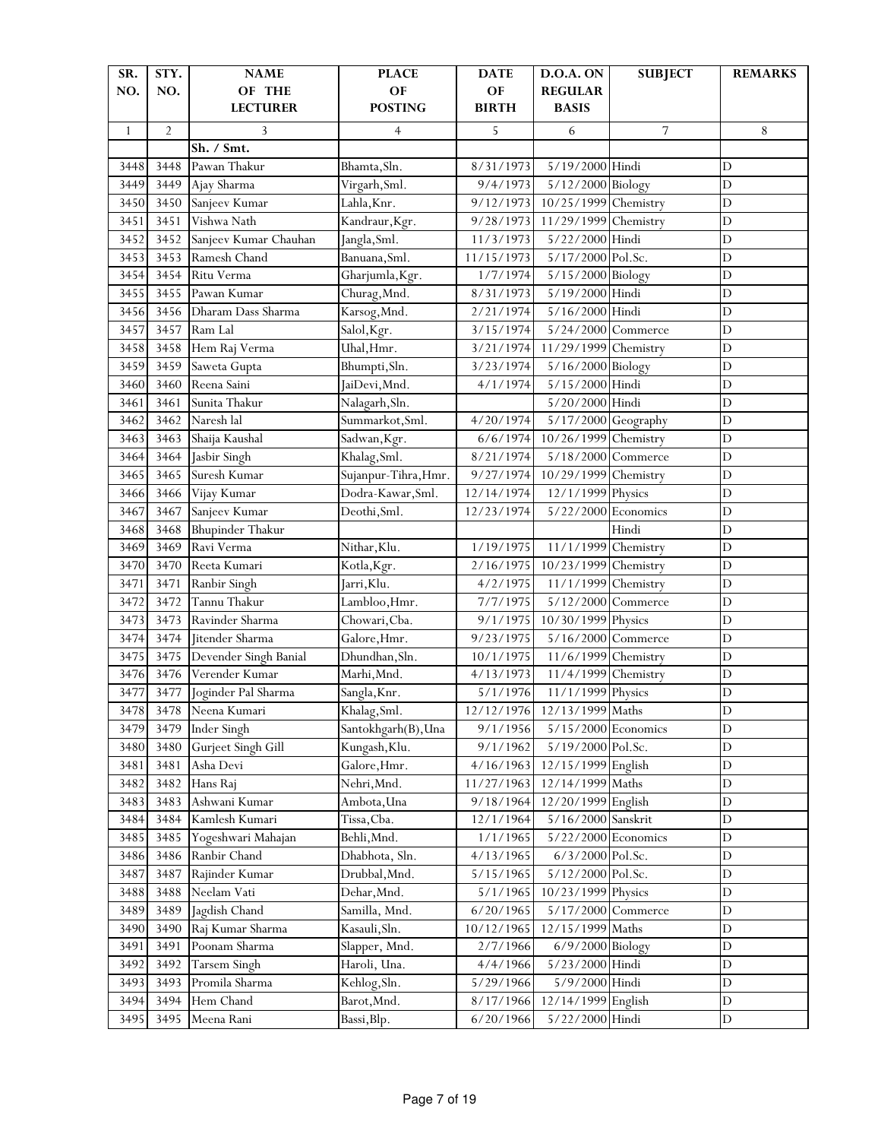| SR.          | STY.           | <b>NAME</b>             | <b>PLACE</b>         | <b>DATE</b>           | <b>D.O.A. ON</b>            | <b>SUBJECT</b>     | <b>REMARKS</b> |
|--------------|----------------|-------------------------|----------------------|-----------------------|-----------------------------|--------------------|----------------|
| NO.          | NO.            | OF THE                  | OF                   | OF                    | <b>REGULAR</b>              |                    |                |
|              |                | <b>LECTURER</b>         | <b>POSTING</b>       | <b>BIRTH</b>          | <b>BASIS</b>                |                    |                |
| $\mathbf{1}$ | $\overline{2}$ | 3                       | $\overline{4}$       | 5                     | 6                           | 7                  | 8              |
|              |                | Sh. / Smt.              |                      |                       |                             |                    |                |
| 3448         | 3448           | Pawan Thakur            | Bhamta, Sln.         | 8/31/1973             | 5/19/2000 Hindi             |                    | $\mathbf D$    |
| 3449         | 3449           | Ajay Sharma             | Virgarh, Sml.        | 9/4/1973              | 5/12/2000 Biology           |                    | $\mathbf D$    |
| 3450         | 3450           | Sanjeev Kumar           | Lahla, Knr.          | 9/12/1973             | 10/25/1999 Chemistry        |                    | $\overline{D}$ |
| 3451         | 3451           | Vishwa Nath             | Kandraur, Kgr.       | 9/28/1973             | 11/29/1999 Chemistry        |                    | $\mathbf D$    |
| 3452         | 3452           | Sanjeev Kumar Chauhan   | Jangla, Sml.         | 11/3/1973             | 5/22/2000 Hindi             |                    | D              |
| 3453         | 3453           | Ramesh Chand            | Banuana, Sml.        | 11/15/1973            | 5/17/2000 Pol.Sc.           |                    | $\overline{D}$ |
| 3454         | 3454           | Ritu Verma              | Gharjumla, Kgr.      | 1/7/1974              | 5/15/2000 Biology           |                    | D              |
| 3455         | 3455           | Pawan Kumar             | Churag, Mnd.         | 8/31/1973             | 5/19/2000 Hindi             |                    | $\overline{D}$ |
| 3456         | 3456           | Dharam Dass Sharma      | Karsog, Mnd.         | 2/21/1974             | 5/16/2000 Hindi             |                    | $\overline{D}$ |
| 3457         | 3457           | Ram Lal                 | Salol, Kgr.          | 3/15/1974             | 5/24/2000 Commerce          |                    | $\mathbf D$    |
| 3458         | 3458           | Hem Raj Verma           | Uhal, Hmr.           | 3/21/1974             | 11/29/1999 Chemistry        |                    | $\mathbf D$    |
| 3459         | 3459           | Saweta Gupta            | Bhumpti, Sln.        | 3/23/1974             | 5/16/2000 Biology           |                    | $\mathbf D$    |
| 3460         | 3460           | Reena Saini             | JaiDevi, Mnd.        | 4/1/1974              | 5/15/2000 Hindi             |                    | $\overline{D}$ |
| 3461         | 3461           | Sunita Thakur           | Nalagarh, Sln.       |                       | 5/20/2000 Hindi             |                    | D              |
| 3462         | 3462           | Naresh lal              | Summarkot, Sml.      | $\frac{1}{4}/20/1974$ | 5/17/2000 Geography         |                    | $\mathbf D$    |
| 3463         | 3463           | Shaija Kaushal          | Sadwan, Kgr.         | 6/6/1974              | 10/26/1999 Chemistry        |                    | D              |
| 3464         | 3464           | Jasbir Singh            | Khalag, Sml.         | 8/21/1974             | 5/18/2000 Commerce          |                    | D              |
| 3465         | 3465           | Suresh Kumar            | Sujanpur-Tihra, Hmr. | 9/27/1974             | 10/29/1999                  | Chemistry          | $\overline{D}$ |
| 3466         | 3466           | Vijay Kumar             | Dodra-Kawar, Sml.    | 12/14/1974            | 12/1/1999 Physics           |                    | D              |
| 3467         | 3467           | Sanjeev Kumar           | Deothi, Sml.         | 12/23/1974            | 5/22/2000 Economics         |                    | $\mathbf D$    |
| 3468         | 3468           | <b>Bhupinder Thakur</b> |                      |                       |                             | Hindi              | D              |
| 3469         | 3469           | Ravi Verma              | Nithar, Klu.         | 1/19/1975             | 11/1/1999 Chemistry         |                    | $\mathbf D$    |
| 3470         | 3470           | Reeta Kumari            | Kotla, Kgr.          | 2/16/1975             | 10/23/1999                  | Chemistry          | $\overline{D}$ |
| 3471         | 3471           | Ranbir Singh            | Jarri, Klu.          | 4/2/1975              | 11/1/1999 Chemistry         |                    | D              |
| 3472         | 3472           | Tannu Thakur            | Lambloo, Hmr.        | 7/7/1975              | 5/12/2000 Commerce          |                    | D              |
| 3473         | 3473           | Ravinder Sharma         | Chowari, Cba.        | 9/1/1975              | 10/30/1999 Physics          |                    | D              |
| 3474         | 3474           | Jitender Sharma         | Galore, Hmr.         | 9/23/1975             | 5/16/2000 Commerce          |                    | D              |
| 3475         | 3475           | Devender Singh Banial   | Dhundhan, Sln.       | 10/1/1975             | 11/6/1999 Chemistry         |                    | $\overline{D}$ |
| 3476         | 3476           | Verender Kumar          | Marhi, Mnd.          | 4/13/1973             | 11/4/1999                   | Chemistry          | $\overline{D}$ |
| 3477         | 3477           | Joginder Pal Sharma     | Sangla, Knr.         | 5/1/1976              | 11/1/1999 Physics           |                    | $\mathbf D$    |
| 3478         | 3478           | Neena Kumari            | Khalag, Sml.         |                       | 12/12/1976 12/13/1999 Maths |                    | D              |
| 3479         | 3479           | Inder Singh             | Santokhgarh(B), Una  | 9/1/1956              | 5/15/2000 Economics         |                    | $\mathbf D$    |
| 3480         | 3480           | Gurjeet Singh Gill      | Kungash, Klu.        | 9/1/1962              | 5/19/2000 Pol.Sc.           |                    | $\mathbf D$    |
| 3481         | 3481           | Asha Devi               | Galore, Hmr.         | 4/16/1963             | 12/15/1999 English          |                    | $\mathbf D$    |
| 3482         | 3482           | Hans Raj                | Nehri, Mnd.          | 11/27/1963            | 12/14/1999 Maths            |                    | $\mathbf D$    |
| 3483         | 3483           | Ashwani Kumar           | Ambota, Una          | 9/18/1964             | 12/20/1999 English          |                    | $\mathbf D$    |
| 3484         | 3484           | Kamlesh Kumari          | Tissa, Cba.          | 12/1/1964             | 5/16/2000 Sanskrit          |                    | $\mathbf D$    |
| 3485         | 3485           | Yogeshwari Mahajan      | Behli, Mnd.          | 1/1/1965              | 5/22/2000 Economics         |                    | $\mathbf D$    |
| 3486         | 3486           | Ranbir Chand            | Dhabhota, Sln.       | 4/13/1965             | 6/3/2000 Pol.Sc.            |                    | D              |
| 3487         | 3487           | Rajinder Kumar          | Drubbal, Mnd.        | 5/15/1965             | 5/12/2000 Pol.Sc.           |                    | $\mathbf D$    |
| 3488         | 3488           | Neelam Vati             | Dehar, Mnd.          | 5/1/1965              | 10/23/1999 Physics          |                    | D              |
| 3489         | 3489           | Jagdish Chand           | Samilla, Mnd.        | 6/20/1965             |                             | 5/17/2000 Commerce | $\mathbf D$    |
| 3490         | 3490           | Raj Kumar Sharma        | Kasauli, Sln.        | 10/12/1965            | 12/15/1999 Maths            |                    | D              |
| 3491         | 3491           | Poonam Sharma           | Slapper, Mnd.        | 2/7/1966              | 6/9/2000 Biology            |                    | $\mathbf D$    |
| 3492         | 3492           | <b>Tarsem Singh</b>     | Haroli, Una.         | 4/4/1966              | 5/23/2000 Hindi             |                    | $\mathbf D$    |
| 3493         | 3493           | Promila Sharma          | Kehlog, Sln.         | 5/29/1966             | 5/9/2000 Hindi              |                    | $\mathbf D$    |
| 3494         | 3494           | Hem Chand               | Barot, Mnd.          | 8/17/1966             | 12/14/1999 English          |                    | D              |
| 3495         | 3495           | Meena Rani              | Bassi, Blp.          | 6/20/1966             | 5/22/2000 Hindi             |                    | $\mathbf D$    |
|              |                |                         |                      |                       |                             |                    |                |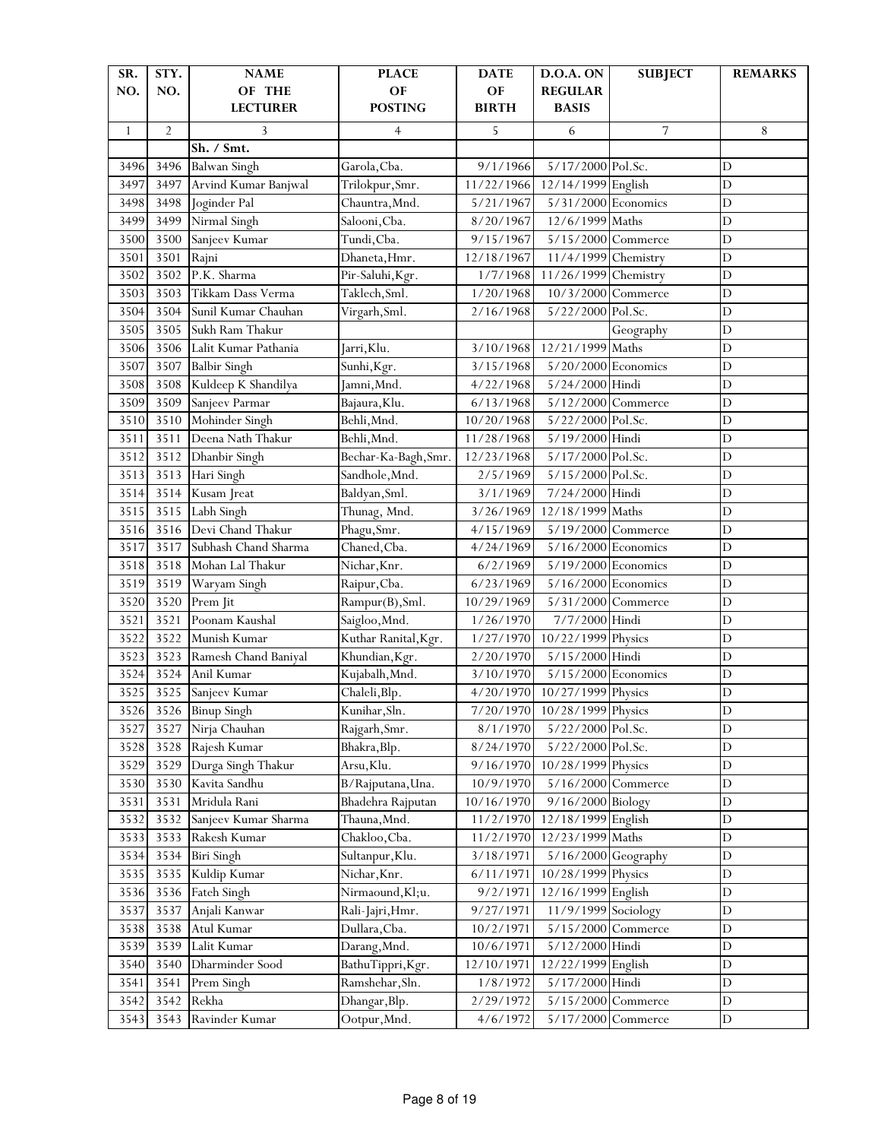| SR.          | STY.           | <b>NAME</b>          | <b>PLACE</b>         | <b>DATE</b>  | <b>D.O.A. ON</b>             | <b>SUBJECT</b>     | <b>REMARKS</b> |
|--------------|----------------|----------------------|----------------------|--------------|------------------------------|--------------------|----------------|
| NO.          | NO.            | OF THE               | OF                   | OF           | <b>REGULAR</b>               |                    |                |
|              |                | <b>LECTURER</b>      | <b>POSTING</b>       | <b>BIRTH</b> | <b>BASIS</b>                 |                    |                |
| $\mathbf{1}$ | $\overline{2}$ | 3                    | $\overline{4}$       | 5            | 6                            | 7                  | 8              |
|              |                | Sh. / Smt.           |                      |              |                              |                    |                |
| 3496         | 3496           | <b>Balwan Singh</b>  | Garola, Cba.         | 9/1/1966     | 5/17/2000 Pol.Sc.            |                    | $\mathbf D$    |
| 3497         | 3497           | Arvind Kumar Banjwal | Trilokpur, Smr.      | 11/22/1966   | 12/14/1999 English           |                    | $\mathbf D$    |
| 3498         | 3498           | Joginder Pal         | Chauntra, Mnd.       | 5/21/1967    | 5/31/2000 Economics          |                    | $\mathbf D$    |
| 3499         | 3499           | Nirmal Singh         | Salooni, Cba.        | 8/20/1967    | 12/6/1999 Maths              |                    | $\mathbf D$    |
| 3500         | 3500           | Sanjeev Kumar        | Tundi, Cba.          | 9/15/1967    | 5/15/2000 Commerce           |                    | D              |
| 3501         | 3501           | Rajni                | Dhaneta, Hmr.        | 12/18/1967   | 11/4/1999 Chemistry          |                    | $\overline{D}$ |
| 3502         | 3502           | P.K. Sharma          | Pir-Saluhi, Kgr.     | 1/7/1968     | 11/26/1999 Chemistry         |                    | D              |
| 3503         | 3503           | Tikkam Dass Verma    | Taklech, Sml.        | 1/20/1968    | 10/3/2000 Commerce           |                    | $\overline{D}$ |
| 3504         | 3504           | Sunil Kumar Chauhan  | Virgarh, Sml.        | 2/16/1968    | 5/22/2000 Pol.Sc.            |                    | $\overline{D}$ |
| 3505         | 3505           | Sukh Ram Thakur      |                      |              |                              | Geography          | $\mathbf D$    |
| 3506         | 3506           | Lalit Kumar Pathania | Jarri, Klu.          | 3/10/1968    | 12/21/1999 Maths             |                    | $\mathbf D$    |
| 3507         | 3507           | <b>Balbir Singh</b>  | Sunhi, Kgr.          | 3/15/1968    | $5/20/2000$ Economics        |                    | $\mathbf D$    |
| 3508         | 3508           | Kuldeep K Shandilya  | Jamni, Mnd.          | 4/22/1968    | 5/24/2000 Hindi              |                    | $\overline{D}$ |
| 3509         | 3509           | Sanjeev Parmar       | Bajaura, Klu.        | 6/13/1968    | 5/12/2000 Commerce           |                    | $\mathbf D$    |
| 3510         | 3510           | Mohinder Singh       | Behli, Mnd.          | 10/20/1968   | 5/22/2000 Pol.Sc.            |                    | D              |
| 3511         | 3511           | Deena Nath Thakur    | Behli, Mnd.          | 11/28/1968   | 5/19/2000 Hindi              |                    | D              |
| 3512         | 3512           | Dhanbir Singh        | Bechar-Ka-Bagh, Smr. | 12/23/1968   | 5/17/2000 Pol.Sc.            |                    | D              |
| 3513         | 3513           | Hari Singh           | Sandhole, Mnd.       | 2/5/1969     | 5/15/2000 Pol.Sc.            |                    | $\overline{D}$ |
| 3514         | 3514           | Kusam Jreat          | Baldyan, Sml.        | 3/1/1969     | 7/24/2000 Hindi              |                    | $\mathbf D$    |
| 3515         | 3515           | Labh Singh           | Thunag, Mnd.         | 3/26/1969    | 12/18/1999 Maths             |                    | $\mathbf D$    |
| 3516         | 3516           | Devi Chand Thakur    | Phagu, Smr.          | 4/15/1969    | 5/19/2000 Commerce           |                    | $\mathbf D$    |
| 3517         | 3517           | Subhash Chand Sharma | Chaned, Cba.         | 4/24/1969    | $5/16/2000$ Economics        |                    | $\mathbf D$    |
| 3518         | 3518           | Mohan Lal Thakur     | Nichar, Knr.         | 6/2/1969     | 5/19/2000 Economics          |                    | $\mathbf D$    |
| 3519         | 3519           | Waryam Singh         | Raipur, Cba.         | 6/23/1969    | 5/16/2000 Economics          |                    | $\mathbf D$    |
| 3520         | 3520           | Prem Jit             | Rampur(B), Sml.      | 10/29/1969   | 5/31/2000 Commerce           |                    | D              |
| 3521         | 3521           | Poonam Kaushal       | Saigloo, Mnd.        | 1/26/1970    | 7/7/2000 Hindi               |                    | D              |
| 3522         | 3522           | Munish Kumar         | Kuthar Ranital, Kgr. | 1/27/1970    | 10/22/1999 Physics           |                    | D              |
| 3523         | 3523           | Ramesh Chand Baniyal | Khundian, Kgr.       | 2/20/1970    | 5/15/2000 Hindi              |                    | $\overline{D}$ |
| 3524         | 3524           | Anil Kumar           | Kujabalh, Mnd.       | 3/10/1970    | 5/15/2000 Economics          |                    | $\overline{D}$ |
| 3525         | 3525           | Sanjeev Kumar        | Chaleli, Blp.        | 4/20/1970    | 10/27/1999 Physics           |                    | $\mathbf D$    |
| 3526         |                | 3526 Binup Singh     | Kunihar, Sln.        |              | 7/20/1970 10/28/1999 Physics |                    | D              |
| 3527         | 3527           | Nirja Chauhan        | Rajgarh, Smr.        | 8/1/1970     | 5/22/2000 Pol.Sc.            |                    | $\mathbf D$    |
| 3528         | 3528           | Rajesh Kumar         | Bhakra, Blp.         | 8/24/1970    | 5/22/2000 Pol.Sc.            |                    | $\mathbf D$    |
| 3529         | 3529           | Durga Singh Thakur   | Arsu, Klu.           | 9/16/1970    | 10/28/1999 Physics           |                    | $\mathbf D$    |
| 3530         | 3530           | Kavita Sandhu        | B/Rajputana, Una.    | 10/9/1970    | 5/16/2000 Commerce           |                    | $\mathbf D$    |
| 3531         | 3531           | Mridula Rani         | Bhadehra Rajputan    | 10/16/1970   | 9/16/2000 Biology            |                    | $\mathbf D$    |
| 3532         | 3532           | Sanjeev Kumar Sharma | Thauna, Mnd.         | 11/2/1970    | 12/18/1999 English           |                    | D              |
| 3533         | 3533           | Rakesh Kumar         | Chakloo, Cba.        | 11/2/1970    | 12/23/1999 Maths             |                    | $\mathbf D$    |
| 3534         | 3534           | <b>Biri Singh</b>    | Sultanpur, Klu.      | 3/18/1971    | $5/16/2000$ Geography        |                    | D              |
| 3535         | 3535           | Kuldip Kumar         | Nichar, Knr.         | 6/11/1971    | 10/28/1999 Physics           |                    | $\mathbf D$    |
| 3536         | 3536           | Fateh Singh          | Nirmaound, Kl;u.     | 9/2/1971     | 12/16/1999 English           |                    | $\mathbf D$    |
| 3537         | 3537           | Anjali Kanwar        | Rali-Jajri, Hmr.     | 9/27/1971    | 11/9/1999 Sociology          |                    | $\mathbf D$    |
| 3538         | 3538           | Atul Kumar           | Dullara, Cba.        | 10/2/1971    | 5/15/2000 Commerce           |                    | $\mathbf D$    |
| 3539         | 3539           | Lalit Kumar          | Darang, Mnd.         | 10/6/1971    | 5/12/2000 Hindi              |                    | $\mathbf D$    |
| 3540         | 3540           | Dharminder Sood      | BathuTippri, Kgr.    | 12/10/1971   | 12/22/1999 English           |                    | $\mathbf D$    |
| 3541         | 3541           | Prem Singh           | Ramshehar, Sln.      | 1/8/1972     | 5/17/2000 Hindi              |                    | $\mathbf D$    |
| 3542         | 3542           | Rekha                | Dhangar, Blp.        | 2/29/1972    |                              | 5/15/2000 Commerce | $\mathbf D$    |
| 3543         | 3543           | Ravinder Kumar       | Ootpur, Mnd.         | 4/6/1972     |                              | 5/17/2000 Commerce | $\mathbf D$    |
|              |                |                      |                      |              |                              |                    |                |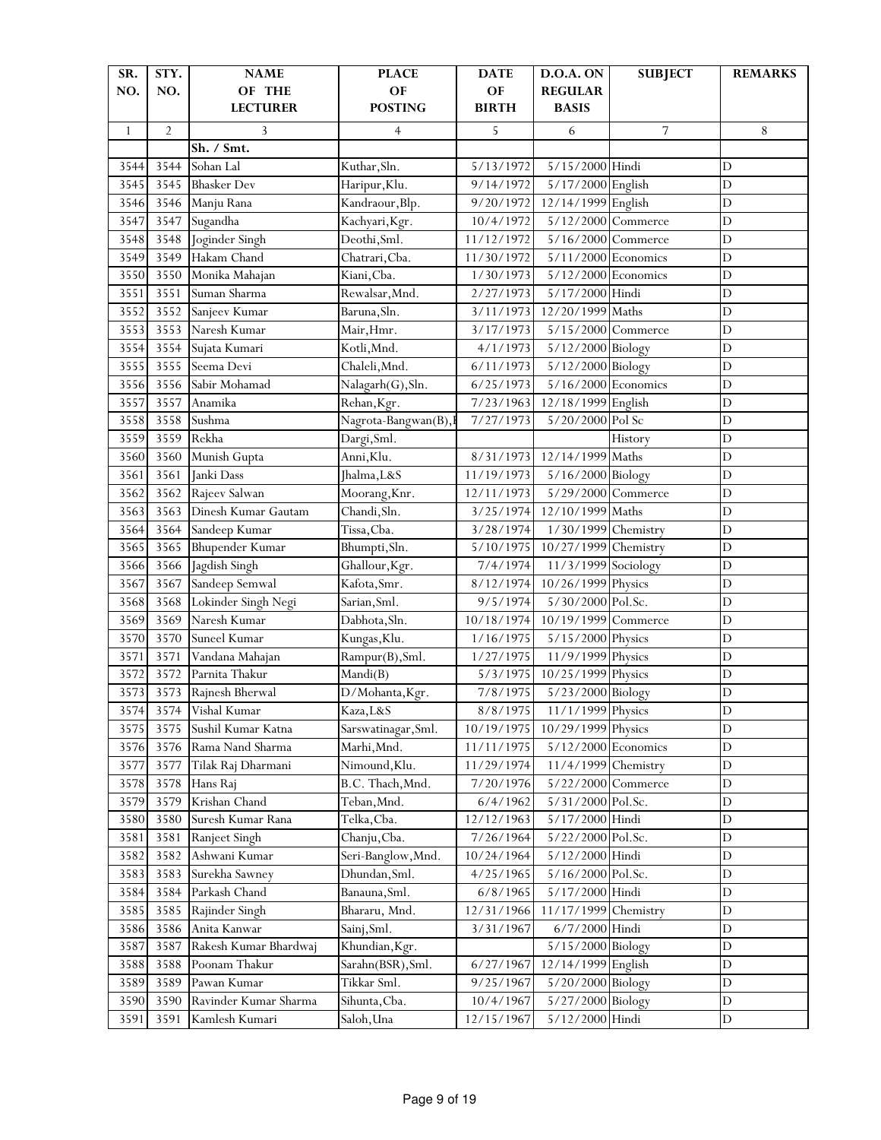| SR.          | STY.           | <b>NAME</b>                       | <b>PLACE</b>                 | <b>DATE</b>          | D.O.A. ON            | <b>SUBJECT</b>     | <b>REMARKS</b> |
|--------------|----------------|-----------------------------------|------------------------------|----------------------|----------------------|--------------------|----------------|
| NO.          | NO.            | OF THE                            | OF                           | OF                   | <b>REGULAR</b>       |                    |                |
|              |                | <b>LECTURER</b>                   | <b>POSTING</b>               | <b>BIRTH</b>         | <b>BASIS</b>         |                    |                |
| $\mathbf{1}$ | $\overline{2}$ | 3                                 | $\overline{4}$               | 5                    | 6                    | 7                  | 8              |
|              |                | Sh. / Smt.                        |                              |                      |                      |                    |                |
| 3544         | 3544           | Sohan Lal                         | Kuthar, Sln.                 | 5/13/1972            | 5/15/2000 Hindi      |                    | $\mathbf D$    |
| 3545         | 3545           | <b>Bhasker Dev</b>                | Haripur, Klu.                | 9/14/1972            | 5/17/2000 English    |                    | $\mathbf D$    |
| 3546         | 3546           | Manju Rana                        | Kandraour, Blp.              | 9/20/1972            | 12/14/1999 English   |                    | $\overline{D}$ |
| 3547         | 3547           | Sugandha                          | Kachyari, Kgr.               | 10/4/1972            | 5/12/2000 Commerce   |                    | D              |
| 3548         | 3548           | Joginder Singh                    | Deothi, Sml.                 | 11/12/1972           | 5/16/2000 Commerce   |                    | D              |
| 3549         | 3549           | Hakam Chand                       | Chatrari, Cba.               | 11/30/1972           | 5/11/2000 Economics  |                    | D              |
| 3550         | 3550           | Monika Mahajan                    | Kiani, Cba.                  | 1/30/1973            | 5/12/2000 Economics  |                    | D              |
| 3551         | 3551           | Suman Sharma                      | Rewalsar, Mnd.               | 2/27/1973            | 5/17/2000 Hindi      |                    | $\overline{D}$ |
| 3552         | 3552           | Sanjeev Kumar                     | Baruna, Sln.                 | 3/11/1973            | 12/20/1999 Maths     |                    | $\overline{D}$ |
| 3553         | 3553           | Naresh Kumar                      | Mair, Hmr.                   | 3/17/1973            | 5/15/2000 Commerce   |                    | $\mathbf D$    |
| 3554         | 3554           | Sujata Kumari                     | Kotli, Mnd.                  | 4/1/1973             | 5/12/2000 Biology    |                    | $\mathbf D$    |
| 3555         | 3555           | Seema Devi                        | Chaleli, Mnd.                | 6/11/1973            | 5/12/2000 Biology    |                    | $\mathbf D$    |
| 3556         | 3556           | Sabir Mohamad                     | Nalagarh(G), Sln.            | 6/25/1973            | 5/16/2000 Economics  |                    | $\overline{D}$ |
| 3557         | 3557           | Anamika                           | Rehan, Kgr.                  | 7/23/1963            | 12/18/1999 English   |                    | D              |
| 3558         | 3558           | Sushma                            | Nagrota-Bangwan(B),          | 7/27/1973            | 5/20/2000 Pol Sc     |                    | D              |
| 3559         | 3559           | Rekha                             | Dargi, Sml.                  |                      |                      | History            | D              |
| 3560         | 3560           | Munish Gupta                      | Anni, Klu.                   | 8/31/1973            | 12/14/1999 Maths     |                    | D              |
| 3561         | 3561           | Janki Dass                        | Jhalma, L&S                  | 11/19/1973           | 5/16/2000 Biology    |                    | $\overline{D}$ |
| 3562         | 3562           | Rajeev Salwan                     | Moorang, Knr.                | 12/11/1973           | 5/29/2000 Commerce   |                    | $\mathbf D$    |
| 3563         | 3563           | Dinesh Kumar Gautam               | Chandi, Sln.                 | 3/25/1974            | 12/10/1999 Maths     |                    | $\mathbf D$    |
| 3564         | 3564           | Sandeep Kumar                     | Tissa, Cba.                  | 3/28/1974            | 1/30/1999 Chemistry  |                    | $\mathbf D$    |
| 3565         | 3565           | <b>Bhupender Kumar</b>            | Bhumpti, Sln.                | 5/10/1975            | 10/27/1999 Chemistry |                    | D              |
| 3566         | 3566           | Jagdish Singh                     | Ghallour, Kgr.               | 7/4/1974             | 11/3/1999 Sociology  |                    | $\overline{D}$ |
| 3567         | 3567           | Sandeep Semwal                    | Kafota, Smr.                 | 8/12/1974            | 10/26/1999 Physics   |                    | D              |
| 3568         | 3568           | Lokinder Singh Negi               | Sarian, Sml.                 | 9/5/1974             | 5/30/2000 Pol.Sc.    |                    | D              |
| 3569         | 3569           | Naresh Kumar                      | Dabhota, Sln.                | 10/18/1974           | 10/19/1999 Commerce  |                    | D              |
| 3570         | 3570           | Suneel Kumar                      | Kungas, Klu.                 | 1/16/1975            | 5/15/2000 Physics    |                    | D              |
| 3571         | 3571           |                                   | Rampur(B), Sml.              | 1/27/1975            | 11/9/1999 Physics    |                    | $\overline{D}$ |
| 3572         | 3572           | Vandana Mahajan<br>Parnita Thakur | Mandi(B)                     | 5/3/1975             | 10/25/1999 Physics   |                    | $\overline{D}$ |
| 3573         | 3573           |                                   |                              |                      | 5/23/2000 Biology    |                    | $\mathbf D$    |
| 3574         | 3574           | Rajnesh Bherwal<br>Vishal Kumar   | D/Mohanta, Kgr.<br>Kaza, L&S | 7/8/1975<br>8/8/1975 | 11/1/1999 Physics    |                    |                |
|              |                |                                   |                              |                      |                      |                    | D              |
| 3575         | 3575           | Sushil Kumar Katna                | Sarswatinagar, Sml.          | 10/19/1975           | 10/29/1999 Physics   |                    | $\mathbf D$    |
| 3576         | 3576           | Rama Nand Sharma                  | Marhi, Mnd.                  | 11/11/1975           | 5/12/2000 Economics  |                    | $\mathbf D$    |
| 3577         | 3577           | Tilak Raj Dharmani                | Nimound, Klu.                | 11/29/1974           | 11/4/1999 Chemistry  |                    | $\mathbf D$    |
| 3578         | 3578           | Hans Raj                          | B.C. Thach, Mnd.             | 7/20/1976            |                      | 5/22/2000 Commerce | $\mathbf D$    |
| 3579         | 3579           | Krishan Chand                     | Teban, Mnd.                  | 6/4/1962             | 5/31/2000 Pol.Sc.    |                    | $\mathbf D$    |
| 3580         | 3580           | Suresh Kumar Rana                 | Telka, Cba.                  | 12/12/1963           | 5/17/2000 Hindi      |                    | $\mathbf D$    |
| 3581         | 3581           | Ranjeet Singh                     | Chanju, Cba.                 | 7/26/1964            | 5/22/2000 Pol.Sc.    |                    | $\mathbf D$    |
| 3582         | 3582           | Ashwani Kumar                     | Seri-Banglow, Mnd.           | 10/24/1964           | 5/12/2000 Hindi      |                    | D              |
| 3583         | 3583           | Surekha Sawney                    | Dhundan, Sml.                | 4/25/1965            | 5/16/2000 Pol.Sc.    |                    | $\mathbf D$    |
| 3584         | 3584           | Parkash Chand                     | Banauna, Sml.                | 6/8/1965             | 5/17/2000 Hindi      |                    | $\mathbf D$    |
| 3585         | 3585           | Rajinder Singh                    | Bhararu, Mnd.                | 12/31/1966           | 11/17/1999 Chemistry |                    | $\mathbf D$    |
| 3586         | 3586           | Anita Kanwar                      | Sainj, Sml.                  | 3/31/1967            | 6/7/2000 Hindi       |                    | D              |
| 3587         | 3587           | Rakesh Kumar Bhardwaj             | Khundian, Kgr.               |                      | 5/15/2000 Biology    |                    | $\mathbf D$    |
| 3588         | 3588           | Poonam Thakur                     | Sarahn(BSR), Sml.            | 6/27/1967            | 12/14/1999 English   |                    | $\mathbf D$    |
| 3589         | 3589           | Pawan Kumar                       | Tikkar Sml.                  | 9/25/1967            | 5/20/2000 Biology    |                    | $\mathbf D$    |
| 3590         | 3590           | Ravinder Kumar Sharma             | Sihunta, Cba.                | 10/4/1967            | 5/27/2000 Biology    |                    | D              |
| 3591         | 3591           | Kamlesh Kumari                    | Saloh, Una                   | 12/15/1967           | 5/12/2000 Hindi      |                    | $\mathbf D$    |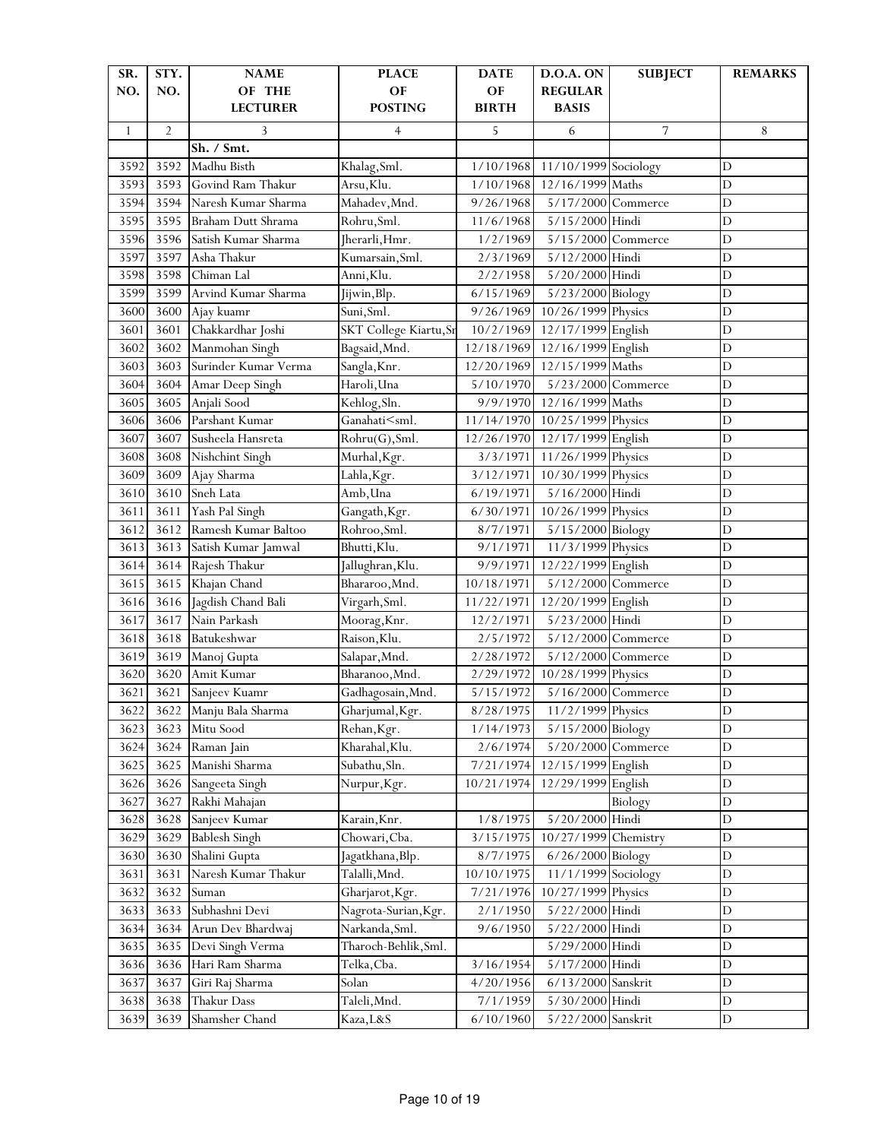| SR.          | STY.           | <b>NAME</b>          | <b>PLACE</b>                                                                                    | <b>DATE</b>  | <b>D.O.A. ON</b>     | <b>SUBJECT</b> | <b>REMARKS</b> |
|--------------|----------------|----------------------|-------------------------------------------------------------------------------------------------|--------------|----------------------|----------------|----------------|
| NO.          | NO.            | OF THE               | OF                                                                                              | OF           | <b>REGULAR</b>       |                |                |
|              |                | <b>LECTURER</b>      | <b>POSTING</b>                                                                                  | <b>BIRTH</b> | <b>BASIS</b>         |                |                |
| $\mathbf{1}$ | $\overline{2}$ | 3                    | $\overline{4}$                                                                                  | 5            | 6                    | 7              | 8              |
|              |                | Sh. / Smt.           |                                                                                                 |              |                      |                |                |
| 3592         | 3592           | Madhu Bisth          | Khalag, Sml.                                                                                    | 1/10/1968    | 11/10/1999 Sociology |                | $\mathbf D$    |
| 3593         | 3593           | Govind Ram Thakur    | Arsu, Klu.                                                                                      | 1/10/1968    | 12/16/1999 Maths     |                | D              |
| 3594         | 3594           | Naresh Kumar Sharma  | Mahadev, Mnd.                                                                                   | 9/26/1968    | 5/17/2000 Commerce   |                | $\mathbf D$    |
| 3595         | 3595           | Braham Dutt Shrama   | Rohru, Sml.                                                                                     | 11/6/1968    | 5/15/2000 Hindi      |                | D              |
| 3596         | 3596           | Satish Kumar Sharma  | Jherarli, Hmr.                                                                                  | 1/2/1969     | 5/15/2000 Commerce   |                | D              |
| 3597         | 3597           | Asha Thakur          | Kumarsain, Sml.                                                                                 | 2/3/1969     | 5/12/2000 Hindi      |                | D              |
| 3598         | 3598           | Chiman Lal           | Anni, Klu.                                                                                      | 2/2/1958     | 5/20/2000 Hindi      |                | D              |
| 3599         | 3599           | Arvind Kumar Sharma  | Jijwin, Blp.                                                                                    | 6/15/1969    | 5/23/2000 Biology    |                | $\overline{D}$ |
| 3600         | 3600           | Ajay kuamr           | Suni, Sml.                                                                                      | 9/26/1969    | 10/26/1999 Physics   |                | $\overline{D}$ |
| 3601         | 3601           | Chakkardhar Joshi    | SKT College Kiartu, Sr                                                                          | 10/2/1969    | 12/17/1999 English   |                | $\mathbf D$    |
| 3602         | 3602           | Manmohan Singh       | Bagsaid, Mnd.                                                                                   | 12/18/1969   | 12/16/1999 English   |                | $\overline{D}$ |
| 3603         | 3603           | Surinder Kumar Verma | Sangla, Knr.                                                                                    | 12/20/1969   | 12/15/1999 Maths     |                | D              |
| 3604         | 3604           | Amar Deep Singh      | Haroli, Una                                                                                     | 5/10/1970    | 5/23/2000 Commerce   |                | $\overline{D}$ |
| 3605         | 3605           | Anjali Sood          | Kehlog, Sln.                                                                                    | 9/9/1970     | 12/16/1999 Maths     |                | D              |
| 3606         | 3606           | Parshant Kumar       | Ganahati <sml.< td=""><td>11/14/1970</td><td>10/25/1999 Physics</td><td></td><td>D</td></sml.<> | 11/14/1970   | 10/25/1999 Physics   |                | D              |
| 3607         | 3607           | Susheela Hansreta    | Rohru(G), Sml.                                                                                  | 12/26/1970   | 12/17/1999 English   |                | D              |
| 3608         | 3608           | Nishchint Singh      | Murhal, Kgr.                                                                                    | 3/3/1971     | 11/26/1999 Physics   |                | D              |
| 3609         | 3609           | Ajay Sharma          | Lahla, Kgr.                                                                                     | 3/12/1971    | 10/30/1999 Physics   |                | $\overline{D}$ |
| 3610         | 3610           | Sneh Lata            | Amb, Una                                                                                        | 6/19/1971    | 5/16/2000 Hindi      |                | $\mathbf D$    |
| 3611         | 3611           | Yash Pal Singh       | Gangath, Kgr.                                                                                   | 6/30/1971    | 10/26/1999 Physics   |                | $\mathbf D$    |
| 3612         | 3612           | Ramesh Kumar Baltoo  | Rohroo, Sml.                                                                                    | 8/7/1971     | 5/15/2000 Biology    |                | D              |
| 3613         | 3613           | Satish Kumar Jamwal  | Bhutti, Klu.                                                                                    | 9/1/1971     | 11/3/1999 Physics    |                | D              |
| 3614         | 3614           | Rajesh Thakur        | Jallughran,Klu.                                                                                 | 9/9/1971     | 12/22/1999 English   |                | $\overline{D}$ |
| 3615         | 3615           | Khajan Chand         | Bhararoo, Mnd.                                                                                  | 10/18/1971   | 5/12/2000 Commerce   |                | $\mathbf D$    |
| 3616         | 3616           | Jagdish Chand Bali   | Virgarh, Sml.                                                                                   | 11/22/1971   | 12/20/1999 English   |                | D              |
| 3617         | 3617           | Nain Parkash         | Moorag, Knr.                                                                                    | 12/2/1971    | 5/23/2000 Hindi      |                | D              |
| 3618         | 3618           | Batukeshwar          | Raison, Klu.                                                                                    | 2/5/1972     | 5/12/2000 Commerce   |                | D              |
| 3619         | 3619           | Manoj Gupta          | Salapar, Mnd.                                                                                   | 2/28/1972    | 5/12/2000 Commerce   |                | $\overline{D}$ |
| 3620         | 3620           | Amit Kumar           | Bharanoo, Mnd.                                                                                  | 2/29/1972    | 10/28/1999 Physics   |                | $\overline{D}$ |
| 3621         | 3621           | Sanjeev Kuamr        | Gadhagosain, Mnd.                                                                               | 5/15/1972    | 5/16/2000 Commerce   |                | $\mathbf D$    |
| 3622         | 3622           | Manju Bala Sharma    | Gharjumal, Kgr.                                                                                 | 8/28/1975    | 11/2/1999 Physics    |                | D              |
| 3623         | 3623           | Mitu Sood            | Rehan, Kgr.                                                                                     | 1/14/1973    | 5/15/2000 Biology    |                | D              |
| 3624         | 3624           | Raman Jain           | Kharahal, Klu.                                                                                  | 2/6/1974     | 5/20/2000 Commerce   |                | $\mathbf D$    |
| 3625         | 3625           | Manishi Sharma       | Subathu, Sln.                                                                                   | 7/21/1974    | 12/15/1999 English   |                | $\mathbf D$    |
| 3626         | 3626           | Sangeeta Singh       | Nurpur, Kgr.                                                                                    | 10/21/1974   | 12/29/1999 English   |                | $\mathbf D$    |
| 3627         | 3627           | Rakhi Mahajan        |                                                                                                 |              |                      | Biology        | $\mathbf D$    |
| 3628         | 3628           | Sanjeev Kumar        | Karain, Knr.                                                                                    | 1/8/1975     | 5/20/2000            | Hindi          | D              |
| 3629         | 3629           | <b>Bablesh Singh</b> | Chowari, Cba.                                                                                   | 3/15/1975    | 10/27/1999           | Chemistry      | $\mathbf D$    |
| 3630         | 3630           | Shalini Gupta        | Jagatkhana, Blp.                                                                                | 8/7/1975     | 6/26/2000 Biology    |                | D              |
| 3631         | 3631           | Naresh Kumar Thakur  | Talalli, Mnd.                                                                                   | 10/10/1975   | 11/1/1999 Sociology  |                | $\mathbf D$    |
| 3632         | 3632           | Suman                | Gharjarot, Kgr.                                                                                 | 7/21/1976    | 10/27/1999 Physics   |                | $\mathbf D$    |
| 3633         | 3633           | Subhashni Devi       | Nagrota-Surian, Kgr.                                                                            | 2/1/1950     | 5/22/2000 Hindi      |                | $\mathbf D$    |
| 3634         | 3634           | Arun Dev Bhardwaj    | Narkanda, Sml.                                                                                  | 9/6/1950     | 5/22/2000 Hindi      |                | $\mathbf D$    |
| 3635         | 3635           | Devi Singh Verma     | Tharoch-Behlik, Sml.                                                                            |              | 5/29/2000 Hindi      |                | $\mathbf D$    |
| 3636         | 3636           | Hari Ram Sharma      | Telka, Cba.                                                                                     | 3/16/1954    | 5/17/2000 Hindi      |                | $\mathbf D$    |
| 3637         | 3637           | Giri Raj Sharma      | Solan                                                                                           | 4/20/1956    | 6/13/2000 Sanskrit   |                | $\mathbf D$    |
| 3638         | 3638           | Thakur Dass          | Taleli, Mnd.                                                                                    | 7/1/1959     | 5/30/2000 Hindi      |                | $\mathbf D$    |
| 3639         | 3639           | Shamsher Chand       | Kaza, L&S                                                                                       | 6/10/1960    | 5/22/2000 Sanskrit   |                | $\mathbf D$    |
|              |                |                      |                                                                                                 |              |                      |                |                |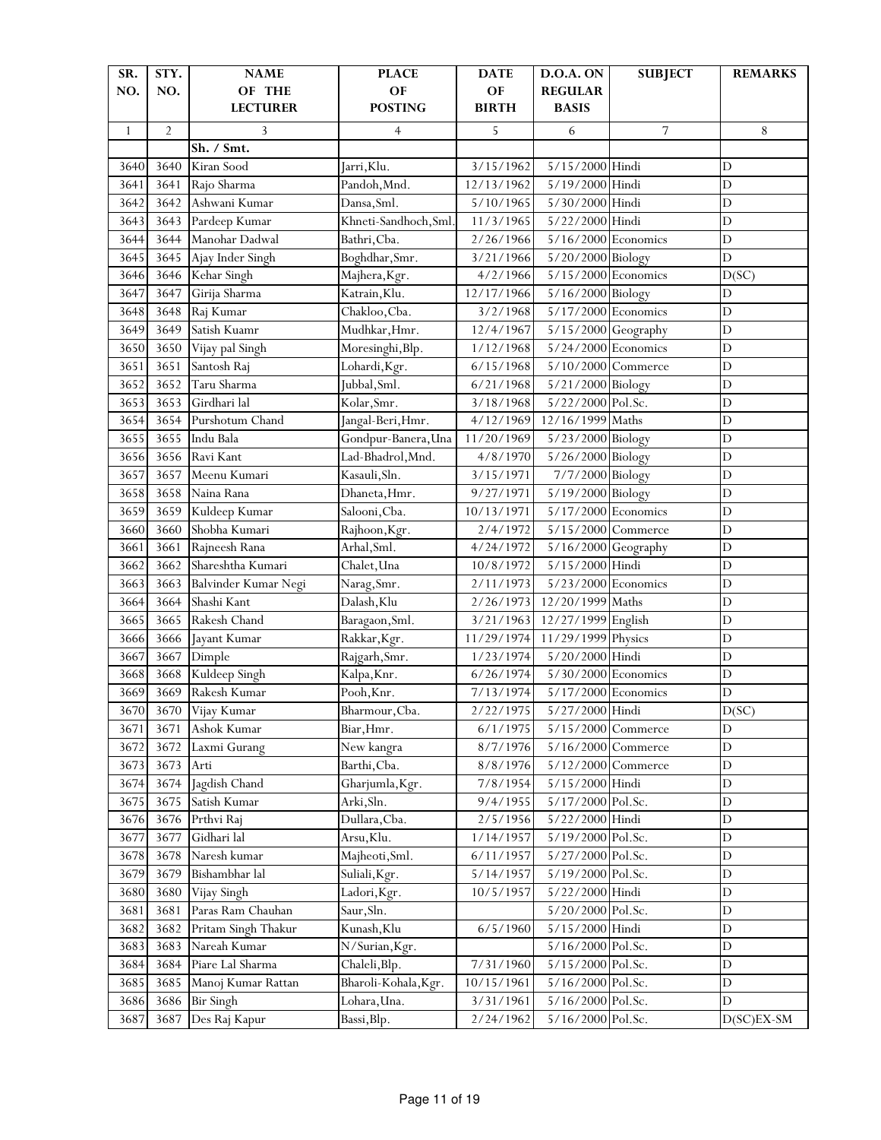| OF<br>OF<br>NO.<br>NO.<br>OF THE<br><b>REGULAR</b><br><b>POSTING</b><br><b>BIRTH</b><br><b>LECTURER</b><br><b>BASIS</b><br>$\overline{2}$<br>3<br>5<br>6<br>7<br>4<br>8<br>$\mathbf{1}$<br>Sh. / Smt.<br>Kiran Sood<br>3/15/1962<br>5/15/2000 Hindi<br>3640<br>$\mathbf D$<br>3640<br>Jarri,Klu.<br>Pandoh, Mnd.<br>12/13/1962<br>5/19/2000 Hindi<br>$\mathbf D$<br>3641<br>3641<br>Rajo Sharma<br>Ashwani Kumar<br>Dansa, Sml.<br>5/30/2000 Hindi<br>$\mathbf D$<br>3642<br>3642<br>5/10/1965<br>Khneti-Sandhoch, Sml.<br>Pardeep Kumar<br>11/3/1965<br>5/22/2000 Hindi<br>$\mathbf D$<br>3643<br>3643<br>$\overline{D}$<br>3644<br>Manohar Dadwal<br>Bathri, Cba.<br>2/26/1966<br>$5/16/2000$ Economics<br>3644<br>D<br>3645<br>3645<br>Boghdhar, Smr.<br>3/21/1966<br>5/20/2000 Biology<br>Ajay Inder Singh<br>3646<br>Kehar Singh<br>4/2/1966<br>5/15/2000 Economics<br>3646<br>Majhera, Kgr.<br>D(SC)<br>Girija Sharma<br>5/16/2000 Biology<br>$\mathbf D$<br>3647<br>3647<br>Katrain, Klu.<br>12/17/1966<br>3648<br>Raj Kumar<br>Chakloo, Cba.<br>3/2/1968<br>5/17/2000 Economics<br>$\mathbf D$<br>3648<br>$\overline{D}$<br>3649<br>Mudhkar, Hmr.<br>12/4/1967<br>3649<br>Satish Kuamr<br>5/15/2000 Geography<br>$\overline{D}$<br>5/24/2000 Economics<br>3650<br>3650<br>Vijay pal Singh<br>Moresinghi, Blp.<br>1/12/1968<br>$\mathbf D$<br>3651<br>3651<br>Santosh Raj<br>Lohardi, Kgr.<br>6/15/1968<br>5/10/2000 Commerce<br>Taru Sharma<br>Jubbal, Sml.<br>5/21/2000 Biology<br>$\mathbf D$<br>3652<br>3652<br>6/21/1968<br>Girdhari lal<br>Kolar, Smr.<br>3653<br>3653<br>3/18/1968<br>5/22/2000 Pol.Sc.<br>$\mathbf D$<br>Purshotum Chand<br>12/16/1999 Maths<br>$\overline{D}$<br>3654<br>Jangal-Beri, Hmr.<br>4/12/1969<br>3654<br>$\overline{D}$<br>3655<br>3655<br>Indu Bala<br>Gondpur-Banera, Una<br>11/20/1969<br>5/23/2000 Biology<br>Lad-Bhadrol, Mnd.<br>4/8/1970<br>5/26/2000 Biology<br>$\mathbf D$<br>3656<br>3656<br>Ravi Kant<br>7/7/2000 Biology<br>$\mathbf D$<br>3657<br>3657<br>Meenu Kumari<br>Kasauli, Sln.<br>3/15/1971<br>Naina Rana<br>Dhaneta, Hmr.<br>5/19/2000 Biology<br>$\mathbf D$<br>3658<br>3658<br>9/27/1971<br>$\mathbf D$<br>Salooni, Cba.<br>10/13/1971<br>5/17/2000 Economics<br>3659<br>3659<br>Kuldeep Kumar<br>$\mathbf D$<br>Shobha Kumari<br>3660<br>3660<br>2/4/1972<br>5/15/2000 Commerce<br>Rajhoon, Kgr. |
|----------------------------------------------------------------------------------------------------------------------------------------------------------------------------------------------------------------------------------------------------------------------------------------------------------------------------------------------------------------------------------------------------------------------------------------------------------------------------------------------------------------------------------------------------------------------------------------------------------------------------------------------------------------------------------------------------------------------------------------------------------------------------------------------------------------------------------------------------------------------------------------------------------------------------------------------------------------------------------------------------------------------------------------------------------------------------------------------------------------------------------------------------------------------------------------------------------------------------------------------------------------------------------------------------------------------------------------------------------------------------------------------------------------------------------------------------------------------------------------------------------------------------------------------------------------------------------------------------------------------------------------------------------------------------------------------------------------------------------------------------------------------------------------------------------------------------------------------------------------------------------------------------------------------------------------------------------------------------------------------------------------------------------------------------------------------------------------------------------------------------------------------------------------------------------------------------------------------------------------------------------------------------------------------------------------------------------------------------------------------|
|                                                                                                                                                                                                                                                                                                                                                                                                                                                                                                                                                                                                                                                                                                                                                                                                                                                                                                                                                                                                                                                                                                                                                                                                                                                                                                                                                                                                                                                                                                                                                                                                                                                                                                                                                                                                                                                                                                                                                                                                                                                                                                                                                                                                                                                                                                                                                                      |
|                                                                                                                                                                                                                                                                                                                                                                                                                                                                                                                                                                                                                                                                                                                                                                                                                                                                                                                                                                                                                                                                                                                                                                                                                                                                                                                                                                                                                                                                                                                                                                                                                                                                                                                                                                                                                                                                                                                                                                                                                                                                                                                                                                                                                                                                                                                                                                      |
|                                                                                                                                                                                                                                                                                                                                                                                                                                                                                                                                                                                                                                                                                                                                                                                                                                                                                                                                                                                                                                                                                                                                                                                                                                                                                                                                                                                                                                                                                                                                                                                                                                                                                                                                                                                                                                                                                                                                                                                                                                                                                                                                                                                                                                                                                                                                                                      |
|                                                                                                                                                                                                                                                                                                                                                                                                                                                                                                                                                                                                                                                                                                                                                                                                                                                                                                                                                                                                                                                                                                                                                                                                                                                                                                                                                                                                                                                                                                                                                                                                                                                                                                                                                                                                                                                                                                                                                                                                                                                                                                                                                                                                                                                                                                                                                                      |
|                                                                                                                                                                                                                                                                                                                                                                                                                                                                                                                                                                                                                                                                                                                                                                                                                                                                                                                                                                                                                                                                                                                                                                                                                                                                                                                                                                                                                                                                                                                                                                                                                                                                                                                                                                                                                                                                                                                                                                                                                                                                                                                                                                                                                                                                                                                                                                      |
|                                                                                                                                                                                                                                                                                                                                                                                                                                                                                                                                                                                                                                                                                                                                                                                                                                                                                                                                                                                                                                                                                                                                                                                                                                                                                                                                                                                                                                                                                                                                                                                                                                                                                                                                                                                                                                                                                                                                                                                                                                                                                                                                                                                                                                                                                                                                                                      |
|                                                                                                                                                                                                                                                                                                                                                                                                                                                                                                                                                                                                                                                                                                                                                                                                                                                                                                                                                                                                                                                                                                                                                                                                                                                                                                                                                                                                                                                                                                                                                                                                                                                                                                                                                                                                                                                                                                                                                                                                                                                                                                                                                                                                                                                                                                                                                                      |
|                                                                                                                                                                                                                                                                                                                                                                                                                                                                                                                                                                                                                                                                                                                                                                                                                                                                                                                                                                                                                                                                                                                                                                                                                                                                                                                                                                                                                                                                                                                                                                                                                                                                                                                                                                                                                                                                                                                                                                                                                                                                                                                                                                                                                                                                                                                                                                      |
|                                                                                                                                                                                                                                                                                                                                                                                                                                                                                                                                                                                                                                                                                                                                                                                                                                                                                                                                                                                                                                                                                                                                                                                                                                                                                                                                                                                                                                                                                                                                                                                                                                                                                                                                                                                                                                                                                                                                                                                                                                                                                                                                                                                                                                                                                                                                                                      |
|                                                                                                                                                                                                                                                                                                                                                                                                                                                                                                                                                                                                                                                                                                                                                                                                                                                                                                                                                                                                                                                                                                                                                                                                                                                                                                                                                                                                                                                                                                                                                                                                                                                                                                                                                                                                                                                                                                                                                                                                                                                                                                                                                                                                                                                                                                                                                                      |
|                                                                                                                                                                                                                                                                                                                                                                                                                                                                                                                                                                                                                                                                                                                                                                                                                                                                                                                                                                                                                                                                                                                                                                                                                                                                                                                                                                                                                                                                                                                                                                                                                                                                                                                                                                                                                                                                                                                                                                                                                                                                                                                                                                                                                                                                                                                                                                      |
|                                                                                                                                                                                                                                                                                                                                                                                                                                                                                                                                                                                                                                                                                                                                                                                                                                                                                                                                                                                                                                                                                                                                                                                                                                                                                                                                                                                                                                                                                                                                                                                                                                                                                                                                                                                                                                                                                                                                                                                                                                                                                                                                                                                                                                                                                                                                                                      |
|                                                                                                                                                                                                                                                                                                                                                                                                                                                                                                                                                                                                                                                                                                                                                                                                                                                                                                                                                                                                                                                                                                                                                                                                                                                                                                                                                                                                                                                                                                                                                                                                                                                                                                                                                                                                                                                                                                                                                                                                                                                                                                                                                                                                                                                                                                                                                                      |
|                                                                                                                                                                                                                                                                                                                                                                                                                                                                                                                                                                                                                                                                                                                                                                                                                                                                                                                                                                                                                                                                                                                                                                                                                                                                                                                                                                                                                                                                                                                                                                                                                                                                                                                                                                                                                                                                                                                                                                                                                                                                                                                                                                                                                                                                                                                                                                      |
|                                                                                                                                                                                                                                                                                                                                                                                                                                                                                                                                                                                                                                                                                                                                                                                                                                                                                                                                                                                                                                                                                                                                                                                                                                                                                                                                                                                                                                                                                                                                                                                                                                                                                                                                                                                                                                                                                                                                                                                                                                                                                                                                                                                                                                                                                                                                                                      |
|                                                                                                                                                                                                                                                                                                                                                                                                                                                                                                                                                                                                                                                                                                                                                                                                                                                                                                                                                                                                                                                                                                                                                                                                                                                                                                                                                                                                                                                                                                                                                                                                                                                                                                                                                                                                                                                                                                                                                                                                                                                                                                                                                                                                                                                                                                                                                                      |
|                                                                                                                                                                                                                                                                                                                                                                                                                                                                                                                                                                                                                                                                                                                                                                                                                                                                                                                                                                                                                                                                                                                                                                                                                                                                                                                                                                                                                                                                                                                                                                                                                                                                                                                                                                                                                                                                                                                                                                                                                                                                                                                                                                                                                                                                                                                                                                      |
|                                                                                                                                                                                                                                                                                                                                                                                                                                                                                                                                                                                                                                                                                                                                                                                                                                                                                                                                                                                                                                                                                                                                                                                                                                                                                                                                                                                                                                                                                                                                                                                                                                                                                                                                                                                                                                                                                                                                                                                                                                                                                                                                                                                                                                                                                                                                                                      |
|                                                                                                                                                                                                                                                                                                                                                                                                                                                                                                                                                                                                                                                                                                                                                                                                                                                                                                                                                                                                                                                                                                                                                                                                                                                                                                                                                                                                                                                                                                                                                                                                                                                                                                                                                                                                                                                                                                                                                                                                                                                                                                                                                                                                                                                                                                                                                                      |
|                                                                                                                                                                                                                                                                                                                                                                                                                                                                                                                                                                                                                                                                                                                                                                                                                                                                                                                                                                                                                                                                                                                                                                                                                                                                                                                                                                                                                                                                                                                                                                                                                                                                                                                                                                                                                                                                                                                                                                                                                                                                                                                                                                                                                                                                                                                                                                      |
|                                                                                                                                                                                                                                                                                                                                                                                                                                                                                                                                                                                                                                                                                                                                                                                                                                                                                                                                                                                                                                                                                                                                                                                                                                                                                                                                                                                                                                                                                                                                                                                                                                                                                                                                                                                                                                                                                                                                                                                                                                                                                                                                                                                                                                                                                                                                                                      |
|                                                                                                                                                                                                                                                                                                                                                                                                                                                                                                                                                                                                                                                                                                                                                                                                                                                                                                                                                                                                                                                                                                                                                                                                                                                                                                                                                                                                                                                                                                                                                                                                                                                                                                                                                                                                                                                                                                                                                                                                                                                                                                                                                                                                                                                                                                                                                                      |
|                                                                                                                                                                                                                                                                                                                                                                                                                                                                                                                                                                                                                                                                                                                                                                                                                                                                                                                                                                                                                                                                                                                                                                                                                                                                                                                                                                                                                                                                                                                                                                                                                                                                                                                                                                                                                                                                                                                                                                                                                                                                                                                                                                                                                                                                                                                                                                      |
|                                                                                                                                                                                                                                                                                                                                                                                                                                                                                                                                                                                                                                                                                                                                                                                                                                                                                                                                                                                                                                                                                                                                                                                                                                                                                                                                                                                                                                                                                                                                                                                                                                                                                                                                                                                                                                                                                                                                                                                                                                                                                                                                                                                                                                                                                                                                                                      |
|                                                                                                                                                                                                                                                                                                                                                                                                                                                                                                                                                                                                                                                                                                                                                                                                                                                                                                                                                                                                                                                                                                                                                                                                                                                                                                                                                                                                                                                                                                                                                                                                                                                                                                                                                                                                                                                                                                                                                                                                                                                                                                                                                                                                                                                                                                                                                                      |
| Arhal, Sml.<br>$\mathbf D$<br>3661<br>3661<br>Rajneesh Rana<br>4/24/1972<br>5/16/2000 Geography                                                                                                                                                                                                                                                                                                                                                                                                                                                                                                                                                                                                                                                                                                                                                                                                                                                                                                                                                                                                                                                                                                                                                                                                                                                                                                                                                                                                                                                                                                                                                                                                                                                                                                                                                                                                                                                                                                                                                                                                                                                                                                                                                                                                                                                                      |
| Shareshtha Kumari<br>5/15/2000 Hindi<br>$\mathbf D$<br>3662<br>3662<br>10/8/1972<br>Chalet, Una                                                                                                                                                                                                                                                                                                                                                                                                                                                                                                                                                                                                                                                                                                                                                                                                                                                                                                                                                                                                                                                                                                                                                                                                                                                                                                                                                                                                                                                                                                                                                                                                                                                                                                                                                                                                                                                                                                                                                                                                                                                                                                                                                                                                                                                                      |
| $\overline{D}$<br>Balvinder Kumar Negi<br>2/11/1973<br>5/23/2000 Economics<br>3663<br>3663<br>Narag, Smr.                                                                                                                                                                                                                                                                                                                                                                                                                                                                                                                                                                                                                                                                                                                                                                                                                                                                                                                                                                                                                                                                                                                                                                                                                                                                                                                                                                                                                                                                                                                                                                                                                                                                                                                                                                                                                                                                                                                                                                                                                                                                                                                                                                                                                                                            |
| Shashi Kant<br>$\overline{D}$<br>3664<br>Dalash, Klu<br>2/26/1973<br>12/20/1999 Maths<br>3664                                                                                                                                                                                                                                                                                                                                                                                                                                                                                                                                                                                                                                                                                                                                                                                                                                                                                                                                                                                                                                                                                                                                                                                                                                                                                                                                                                                                                                                                                                                                                                                                                                                                                                                                                                                                                                                                                                                                                                                                                                                                                                                                                                                                                                                                        |
| 3665<br>Rakesh Chand<br>3/21/1963<br>12/27/1999 English<br>$\mathbf D$<br>3665<br>Baragaon, Sml.                                                                                                                                                                                                                                                                                                                                                                                                                                                                                                                                                                                                                                                                                                                                                                                                                                                                                                                                                                                                                                                                                                                                                                                                                                                                                                                                                                                                                                                                                                                                                                                                                                                                                                                                                                                                                                                                                                                                                                                                                                                                                                                                                                                                                                                                     |
| 11/29/1999 Physics<br>3666<br>11/29/1974<br>$\mathbf D$<br>3666<br>Jayant Kumar<br>Rakkar, Kgr.                                                                                                                                                                                                                                                                                                                                                                                                                                                                                                                                                                                                                                                                                                                                                                                                                                                                                                                                                                                                                                                                                                                                                                                                                                                                                                                                                                                                                                                                                                                                                                                                                                                                                                                                                                                                                                                                                                                                                                                                                                                                                                                                                                                                                                                                      |
| 5/20/2000 Hindi<br>$\mathbf D$<br>3667<br>3667<br>Dimple<br>Rajgarh, Smr.<br>1/23/1974                                                                                                                                                                                                                                                                                                                                                                                                                                                                                                                                                                                                                                                                                                                                                                                                                                                                                                                                                                                                                                                                                                                                                                                                                                                                                                                                                                                                                                                                                                                                                                                                                                                                                                                                                                                                                                                                                                                                                                                                                                                                                                                                                                                                                                                                               |
| Kuldeep Singh<br>$\overline{D}$<br>Kalpa, Knr.<br>6/26/1974<br>5/30/2000 Economics<br>3668<br>3668                                                                                                                                                                                                                                                                                                                                                                                                                                                                                                                                                                                                                                                                                                                                                                                                                                                                                                                                                                                                                                                                                                                                                                                                                                                                                                                                                                                                                                                                                                                                                                                                                                                                                                                                                                                                                                                                                                                                                                                                                                                                                                                                                                                                                                                                   |
| Rakesh Kumar<br>Pooh, Knr.<br>5/17/2000 Economics<br>$\mathbf D$<br>3669<br>3669<br>7/13/1974                                                                                                                                                                                                                                                                                                                                                                                                                                                                                                                                                                                                                                                                                                                                                                                                                                                                                                                                                                                                                                                                                                                                                                                                                                                                                                                                                                                                                                                                                                                                                                                                                                                                                                                                                                                                                                                                                                                                                                                                                                                                                                                                                                                                                                                                        |
| 3670 Vijay Kumar<br>Bharmour, Cba.<br>5/27/2000 Hindi<br>$\frac{2}{222/1975}$<br>D(SC)<br>3670                                                                                                                                                                                                                                                                                                                                                                                                                                                                                                                                                                                                                                                                                                                                                                                                                                                                                                                                                                                                                                                                                                                                                                                                                                                                                                                                                                                                                                                                                                                                                                                                                                                                                                                                                                                                                                                                                                                                                                                                                                                                                                                                                                                                                                                                       |
| Ashok Kumar<br>3671<br>Biar, Hmr.<br>6/1/1975<br>5/15/2000 Commerce<br>D<br>3671                                                                                                                                                                                                                                                                                                                                                                                                                                                                                                                                                                                                                                                                                                                                                                                                                                                                                                                                                                                                                                                                                                                                                                                                                                                                                                                                                                                                                                                                                                                                                                                                                                                                                                                                                                                                                                                                                                                                                                                                                                                                                                                                                                                                                                                                                     |
| $\mathbf D$<br>3672<br>3672<br>Laxmi Gurang<br>New kangra<br>8/7/1976<br>5/16/2000 Commerce                                                                                                                                                                                                                                                                                                                                                                                                                                                                                                                                                                                                                                                                                                                                                                                                                                                                                                                                                                                                                                                                                                                                                                                                                                                                                                                                                                                                                                                                                                                                                                                                                                                                                                                                                                                                                                                                                                                                                                                                                                                                                                                                                                                                                                                                          |
| D<br>3673<br>3673<br>Arti<br>Barthi, Cba.<br>8/8/1976<br>5/12/2000 Commerce                                                                                                                                                                                                                                                                                                                                                                                                                                                                                                                                                                                                                                                                                                                                                                                                                                                                                                                                                                                                                                                                                                                                                                                                                                                                                                                                                                                                                                                                                                                                                                                                                                                                                                                                                                                                                                                                                                                                                                                                                                                                                                                                                                                                                                                                                          |
| 3674<br>Jagdish Chand<br>7/8/1954<br>5/15/2000 Hindi<br>$\mathbf D$<br>3674<br>Gharjumla, Kgr.                                                                                                                                                                                                                                                                                                                                                                                                                                                                                                                                                                                                                                                                                                                                                                                                                                                                                                                                                                                                                                                                                                                                                                                                                                                                                                                                                                                                                                                                                                                                                                                                                                                                                                                                                                                                                                                                                                                                                                                                                                                                                                                                                                                                                                                                       |
| 3675<br>9/4/1955<br>5/17/2000 Pol.Sc.<br>$\mathbf D$<br>3675<br>Satish Kumar<br>Arki, Sln.                                                                                                                                                                                                                                                                                                                                                                                                                                                                                                                                                                                                                                                                                                                                                                                                                                                                                                                                                                                                                                                                                                                                                                                                                                                                                                                                                                                                                                                                                                                                                                                                                                                                                                                                                                                                                                                                                                                                                                                                                                                                                                                                                                                                                                                                           |
| Prthvi Raj<br>Dullara, Cba.<br>2/5/1956<br>5/22/2000 Hindi<br>$\mathbf D$<br>3676<br>3676                                                                                                                                                                                                                                                                                                                                                                                                                                                                                                                                                                                                                                                                                                                                                                                                                                                                                                                                                                                                                                                                                                                                                                                                                                                                                                                                                                                                                                                                                                                                                                                                                                                                                                                                                                                                                                                                                                                                                                                                                                                                                                                                                                                                                                                                            |
| Gidhari lal<br>$\overline{D}$<br>Arsu, Klu.<br>5/19/2000 Pol.Sc.<br>3677<br>3677<br>1/14/1957                                                                                                                                                                                                                                                                                                                                                                                                                                                                                                                                                                                                                                                                                                                                                                                                                                                                                                                                                                                                                                                                                                                                                                                                                                                                                                                                                                                                                                                                                                                                                                                                                                                                                                                                                                                                                                                                                                                                                                                                                                                                                                                                                                                                                                                                        |
| Naresh kumar<br>Majheoti, Sml.<br>5/27/2000 Pol.Sc.<br>$\mathbf D$<br>3678<br>6/11/1957<br>3678                                                                                                                                                                                                                                                                                                                                                                                                                                                                                                                                                                                                                                                                                                                                                                                                                                                                                                                                                                                                                                                                                                                                                                                                                                                                                                                                                                                                                                                                                                                                                                                                                                                                                                                                                                                                                                                                                                                                                                                                                                                                                                                                                                                                                                                                      |
| 5/19/2000 Pol.Sc.<br>Bishambhar lal<br>5/14/1957<br>$\mathbf D$<br>3679<br>Suliali, Kgr.<br>3679                                                                                                                                                                                                                                                                                                                                                                                                                                                                                                                                                                                                                                                                                                                                                                                                                                                                                                                                                                                                                                                                                                                                                                                                                                                                                                                                                                                                                                                                                                                                                                                                                                                                                                                                                                                                                                                                                                                                                                                                                                                                                                                                                                                                                                                                     |
| Ladori, Kgr.<br>5/22/2000 Hindi<br>$\mathbf D$<br>3680<br>Vijay Singh<br>10/5/1957<br>3680                                                                                                                                                                                                                                                                                                                                                                                                                                                                                                                                                                                                                                                                                                                                                                                                                                                                                                                                                                                                                                                                                                                                                                                                                                                                                                                                                                                                                                                                                                                                                                                                                                                                                                                                                                                                                                                                                                                                                                                                                                                                                                                                                                                                                                                                           |
| Paras Ram Chauhan<br>5/20/2000 Pol.Sc.<br>$\mathbf D$<br>3681<br>Saur, Sln.<br>3681                                                                                                                                                                                                                                                                                                                                                                                                                                                                                                                                                                                                                                                                                                                                                                                                                                                                                                                                                                                                                                                                                                                                                                                                                                                                                                                                                                                                                                                                                                                                                                                                                                                                                                                                                                                                                                                                                                                                                                                                                                                                                                                                                                                                                                                                                  |
| Kunash, Klu<br>5/15/2000 Hindi<br>$\mathbf D$<br>3682<br>Pritam Singh Thakur<br>6/5/1960<br>3682                                                                                                                                                                                                                                                                                                                                                                                                                                                                                                                                                                                                                                                                                                                                                                                                                                                                                                                                                                                                                                                                                                                                                                                                                                                                                                                                                                                                                                                                                                                                                                                                                                                                                                                                                                                                                                                                                                                                                                                                                                                                                                                                                                                                                                                                     |
| Nareah Kumar<br>5/16/2000 Pol.Sc.<br>$\mathbf D$<br>3683<br>N/Surian, Kgr.<br>3683                                                                                                                                                                                                                                                                                                                                                                                                                                                                                                                                                                                                                                                                                                                                                                                                                                                                                                                                                                                                                                                                                                                                                                                                                                                                                                                                                                                                                                                                                                                                                                                                                                                                                                                                                                                                                                                                                                                                                                                                                                                                                                                                                                                                                                                                                   |
| Piare Lal Sharma<br>Chaleli, Blp.<br>7/31/1960<br>5/15/2000 Pol.Sc.<br>$\mathbf D$<br>3684<br>3684                                                                                                                                                                                                                                                                                                                                                                                                                                                                                                                                                                                                                                                                                                                                                                                                                                                                                                                                                                                                                                                                                                                                                                                                                                                                                                                                                                                                                                                                                                                                                                                                                                                                                                                                                                                                                                                                                                                                                                                                                                                                                                                                                                                                                                                                   |
| Bharoli-Kohala, Kgr.<br>5/16/2000 Pol.Sc.<br>$\mathbf D$<br>3685<br>3685<br>Manoj Kumar Rattan<br>10/15/1961                                                                                                                                                                                                                                                                                                                                                                                                                                                                                                                                                                                                                                                                                                                                                                                                                                                                                                                                                                                                                                                                                                                                                                                                                                                                                                                                                                                                                                                                                                                                                                                                                                                                                                                                                                                                                                                                                                                                                                                                                                                                                                                                                                                                                                                         |
| Lohara, Una.<br>3/31/1961<br>D<br>3686<br>3686<br><b>Bir Singh</b><br>5/16/2000 Pol.Sc.                                                                                                                                                                                                                                                                                                                                                                                                                                                                                                                                                                                                                                                                                                                                                                                                                                                                                                                                                                                                                                                                                                                                                                                                                                                                                                                                                                                                                                                                                                                                                                                                                                                                                                                                                                                                                                                                                                                                                                                                                                                                                                                                                                                                                                                                              |
| 5/16/2000 Pol.Sc.<br>Des Raj Kapur<br>3687<br>3687<br>Bassi, Blp.<br>2/24/1962<br>$D(SC)EX-SM$                                                                                                                                                                                                                                                                                                                                                                                                                                                                                                                                                                                                                                                                                                                                                                                                                                                                                                                                                                                                                                                                                                                                                                                                                                                                                                                                                                                                                                                                                                                                                                                                                                                                                                                                                                                                                                                                                                                                                                                                                                                                                                                                                                                                                                                                       |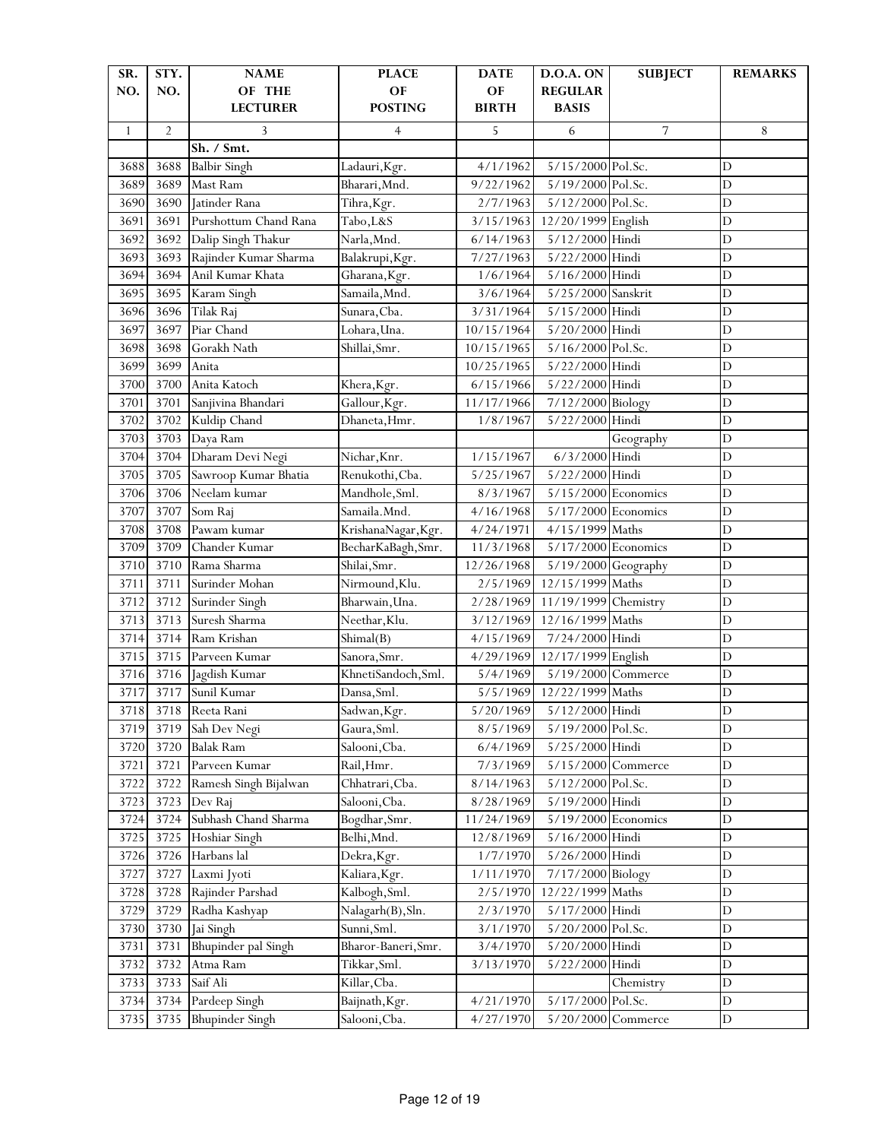| SR.          | STY.           | <b>NAME</b>                     | <b>PLACE</b>        | <b>DATE</b>  | <b>D.O.A. ON</b>      | <b>SUBJECT</b>     | <b>REMARKS</b>                |
|--------------|----------------|---------------------------------|---------------------|--------------|-----------------------|--------------------|-------------------------------|
| NO.          | NO.            | OF THE                          | OF                  | OF           | <b>REGULAR</b>        |                    |                               |
|              |                | <b>LECTURER</b>                 | <b>POSTING</b>      | <b>BIRTH</b> | <b>BASIS</b>          |                    |                               |
| $\mathbf{1}$ | $\overline{2}$ | 3                               | $\overline{4}$      | 5            | 6                     | 7                  | 8                             |
|              |                | Sh. / Smt.                      |                     |              |                       |                    |                               |
| 3688         | 3688           | <b>Balbir Singh</b>             | Ladauri, Kgr.       | 4/1/1962     | 5/15/2000 Pol.Sc.     |                    | D                             |
| 3689         | 3689           | Mast Ram                        | Bharari, Mnd.       | 9/22/1962    | 5/19/2000 Pol.Sc.     |                    | $\mathbf D$                   |
| 3690         | 3690           | Jatinder Rana                   | Tihra, Kgr.         | 2/7/1963     | 5/12/2000 Pol.Sc.     |                    | D                             |
| 3691         | 3691           | Purshottum Chand Rana           | Tabo, L&S           | 3/15/1963    | 12/20/1999 English    |                    | D                             |
| 3692         | 3692           | Dalip Singh Thakur              | Narla, Mnd.         | 6/14/1963    | 5/12/2000 Hindi       |                    | D                             |
| 3693         | 3693           | Rajinder Kumar Sharma           | Balakrupi, Kgr.     | 7/27/1963    | 5/22/2000 Hindi       |                    | $\mathbf D$                   |
| 3694         | 3694           | Anil Kumar Khata                | Gharana, Kgr.       | 1/6/1964     | 5/16/2000 Hindi       |                    | $\mathbf D$                   |
| 3695         | 3695           | Karam Singh                     | Samaila, Mnd.       | 3/6/1964     | 5/25/2000 Sanskrit    |                    | D                             |
| 3696         | 3696           | Tilak Raj                       | Sunara, Cba.        | 3/31/1964    | 5/15/2000 Hindi       |                    | D                             |
| 3697         | 3697           | Piar Chand                      | Lohara, Una.        | 10/15/1964   | 5/20/2000 Hindi       |                    | D                             |
| 3698         | 3698           | Gorakh Nath                     | Shillai, Smr.       | 10/15/1965   | 5/16/2000 Pol.Sc.     |                    | $\mathbf D$                   |
| 3699         | 3699           | Anita                           |                     | 10/25/1965   | 5/22/2000 Hindi       |                    | $\mathbf D$                   |
| 3700         | 3700           | Anita Katoch                    | Khera, Kgr.         | 6/15/1966    | 5/22/2000 Hindi       |                    | D                             |
| 3701         | 3701           | Sanjivina Bhandari              | Gallour, Kgr.       | 11/17/1966   | 7/12/2000 Biology     |                    | D                             |
| 3702         | 3702           | Kuldip Chand                    | Dhaneta, Hmr.       | 1/8/1967     | 5/22/2000 Hindi       |                    | D                             |
| 3703         | 3703           | Daya Ram                        |                     |              |                       | Geography          | D                             |
| 3704         | 3704           | Dharam Devi Negi                | Nichar, Knr.        | 1/15/1967    | 6/3/2000 Hindi        |                    | D                             |
| 3705         | 3705           | Sawroop Kumar Bhatia            | Renukothi, Cba.     | 5/25/1967    | 5/22/2000 Hindi       |                    | $\overline{D}$                |
| 3706         | 3706           | Neelam kumar                    | Mandhole, Sml.      | 8/3/1967     | $5/15/2000$ Economics |                    | $\overline{D}$                |
| 3707         | 3707           | Som Raj                         | Samaila.Mnd.        | 4/16/1968    | 5/17/2000 Economics   |                    | $\overline{D}$                |
| 3708         | 3708           | Pawam kumar                     | KrishanaNagar, Kgr. | 4/24/1971    | 4/15/1999 Maths       |                    | $\mathbf D$                   |
| 3709         | 3709           | Chander Kumar                   | BecharKaBagh, Smr.  | 11/3/1968    | $5/17/2000$ Economics |                    | $\mathbf D$                   |
| 3710         | 3710           | Rama Sharma                     | Shilai, Smr.        | 12/26/1968   | 5/19/2000 Geography   |                    | D                             |
| 3711         | 3711           | Surinder Mohan                  | Nirmound, Klu.      | 2/5/1969     | 12/15/1999 Maths      |                    | D                             |
| 3712         | 3712           |                                 | Bharwain, Una.      | 2/28/1969    | 11/19/1999 Chemistry  |                    | D                             |
| 3713         | 3713           | Surinder Singh<br>Suresh Sharma | Neethar, Klu.       | 3/12/1969    | 12/16/1999 Maths      |                    | $\mathbf D$                   |
|              | 3714           |                                 |                     |              | 7/24/2000 Hindi       |                    |                               |
| 3714         |                | Ram Krishan                     | Shimal(B)           | 4/15/1969    |                       |                    | $\mathbf D$<br>$\overline{D}$ |
| 3715         | 3715           | Parveen Kumar                   | Sanora, Smr.        | 4/29/1969    | 12/17/1999 English    |                    |                               |
| 3716         | 3716           | Jagdish Kumar                   | KhnetiSandoch, Sml. | 5/4/1969     | 5/19/2000 Commerce    |                    | D                             |
| 3717         | 3717           | Sunil Kumar                     | Dansa, Sml.         | 5/5/1969     | 12/22/1999 Maths      |                    | $\mathbf D$                   |
| 3718         | 3718           | Reeta Rani                      | Sadwan, Kgr.        | 5/20/1969    | 5/12/2000 Hindi       |                    | D                             |
| 3719         | 3719           | Sah Dev Negi                    | Gaura, Sml.         | 8/5/1969     | 5/19/2000 Pol.Sc.     |                    | $\mathbf D$                   |
| 3720         | 3720           | <b>Balak Ram</b>                | Salooni, Cba.       | 6/4/1969     | 5/25/2000 Hindi       |                    | $\mathbf D$                   |
| 3721         | 3721           | Parveen Kumar                   | Rail, Hmr.          | 7/3/1969     |                       | 5/15/2000 Commerce | $\mathbf D$                   |
| 3722         | 3722           | Ramesh Singh Bijalwan           | Chhatrari, Cba.     | 8/14/1963    | 5/12/2000 Pol.Sc.     |                    | $\mathbf D$                   |
| 3723         | 3723           | Dev Raj                         | Salooni, Cba.       | 8/28/1969    | 5/19/2000 Hindi       |                    | $\mathbf D$                   |
| 3724         | 3724           | Subhash Chand Sharma            | Bogdhar, Smr.       | 11/24/1969   | 5/19/2000 Economics   |                    | $\mathbf D$                   |
| 3725         | 3725           | Hoshiar Singh                   | Belhi, Mnd.         | 12/8/1969    | 5/16/2000 Hindi       |                    | D                             |
| 3726         | 3726           | Harbans lal                     | Dekra, Kgr.         | 1/7/1970     | 5/26/2000 Hindi       |                    | $\mathbf D$                   |
| 3727         | 3727           | Laxmi Jyoti                     | Kaliara, Kgr.       | 1/11/1970    | 7/17/2000 Biology     |                    | $\mathbf D$                   |
| 3728         | 3728           | Rajinder Parshad                | Kalbogh, Sml.       | 2/5/1970     | 12/22/1999 Maths      |                    | $\mathbf D$                   |
| 3729         | 3729           | Radha Kashyap                   | Nalagarh(B), Sln.   | 2/3/1970     | 5/17/2000 Hindi       |                    | D                             |
| 3730         | 3730           | Jai Singh                       | Sunni, Sml.         | 3/1/1970     | 5/20/2000 Pol.Sc.     |                    | $\mathbf D$                   |
| 3731         | 3731           | Bhupinder pal Singh             | Bharor-Baneri, Smr. | 3/4/1970     | 5/20/2000 Hindi       |                    | $\mathbf D$                   |
| 3732         | 3732           | Atma Ram                        | Tikkar, Sml.        | 3/13/1970    | 5/22/2000 Hindi       |                    | $\mathbf D$                   |
| 3733         | 3733           | Saif Ali                        | Killar, Cba.        |              |                       | Chemistry          | $\mathbf D$                   |
| 3734         | 3734           | Pardeep Singh                   | Baijnath, Kgr.      | 4/21/1970    | 5/17/2000 Pol.Sc.     |                    | D                             |
| 3735         | 3735           | <b>Bhupinder Singh</b>          | Salooni, Cba.       | 4/27/1970    |                       | 5/20/2000 Commerce | $\mathbf D$                   |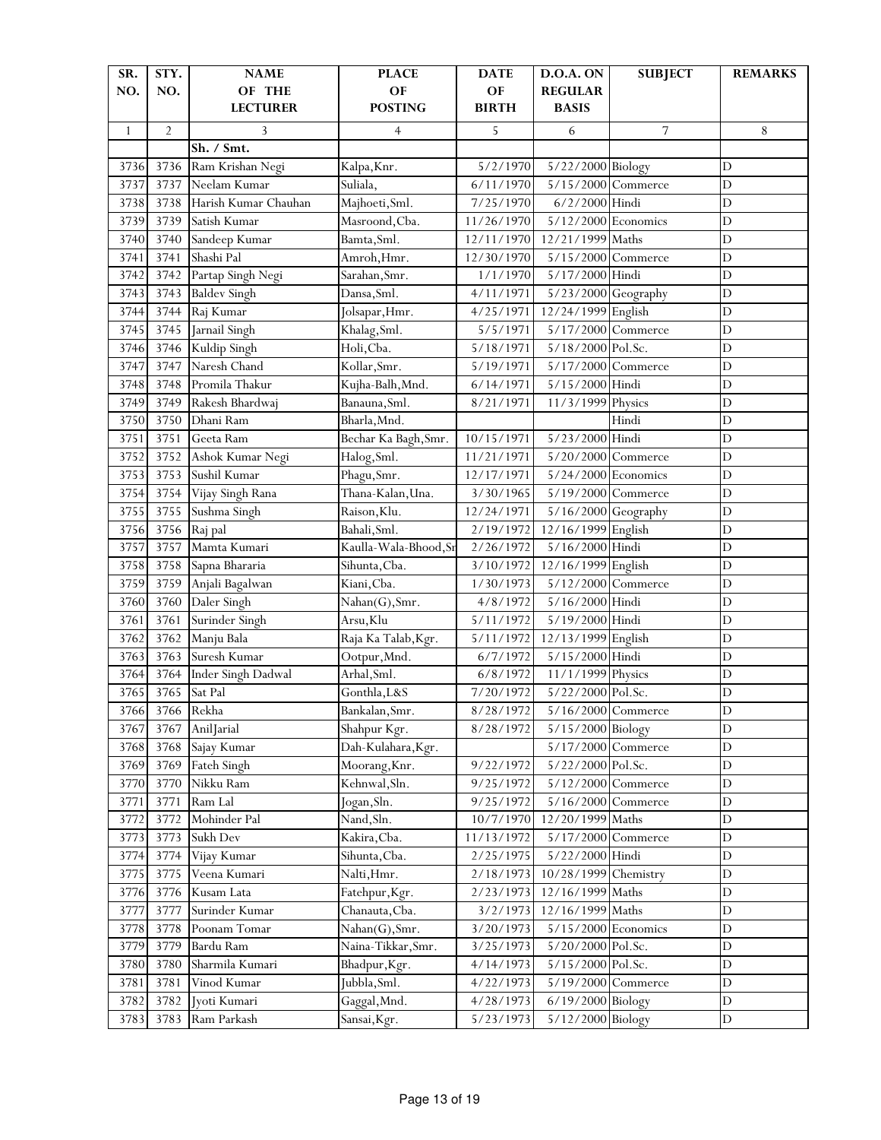| SR.          | STY.           | <b>NAME</b>               | <b>PLACE</b>                   | <b>DATE</b>  | D.O.A. ON            | <b>SUBJECT</b>     | <b>REMARKS</b> |
|--------------|----------------|---------------------------|--------------------------------|--------------|----------------------|--------------------|----------------|
| NO.          | NO.            | OF THE                    | OF                             | OF           | <b>REGULAR</b>       |                    |                |
|              |                | <b>LECTURER</b>           | <b>POSTING</b>                 | <b>BIRTH</b> | <b>BASIS</b>         |                    |                |
| $\mathbf{1}$ | $\overline{2}$ | 3                         | 4                              | 5            | 6                    | 7                  | 8              |
|              |                | Sh. / Smt.                |                                |              |                      |                    |                |
| 3736         | 3736           | Ram Krishan Negi          | Kalpa, Knr.                    | 5/2/1970     | 5/22/2000 Biology    |                    | $\mathbf D$    |
| 3737         | 3737           | Neelam Kumar              | Suliala,                       | 6/11/1970    | 5/15/2000 Commerce   |                    | D              |
| 3738         | 3738           | Harish Kumar Chauhan      | Majhoeti, Sml.                 | 7/25/1970    | 6/2/2000 Hindi       |                    | $\mathbf D$    |
| 3739         | 3739           | Satish Kumar              | Masroond, Cba.                 | 11/26/1970   | 5/12/2000 Economics  |                    | $\mathbf D$    |
| 3740         | 3740           | Sandeep Kumar             | Bamta, Sml.                    | 12/11/1970   | 12/21/1999 Maths     |                    | D              |
| 3741         | 3741           | Shashi Pal                | Amroh, Hmr.                    | 12/30/1970   | 5/15/2000 Commerce   |                    | D              |
| 3742         | 3742           | Partap Singh Negi         | Sarahan, Smr.                  | 1/1/1970     | 5/17/2000 Hindi      |                    | D              |
| 3743         | 3743           | <b>Baldev Singh</b>       | Dansa, Sml.                    | 4/11/1971    | 5/23/2000 Geography  |                    | $\mathbf D$    |
| 3744         | 3744           | Raj Kumar                 | Jolsapar, Hmr.                 | 4/25/1971    | 12/24/1999 English   |                    | $\overline{D}$ |
| 3745         | 3745           | Jarnail Singh             | Khalag, Sml.                   | 5/5/1971     | 5/17/2000 Commerce   |                    | $\mathbf D$    |
| 3746         | 3746           | Kuldip Singh              | Holi, Cba.                     | 5/18/1971    | 5/18/2000 Pol.Sc.    |                    | D              |
| 3747         | 3747           | Naresh Chand              | Kollar, Smr.                   | 5/19/1971    |                      | 5/17/2000 Commerce | $\mathbf D$    |
| 3748         | 3748           | Promila Thakur            | Kujha-Balh, Mnd.               | 6/14/1971    | 5/15/2000 Hindi      |                    | $\mathbf D$    |
| 3749         | 3749           | Rakesh Bhardwaj           | Banauna, Sml.                  | 8/21/1971    | 11/3/1999 Physics    |                    | D              |
| 3750         | 3750           | Dhani Ram                 | Bharla, Mnd.                   |              |                      | Hindi              | D              |
| 3751         | 3751           | Geeta Ram                 | Bechar Ka Bagh, Smr.           | 10/15/1971   | 5/23/2000 Hindi      |                    | D              |
| 3752         | 3752           | Ashok Kumar Negi          | Halog, Sml.                    | 11/21/1971   | 5/20/2000 Commerce   |                    | D              |
| 3753         | 3753           | Sushil Kumar              | Phagu, Smr.                    | 12/17/1971   | 5/24/2000 Economics  |                    | $\overline{D}$ |
| 3754         | 3754           | Vijay Singh Rana          | Thana-Kalan, Una.              | 3/30/1965    | 5/19/2000 Commerce   |                    | $\mathbf D$    |
| 3755         | 3755           | Sushma Singh              | Raison, Klu.                   | 12/24/1971   | 5/16/2000 Geography  |                    | D              |
| 3756         | 3756           | Raj pal                   | Bahali, Sml.                   | 2/19/1972    | 12/16/1999 English   |                    | $\overline{D}$ |
| 3757         | 3757           | Mamta Kumari              | Kaulla-Wala-Bhood, Sr          | 2/26/1972    | 5/16/2000 Hindi      |                    | D              |
| 3758         | 3758           | Sapna Bhararia            | Sihunta, Cba.                  | 3/10/1972    | 12/16/1999 English   |                    | $\overline{D}$ |
| 3759         | 3759           | Anjali Bagalwan           | Kiani, Cba.                    | 1/30/1973    | 5/12/2000 Commerce   |                    | $\mathbf D$    |
| 3760         | 3760           | Daler Singh               | Nahan(G), Smr.                 | 4/8/1972     | 5/16/2000 Hindi      |                    | D              |
| 3761         | 3761           | Surinder Singh            | Arsu, Klu                      | 5/11/1972    | 5/19/2000 Hindi      |                    | D              |
| 3762         | 3762           | Manju Bala                | Raja Ka Talab, Kgr.            | 5/11/1972    | 12/13/1999 English   |                    | D              |
| 3763         | 3763           | Suresh Kumar              | Ootpur, Mnd.                   | 6/7/1972     | 5/15/2000 Hindi      |                    | $\overline{D}$ |
| 3764         | 3764           | <b>Inder Singh Dadwal</b> | Arhal, Sml.                    | 6/8/1972     | 11/1/1999 Physics    |                    | $\overline{D}$ |
| 3765         | 3765           | Sat Pal                   | Gonthla, L&S                   | 7/20/1972    | 5/22/2000 Pol.Sc.    |                    | $\mathbf D$    |
| 3766         |                | 3766 Rekha                | Bankalan, Smr.                 | 8/28/1972    | 5/16/2000 Commerce   |                    |                |
| 3767         | 3767           | AnilJarial                | Shahpur Kgr.                   | 8/28/1972    | 5/15/2000 Biology    |                    | D<br>D         |
| 3768         | 3768           | Sajay Kumar               | Dah-Kulahara, Kgr.             |              |                      | 5/17/2000 Commerce | $\mathbf D$    |
| 3769         | 3769           | Fateh Singh               |                                | 9/22/1972    | 5/22/2000 Pol.Sc.    |                    | $\mathbf D$    |
| 3770         | 3770           | Nikku Ram                 | Moorang, Knr.<br>Kehnwal, Sln. | 9/25/1972    |                      | 5/12/2000 Commerce | $\mathbf D$    |
| 3771         | 3771           | Ram Lal                   | Jogan, Sln.                    | 9/25/1972    |                      | 5/16/2000 Commerce | $\mathbf D$    |
| 3772         | 3772           | Mohinder Pal              | Nand, Sln.                     | 10/7/1970    | 12/20/1999 Maths     |                    | D              |
|              |                |                           | Kakira, Cba.                   |              |                      |                    | $\mathbf D$    |
| 3773         | 3773           | Sukh Dev                  |                                | 11/13/1972   | 5/22/2000 Hindi      | 5/17/2000 Commerce |                |
| 3774         | 3774           | Vijay Kumar               | Sihunta, Cba.                  | 2/25/1975    |                      |                    | $\mathbf D$    |
| 3775         | 3775           | Veena Kumari              | Nalti, Hmr.                    | 2/18/1973    | 10/28/1999 Chemistry |                    | $\mathbf D$    |
| 3776         | 3776           | Kusam Lata                | Fatehpur, Kgr.                 | 2/23/1973    | 12/16/1999 Maths     |                    | D              |
| 3777         | 3777           | Surinder Kumar            | Chanauta, Cba.                 | 3/2/1973     | 12/16/1999 Maths     |                    | D              |
| 3778         | 3778           | Poonam Tomar              | Nahan(G), Smr.                 | 3/20/1973    | 5/15/2000 Economics  |                    | $\mathbf D$    |
| 3779         | 3779           | Bardu Ram                 | Naina-Tikkar, Smr.             | 3/25/1973    | 5/20/2000 Pol.Sc.    |                    | $\mathbf D$    |
| 3780         | 3780           | Sharmila Kumari           | Bhadpur, Kgr.                  | 4/14/1973    | 5/15/2000 Pol.Sc.    |                    | $\mathbf D$    |
| 3781         | 3781           | Vinod Kumar               | Jubbla, Sml.                   | 4/22/1973    |                      | 5/19/2000 Commerce | $\mathbf D$    |
| 3782         | 3782           | Jyoti Kumari              | Gaggal, Mnd.                   | 4/28/1973    | 6/19/2000 Biology    |                    | $\mathbf D$    |
| 3783         | 3783           | Ram Parkash               | Sansai, Kgr.                   | 5/23/1973    | 5/12/2000 Biology    |                    | $\mathbf D$    |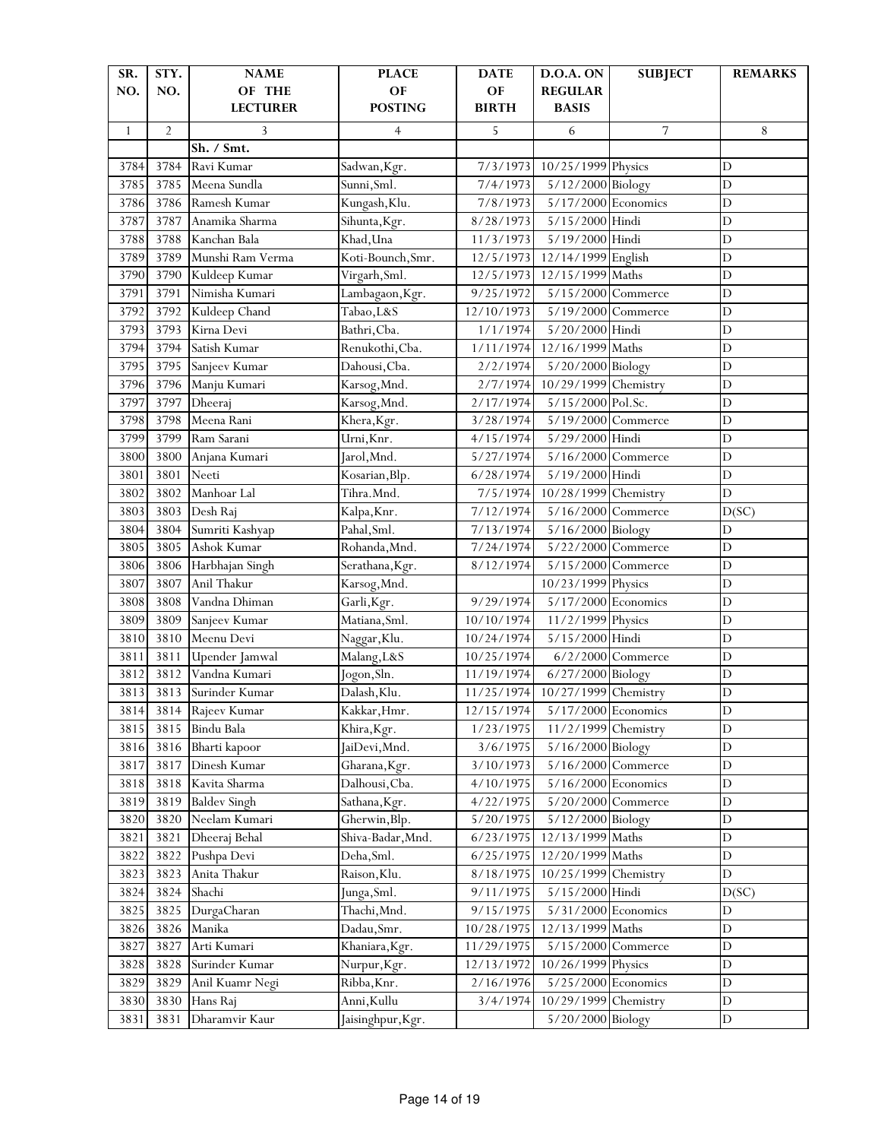| SR.<br>NO.   | STY.<br>NO.    | <b>NAME</b><br>OF THE         | <b>PLACE</b><br>OF              | <b>DATE</b><br>OF      | D.O.A. ON<br><b>REGULAR</b> | <b>SUBJECT</b>     | <b>REMARKS</b>             |
|--------------|----------------|-------------------------------|---------------------------------|------------------------|-----------------------------|--------------------|----------------------------|
|              |                | <b>LECTURER</b>               | <b>POSTING</b>                  | <b>BIRTH</b>           | <b>BASIS</b>                |                    |                            |
| $\mathbf{1}$ | $\overline{2}$ | 3                             | $\overline{4}$                  | 5                      | 6                           | 7                  | 8                          |
|              |                | Sh. / Smt.                    |                                 |                        |                             |                    |                            |
| 3784         | 3784           | Ravi Kumar                    | Sadwan, Kgr.                    | 7/3/1973               | 10/25/1999 Physics          |                    | D                          |
| 3785         | 3785           | Meena Sundla                  | Sunni, Sml.                     | 7/4/1973               | 5/12/2000 Biology           |                    | D                          |
| 3786         | 3786           | Ramesh Kumar                  | Kungash, Klu.                   | 7/8/1973               | 5/17/2000 Economics         |                    | D                          |
| 3787         | 3787           | Anamika Sharma                | Sihunta, Kgr.                   | 8/28/1973              | 5/15/2000 Hindi             |                    | D                          |
| 3788         | 3788           | Kanchan Bala                  | Khad, Una                       | 11/3/1973              | 5/19/2000 Hindi             |                    | D                          |
| 3789         | 3789           | Munshi Ram Verma              | Koti-Bounch, Smr.               | 12/5/1973              | 12/14/1999 English          |                    | D                          |
| 3790         | 3790           | Kuldeep Kumar                 | Virgarh, Sml.                   | 12/5/1973              | 12/15/1999 Maths            |                    | D                          |
| 3791         | 3791           | Nimisha Kumari                | Lambagaon, Kgr.                 | 9/25/1972              | 5/15/2000 Commerce          |                    | D                          |
| 3792         | 3792           | Kuldeep Chand                 | Tabao, L&S                      | 12/10/1973             | 5/19/2000 Commerce          |                    | $\mathbf D$                |
| 3793         | 3793           | Kirna Devi                    | Bathri, Cba.                    | 1/1/1974               | 5/20/2000 Hindi             |                    | $\mathbf D$                |
| 3794         | 3794           | Satish Kumar                  | Renukothi, Cba.                 | 1/11/1974              | 12/16/1999 Maths            |                    | D                          |
| 3795         | 3795           | Sanjeev Kumar                 | Dahousi, Cba.                   | 2/2/1974               | 5/20/2000 Biology           |                    | $\overline{D}$             |
| 3796         | 3796           | Manju Kumari                  | Karsog, Mnd.                    | 2/7/1974               | 10/29/1999 Chemistry        |                    | D                          |
| 3797         | 3797           | Dheeraj                       | Karsog, Mnd.                    | 2/17/1974              | $5/15/2000$ Pol.Sc.         |                    | D                          |
| 3798         | 3798           | Meena Rani                    | Khera, Kgr.                     | 3/28/1974              | 5/19/2000 Commerce          |                    | D                          |
| 3799         | 3799           | Ram Sarani                    | Urni, Knr.                      | 4/15/1974              | 5/29/2000 Hindi             |                    | D                          |
| 3800         | 3800           | Anjana Kumari                 | Jarol, Mnd.                     | 5/27/1974              | 5/16/2000 Commerce          |                    | D                          |
| 3801         | 3801           | Neeti                         | Kosarian, Blp.                  | 6/28/1974              | 5/19/2000 Hindi             |                    | D                          |
| 3802         | 3802           | Manhoar Lal                   | Tihra.Mnd.                      | 7/5/1974               | 10/28/1999 Chemistry        |                    | $\mathbf D$                |
| 3803         | 3803           | Desh Raj                      | Kalpa, Knr.                     | 7/12/1974              | 5/16/2000 Commerce          |                    | D(SC)                      |
| 3804         | 3804           | Sumriti Kashyap               | Pahal, Sml.                     | 7/13/1974              | 5/16/2000 Biology           |                    | $\mathbf D$                |
| 3805         | 3805           | Ashok Kumar                   | Rohanda, Mnd.                   | 7/24/1974              | 5/22/2000 Commerce          |                    | D                          |
| 3806         | 3806           | Harbhajan Singh               | Serathana, Kgr.                 | 8/12/1974              | 5/15/2000 Commerce          |                    | $\mathbf D$                |
| 3807         | 3807           | Anil Thakur                   | Karsog, Mnd.                    |                        | 10/23/1999 Physics          |                    | D                          |
| 3808         | 3808           | Vandna Dhiman                 | Garli, Kgr.                     | 9/29/1974              | 5/17/2000 Economics         |                    | $\overline{D}$             |
| 3809         | 3809           | Sanjeev Kumar                 | Matiana, Sml.                   | 10/10/1974             | 11/2/1999 Physics           |                    | D                          |
| 3810         | 3810           | Meenu Devi                    | Naggar, Klu.                    | 10/24/1974             | 5/15/2000 Hindi             |                    | D                          |
| 3811         | 3811           | Upender Jamwal                | Malang, L&S                     | 10/25/1974             |                             | 6/2/2000 Commerce  | $\mathbf D$                |
| 3812         | 3812           | Vandna Kumari                 | Jogon, Sln.                     | 11/19/1974             | 6/27/2000 Biology           |                    | $\mathbf D$                |
| 3813         | 3813           | Surinder Kumar                | Dalash, Klu.                    | 11/25/1974             | 10/27/1999 Chemistry        |                    | $\mathbf D$                |
| 3814         | 3814           | Rajeev Kumar                  | Kakkar, Hmr.                    | 12/15/1974             | $5/17/2000$ Economics       |                    | D                          |
| 3815         | 3815           | Bindu Bala                    | Khira, Kgr.                     | 1/23/1975              | 11/2/1999 Chemistry         |                    | D                          |
| 3816         | 3816<br>3817   | Bharti kapoor                 | JaiDevi, Mnd.                   | 3/6/1975               | 5/16/2000 Biology           |                    | $\mathbf D$<br>$\mathbf D$ |
| 3817         | 3818           | Dinesh Kumar<br>Kavita Sharma | Gharana, Kgr.                   | 3/10/1973              |                             | 5/16/2000 Commerce | $\mathbf D$                |
| 3818<br>3819 | 3819           | <b>Baldev Singh</b>           | Dalhousi, Cba.<br>Sathana, Kgr. | 4/10/1975<br>4/22/1975 | 5/16/2000 Economics         | 5/20/2000 Commerce | $\mathbf D$                |
| 3820         | 3820           | Neelam Kumari                 | Gherwin, Blp.                   | 5/20/1975              | 5/12/2000 Biology           |                    | $\mathbf D$                |
| 3821         | 3821           | Dheeraj Behal                 | Shiva-Badar, Mnd.               | 6/23/1975              | 12/13/1999 Maths            |                    | $\mathbf D$                |
| 3822         | 3822           | Pushpa Devi                   | Deha, Sml.                      | 6/25/1975              | 12/20/1999 Maths            |                    | D                          |
| 3823         | 3823           | Anita Thakur                  | Raison, Klu.                    | 8/18/1975              | 10/25/1999 Chemistry        |                    | D                          |
| 3824         | 3824           | Shachi                        | Junga, Sml.                     | 9/11/1975              | $5/15/2000$ Hindi           |                    | D(SC)                      |
| 3825         | 3825           | DurgaCharan                   | Thachi, Mnd.                    | 9/15/1975              | 5/31/2000 Economics         |                    | D                          |
| 3826         | 3826           | Manika                        | Dadau, Smr.                     | 10/28/1975             | 12/13/1999 Maths            |                    | D                          |
| 3827         | 3827           | Arti Kumari                   | Khaniara, Kgr.                  | 11/29/1975             |                             | 5/15/2000 Commerce | $\mathbf D$                |
| 3828         | 3828           | Surinder Kumar                | Nurpur, Kgr.                    | 12/13/1972             | 10/26/1999 Physics          |                    | $\mathbf D$                |
| 3829         | 3829           | Anil Kuamr Negi               | Ribba, Knr.                     | 2/16/1976              | $5/25/2000$ Economics       |                    | $\mathbf D$                |
| 3830         | 3830           | Hans Raj                      | Anni, Kullu                     | 3/4/1974               | 10/29/1999 Chemistry        |                    | $\mathbf D$                |
| 3831         | 3831           | Dharamvir Kaur                | Jaisinghpur, Kgr.               |                        | 5/20/2000 Biology           |                    | $\mathbf D$                |
|              |                |                               |                                 |                        |                             |                    |                            |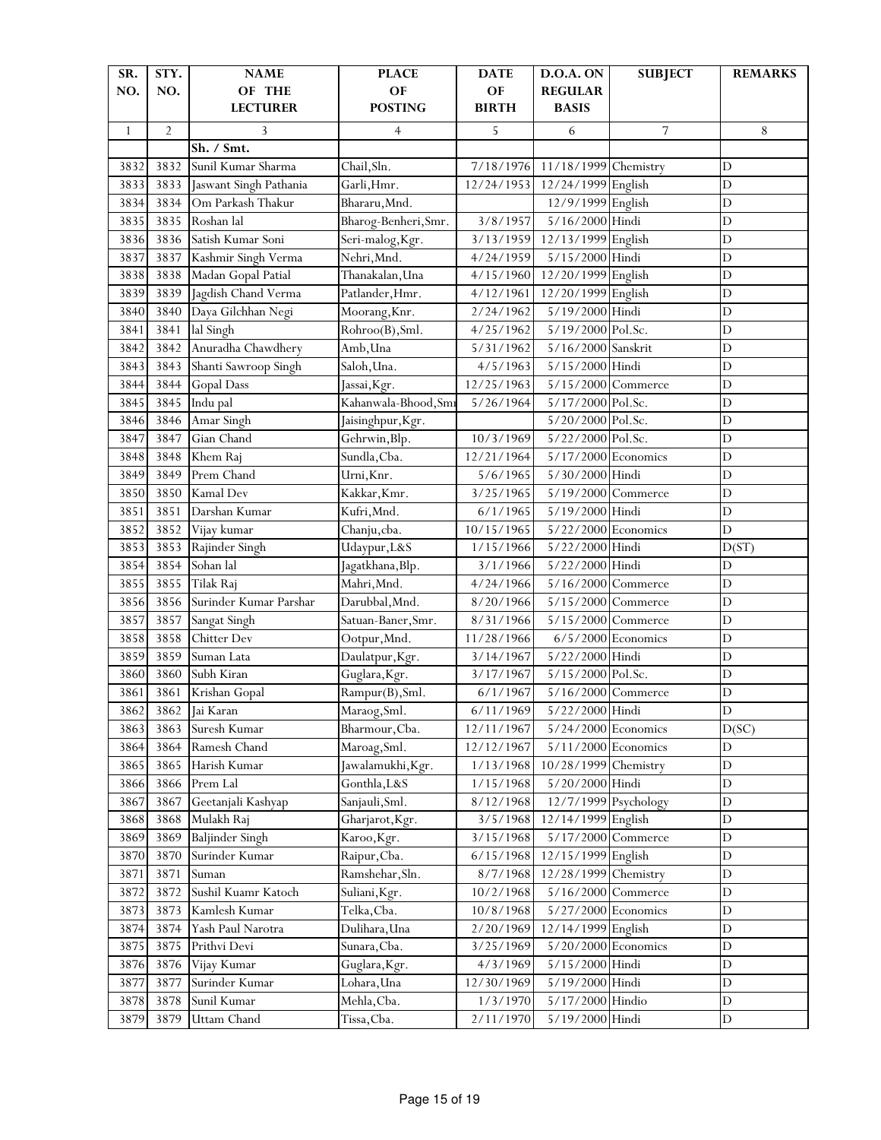| SR.          | STY.           | <b>NAME</b>            | <b>PLACE</b>                 | <b>DATE</b>  | D.O.A. ON             | <b>SUBJECT</b>       | <b>REMARKS</b> |
|--------------|----------------|------------------------|------------------------------|--------------|-----------------------|----------------------|----------------|
| NO.          | NO.            | OF THE                 | OF                           | OF           | <b>REGULAR</b>        |                      |                |
|              |                | <b>LECTURER</b>        | <b>POSTING</b>               | <b>BIRTH</b> | <b>BASIS</b>          |                      |                |
| $\mathbf{1}$ | $\overline{2}$ | 3                      | 4                            | 5            | 6                     | 7                    | 8              |
|              |                | Sh. / Smt.             |                              |              |                       |                      |                |
| 3832         | 3832           | Sunil Kumar Sharma     | Chail, Sln.                  | 7/18/1976    | 11/18/1999 Chemistry  |                      | $\mathbf D$    |
| 3833         | 3833           | Jaswant Singh Pathania | Garli, Hmr.                  | 12/24/1953   | 12/24/1999 English    |                      | $\mathbf D$    |
| 3834         | 3834           | Om Parkash Thakur      | Bhararu, Mnd.                |              | 12/9/1999 English     |                      | $\mathbf D$    |
| 3835         | 3835           | Roshan lal             | Bharog-Benheri, Smr.         | 3/8/1957     | 5/16/2000 Hindi       |                      | $\mathbf D$    |
| 3836         | 3836           | Satish Kumar Soni      | Seri-malog, Kgr.             | 3/13/1959    | 12/13/1999 English    |                      | $\mathbf D$    |
| 3837         | 3837           | Kashmir Singh Verma    | Nehri, Mnd.                  | 4/24/1959    | 5/15/2000 Hindi       |                      | $\overline{D}$ |
| 3838         | 3838           | Madan Gopal Patial     | Thanakalan, Una              | 4/15/1960    | 12/20/1999 English    |                      | $\mathbf D$    |
| 3839         | 3839           | Jagdish Chand Verma    | Patlander, Hmr.              | 4/12/1961    | 12/20/1999 English    |                      | $\mathbf D$    |
| 3840         | 3840           | Daya Gilchhan Negi     | Moorang, Knr.                | 2/24/1962    | 5/19/2000 Hindi       |                      | $\mathbf D$    |
| 3841         | 3841           | lal Singh              | Rohroo(B), Sml.              | 4/25/1962    | 5/19/2000 Pol.Sc.     |                      | $\mathbf D$    |
| 3842         | 3842           | Anuradha Chawdhery     | Amb, Una                     | 5/31/1962    | 5/16/2000 Sanskrit    |                      | $\overline{D}$ |
| 3843         | 3843           | Shanti Sawroop Singh   | Saloh, Una.                  | 4/5/1963     | 5/15/2000 Hindi       |                      | $\mathbf D$    |
| 3844         | 3844           | <b>Gopal Dass</b>      | Jassai, Kgr.                 | 12/25/1963   | 5/15/2000 Commerce    |                      | $\mathbf D$    |
| 3845         | 3845           | Indu pal               | Kahanwala-Bhood, Smi         | 5/26/1964    | 5/17/2000 Pol.Sc.     |                      | $\mathbf D$    |
| 3846         | 3846           | Amar Singh             | Jaisinghpur, Kgr.            |              | 5/20/2000 Pol.Sc.     |                      | $\overline{D}$ |
| 3847         | 3847           | Gian Chand             | Gehrwin, Blp.                | 10/3/1969    | 5/22/2000 Pol.Sc.     |                      | $\overline{D}$ |
| 3848         | 3848           | Khem Raj               | Sundla, Cba.                 | 12/21/1964   | 5/17/2000 Economics   |                      | $\mathbf D$    |
| 3849         | 3849           | Prem Chand             | Urni, Knr.                   | 5/6/1965     | 5/30/2000 Hindi       |                      | $\mathbf D$    |
| 3850         | 3850           | Kamal Dev              | Kakkar, Kmr.                 | 3/25/1965    | 5/19/2000 Commerce    |                      | $\mathbf D$    |
| 3851         | 3851           | Darshan Kumar          | Kufri, Mnd.                  | 6/1/1965     | 5/19/2000 Hindi       |                      | $\overline{D}$ |
| 3852         | 3852           | Vijay kumar            | Chanju,cba.                  | 10/15/1965   | 5/22/2000 Economics   |                      | $\mathbf D$    |
| 3853         | 3853           | Rajinder Singh         | Udaypur, L&S                 | 1/15/1966    | 5/22/2000 Hindi       |                      | D(ST)          |
| 3854         | 3854           | Sohan lal              | Jagatkhana, Blp.             | 3/1/1966     | 5/22/2000 Hindi       |                      | $\mathbf D$    |
| 3855         | 3855           | Tilak Raj              | Mahri, Mnd.                  | 4/24/1966    | 5/16/2000 Commerce    |                      | $\mathbf D$    |
| 3856         | 3856           | Surinder Kumar Parshar | Darubbal, Mnd.               | 8/20/1966    | 5/15/2000             | Commerce             | $\overline{D}$ |
| 3857         | 3857           | Sangat Singh           | Satuan-Baner, Smr.           | 8/31/1966    | 5/15/2000 Commerce    |                      | $\mathbf D$    |
| 3858         | 3858           | Chitter Dev            | Ootpur, Mnd.                 | 11/28/1966   |                       | $6/5/2000$ Economics | $\mathbf D$    |
| 3859         | 3859           | Suman Lata             | Daulatpur, Kgr.              | 3/14/1967    | 5/22/2000 Hindi       |                      | $\mathbf D$    |
| 3860         | 3860           | Subh Kiran             | Guglara, Kgr.                | 3/17/1967    | 5/15/2000 Pol.Sc.     |                      | $\overline{D}$ |
| 3861         | 3861           | Krishan Gopal          | Rampur(B), Sml.              | 6/1/1967     | 5/16/2000 Commerce    |                      | $\mathbf D$    |
| 3862         | 3862           | Jai Karan              | Maraog, Sml.                 | 6/11/1969    | 5/22/2000 Hindi       |                      | D              |
| 3863         | 3863           | Suresh Kumar           | Bharmour, Cba.               | 12/11/1967   | $5/24/2000$ Economics |                      | D(SC)          |
| 3864         | 3864           | Ramesh Chand           | Maroag, Sml.                 | 12/12/1967   | 5/11/2000 Economics   |                      | $\mathbf D$    |
| 3865         | 3865           | Harish Kumar           | Jawalamukhi, Kgr.            | 1/13/1968    | 10/28/1999 Chemistry  |                      | $\mathbf D$    |
| 3866         | 3866           | Prem Lal               | Gonthla, L&S                 | 1/15/1968    | 5/20/2000 Hindi       |                      | $\mathbf D$    |
| 3867         | 3867           | Geetanjali Kashyap     | Sanjauli, Sml.               | 8/12/1968    | 12/7/1999 Psychology  |                      | $\mathbf D$    |
| 3868         | 3868           | Mulakh Raj             | Gharjarot, Kgr.              | 3/5/1968     | 12/14/1999 English    |                      | $\mathbf D$    |
| 3869         | 3869           | <b>Baljinder Singh</b> | Karoo, Kgr.                  | 3/15/1968    | 5/17/2000 Commerce    |                      | $\overline{D}$ |
| 3870         | 3870           | Surinder Kumar         | Raipur, Cba.                 | 6/15/1968    | 12/15/1999 English    |                      | $\mathbf D$    |
| 3871         | 3871           | Suman                  | Ramshehar, Sln.              | 8/7/1968     | 12/28/1999            | Chemistry            | $\mathbf D$    |
| 3872         | 3872           | Sushil Kuamr Katoch    | Suliani, Kgr.                | 10/2/1968    | 5/16/2000             | Commerce             | $\mathbf D$    |
| 3873         | 3873           | Kamlesh Kumar          | Telka, Cba.                  | 10/8/1968    | 5/27/2000 Economics   |                      | $\mathbf D$    |
| 3874         | 3874           | Yash Paul Narotra      | Dulihara, Una                | 2/20/1969    | 12/14/1999 English    |                      | $\mathbf D$    |
| 3875         | 3875           | Prithvi Devi           | Sunara, Cba.                 | 3/25/1969    | 5/20/2000 Economics   |                      | $\mathbf D$    |
| 3876         | 3876           | Vijay Kumar            |                              | 4/3/1969     | 5/15/2000 Hindi       |                      | $\mathbf D$    |
| 3877         | 3877           | Surinder Kumar         | Guglara, Kgr.<br>Lohara, Una | 12/30/1969   | 5/19/2000             | Hindi                | $\mathbf D$    |
|              |                |                        | Mehla, Cba.                  |              | 5/17/2000             | Hindio               | $\mathbf D$    |
| 3878         | 3878           | Sunil Kumar            |                              | 1/3/1970     |                       |                      |                |
| 3879         | 3879           | <b>Uttam Chand</b>     | Tissa, Cba.                  | 2/11/1970    | 5/19/2000 Hindi       |                      | $\mathbf D$    |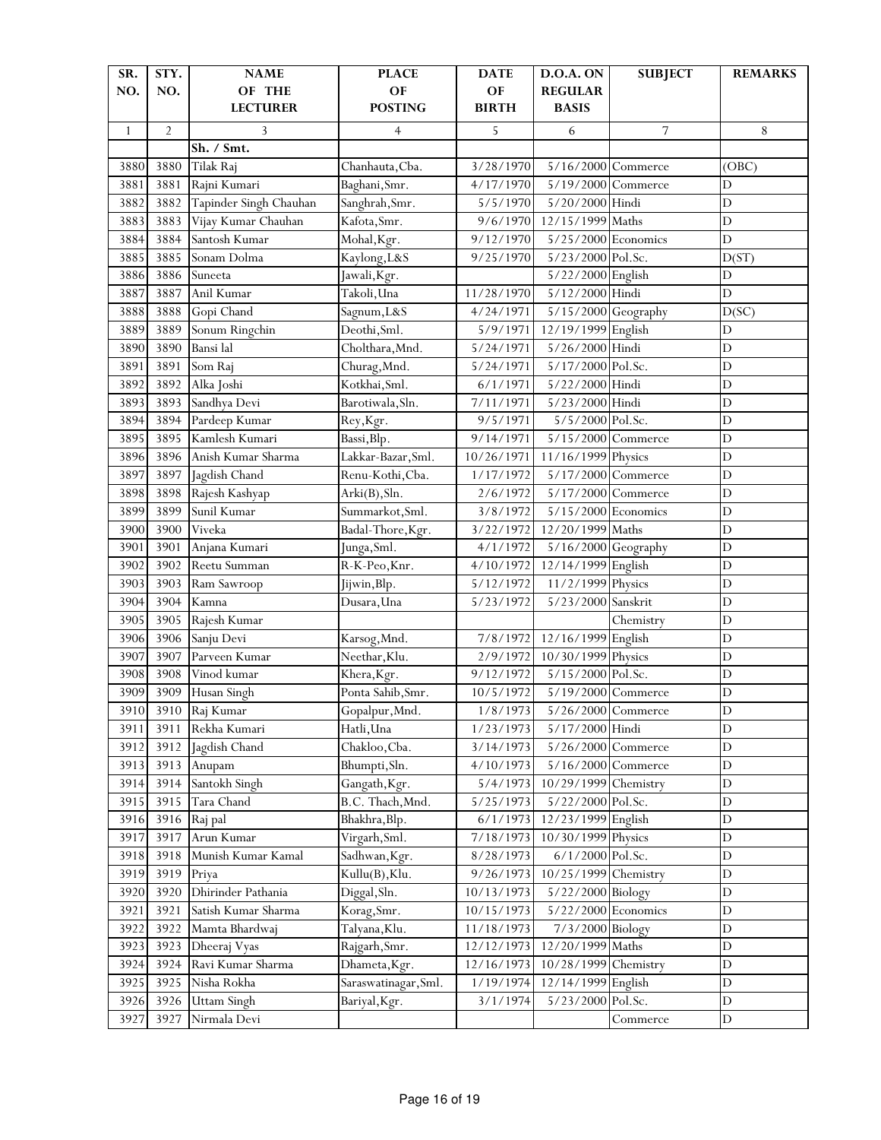| SR.          | STY.           | <b>NAME</b>            | <b>PLACE</b>         | <b>DATE</b>  | D.O.A. ON             | <b>SUBJECT</b> | <b>REMARKS</b> |
|--------------|----------------|------------------------|----------------------|--------------|-----------------------|----------------|----------------|
| NO.          | NO.            | OF THE                 | OF                   | OF           | <b>REGULAR</b>        |                |                |
|              |                | <b>LECTURER</b>        | <b>POSTING</b>       | <b>BIRTH</b> | <b>BASIS</b>          |                |                |
| $\mathbf{1}$ | $\overline{2}$ | 3                      | 4                    | 5            | 6                     | 7              | 8              |
|              |                | Sh. / Smt.             |                      |              |                       |                |                |
| 3880         | 3880           | Tilak Raj              | Chanhauta, Cba.      | 3/28/1970    | 5/16/2000 Commerce    |                | (OBC)          |
| 3881         | 3881           | Rajni Kumari           | Baghani, Smr.        | 4/17/1970    | 5/19/2000 Commerce    |                | D              |
| 3882         | 3882           | Tapinder Singh Chauhan | Sanghrah, Smr.       | 5/5/1970     | 5/20/2000 Hindi       |                | $\mathbf D$    |
| 3883         | 3883           | Vijay Kumar Chauhan    | Kafota, Smr.         | 9/6/1970     | 12/15/1999 Maths      |                | D              |
| 3884         | 3884           | Santosh Kumar          | Mohal, Kgr.          | 9/12/1970    | 5/25/2000 Economics   |                | $\overline{D}$ |
| 3885         | 3885           | Sonam Dolma            | Kaylong, L&S         | 9/25/1970    | 5/23/2000 Pol.Sc.     |                | D(ST)          |
| 3886         | 3886           | Suneeta                | Jawali, Kgr.         |              | 5/22/2000 English     |                | D              |
| 3887         | 3887           | Anil Kumar             | Takoli, Una          | 11/28/1970   | 5/12/2000 Hindi       |                | $\mathbf D$    |
| 3888         | 3888           | Gopi Chand             | Sagnum, L&S          | 4/24/1971    | 5/15/2000 Geography   |                | D(SC)          |
| 3889         | 3889           | Sonum Ringchin         | Deothi, Sml.         | 5/9/1971     | 12/19/1999 English    |                | $\mathbf D$    |
| 3890         | 3890           | Bansi lal              | Cholthara, Mnd.      | 5/24/1971    | 5/26/2000 Hindi       |                | $\overline{D}$ |
| 3891         | 3891           | Som Raj                | Churag, Mnd.         | 5/24/1971    | 5/17/2000 Pol.Sc.     |                | $\mathbf D$    |
| 3892         | 3892           | Alka Joshi             | Kotkhai, Sml.        | 6/1/1971     | 5/22/2000 Hindi       |                | $\mathbf D$    |
| 3893         | 3893           | Sandhya Devi           | Barotiwala, Sln.     | 7/11/1971    | 5/23/2000 Hindi       |                | $\mathbf D$    |
| 3894         | 3894           | Pardeep Kumar          | Rey, Kgr.            | 9/5/1971     | 5/5/2000 Pol.Sc.      |                | $\overline{D}$ |
| 3895         | 3895           | Kamlesh Kumari         | Bassi, Blp.          | 9/14/1971    | 5/15/2000 Commerce    |                | $\overline{D}$ |
| 3896         | 3896           | Anish Kumar Sharma     | Lakkar-Bazar, Sml.   | 10/26/1971   | 11/16/1999 Physics    |                | $\mathbf D$    |
| 3897         | 3897           | Jagdish Chand          | Renu-Kothi, Cba.     | 1/17/1972    | 5/17/2000 Commerce    |                | $\mathbf D$    |
| 3898         | 3898           | Rajesh Kashyap         | Arki(B), Sln.        | 2/6/1972     | 5/17/2000 Commerce    |                | D              |
| 3899         | 3899           | Sunil Kumar            | Summarkot, Sml.      | 3/8/1972     | 5/15/2000 Economics   |                | $\mathbf D$    |
| 3900         | 3900           | Viveka                 | Badal-Thore, Kgr.    | 3/22/1972    | 12/20/1999 Maths      |                | D              |
| 3901         | 3901           | Anjana Kumari          | Junga, Sml.          | 4/1/1972     | 5/16/2000 Geography   |                | $\mathbf D$    |
| 3902         | 3902           | Reetu Summan           | R-K-Peo, Knr.        | 4/10/1972    | 12/14/1999 English    |                | D              |
| 3903         | 3903           | Ram Sawroop            | Jijwin, Blp.         | 5/12/1972    | 11/2/1999 Physics     |                | D              |
| 3904         | 3904           | Kamna                  | Dusara, Una          | 5/23/1972    | 5/23/2000 Sanskrit    |                | $\overline{D}$ |
| 3905         | 3905           | Rajesh Kumar           |                      |              |                       | Chemistry      | $\overline{D}$ |
| 3906         | 3906           | Sanju Devi             | Karsog, Mnd.         | 7/8/1972     | 12/16/1999 English    |                | $\mathbf D$    |
| 3907         | 3907           | Parveen Kumar          | Neethar, Klu.        | 2/9/1972     | 10/30/1999 Physics    |                | $\overline{D}$ |
| 3908         | 3908           | Vinod kumar            | Khera, Kgr.          | 9/12/1972    | 5/15/2000 Pol.Sc.     |                | $\mathbf D$    |
| 3909         | 3909           | Husan Singh            | Ponta Sahib, Smr.    | 10/5/1972    | 5/19/2000 Commerce    |                | $\mathbf D$    |
| 3910.        |                | 3910 Raj Kumar         | Gopalpur, Mnd.       | 1/8/1973     | $5/26/2000$ Commerce  |                | D              |
| 3911         | 3911           | Rekha Kumari           | Hatli, Una           | 1/23/1973    | 5/17/2000 Hindi       |                | D              |
| 3912         | 3912           | Jagdish Chand          | Chakloo, Cba.        | 3/14/1973    | 5/26/2000 Commerce    |                | $\mathbf D$    |
| 3913         | 3913           | Anupam                 | Bhumpti, Sln.        | 4/10/1973    | 5/16/2000 Commerce    |                | $\mathbf D$    |
| 3914         | 3914           | Santokh Singh          | Gangath, Kgr.        | 5/4/1973     | 10/29/1999 Chemistry  |                | $\mathbf D$    |
| 3915         | 3915           | Tara Chand             | B.C. Thach, Mnd.     | 5/25/1973    | 5/22/2000 Pol.Sc.     |                | $\mathbf D$    |
| 3916         | 3916           | Raj pal                | Bhakhra, Blp.        | 6/1/1973     | 12/23/1999 English    |                | $\mathbf D$    |
| 3917         | 3917           | Arun Kumar             | Virgarh, Sml.        | 7/18/1973    | 10/30/1999 Physics    |                | $\mathbf D$    |
| 3918         | 3918           | Munish Kumar Kamal     | Sadhwan, Kgr.        | 8/28/1973    | 6/1/2000 Pol.Sc.      |                | $\mathbf D$    |
| 3919         | 3919           | Priya                  | Kullu(B), Klu.       | 9/26/1973    | 10/25/1999 Chemistry  |                | $\mathbf D$    |
| 3920         | 3920           | Dhirinder Pathania     | Diggal, Sln.         | 10/13/1973   | 5/22/2000 Biology     |                | $\mathbf D$    |
| 3921         | 3921           | Satish Kumar Sharma    | Korag, Smr.          | 10/15/1973   | $5/22/2000$ Economics |                | $\mathbf D$    |
| 3922         | 3922           | Mamta Bhardwaj         | Talyana, Klu.        | 11/18/1973   | 7/3/2000 Biology      |                | $\mathbf D$    |
| 3923         | 3923           | Dheeraj Vyas           | Rajgarh, Smr.        | 12/12/1973   | 12/20/1999 Maths      |                | $\mathbf D$    |
| 3924         | 3924           | Ravi Kumar Sharma      | Dhameta, Kgr.        | 12/16/1973   | 10/28/1999 Chemistry  |                | $\mathbf D$    |
| 3925         | 3925           | Nisha Rokha            | Saraswatinagar, Sml. | 1/19/1974    | 12/14/1999 English    |                | $\mathbf D$    |
| 3926         | 3926           | <b>Uttam Singh</b>     | Bariyal, Kgr.        | 3/1/1974     | 5/23/2000 Pol.Sc.     |                | D              |
| 3927         | 3927           | Nirmala Devi           |                      |              |                       | Commerce       | D              |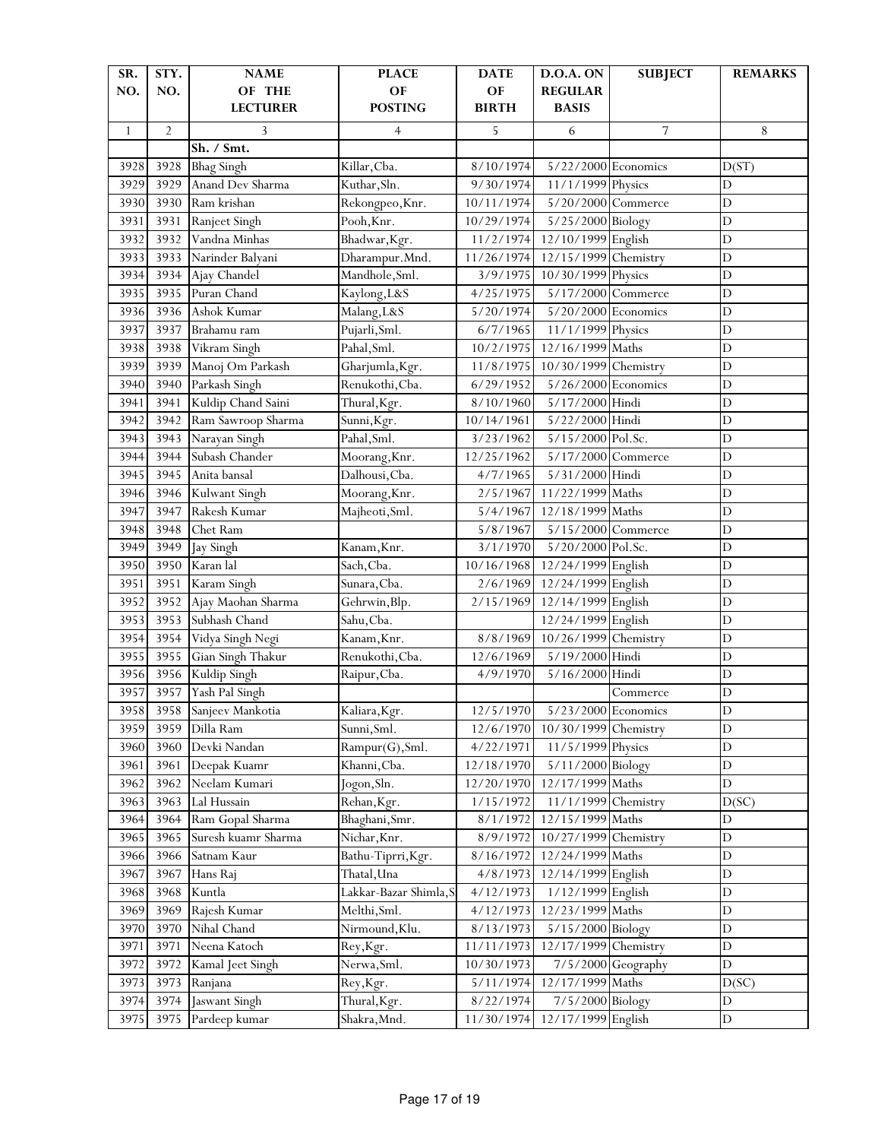| SR.<br>NO.   | STY.<br>NO.    | <b>NAME</b><br>OF THE | <b>PLACE</b><br>OF     | <b>DATE</b><br>OF | D.O.A. ON<br><b>REGULAR</b> | <b>SUBJECT</b> | <b>REMARKS</b> |
|--------------|----------------|-----------------------|------------------------|-------------------|-----------------------------|----------------|----------------|
|              |                | <b>LECTURER</b>       | <b>POSTING</b>         | <b>BIRTH</b>      | <b>BASIS</b>                |                |                |
| $\mathbf{1}$ | $\overline{2}$ | 3                     | $\overline{4}$         | 5                 | 6                           | 7              | 8              |
|              |                | Sh. / Smt.            |                        |                   |                             |                |                |
| 3928         | 3928           | <b>Bhag Singh</b>     | Killar, Cba.           | 8/10/1974         | $5/22/2000$ Economics       |                | D(ST)          |
| 3929         | 3929           | Anand Dev Sharma      | Kuthar, Sln.           | 9/30/1974         | 11/1/1999 Physics           |                | $\mathbf D$    |
| 3930         | 3930           | Ram krishan           | Rekongpeo, Knr.        | 10/11/1974        | 5/20/2000 Commerce          |                | $\mathbf D$    |
| 3931         | 3931           | Ranjeet Singh         | Pooh, Knr.             | 10/29/1974        | 5/25/2000 Biology           |                | $\overline{D}$ |
| 3932         | 3932           | Vandna Minhas         | Bhadwar, Kgr.          | 11/2/1974         | 12/10/1999 English          |                | D              |
| 3933         | 3933           | Narinder Balyani      | Dharampur. Mnd.        | 11/26/1974        | 12/15/1999 Chemistry        |                | $\mathbf D$    |
| 3934         | 3934           | Ajay Chandel          | Mandhole, Sml.         | 3/9/1975          | 10/30/1999 Physics          |                | $\overline{D}$ |
| 3935         | 3935           | Puran Chand           | Kaylong, L&S           | 4/25/1975         | 5/17/2000 Commerce          |                | $\overline{D}$ |
| 3936         | 3936           | Ashok Kumar           | Malang, L&S            | 5/20/1974         | 5/20/2000 Economics         |                | $\mathbf D$    |
| 3937         | 3937           | Brahamu ram           | Pujarli, Sml.          | 6/7/1965          | 11/1/1999 Physics           |                | $\mathbf D$    |
| 3938         | 3938           | Vikram Singh          | Pahal, Sml.            | 10/2/1975         | 12/16/1999 Maths            |                | $\mathbf D$    |
| 3939         | 3939           | Manoj Om Parkash      | Gharjumla, Kgr.        | 11/8/1975         | 10/30/1999                  | Chemistry      | $\overline{D}$ |
| 3940         | 3940           | Parkash Singh         | Renukothi, Cba.        | 6/29/1952         | $5/26/2000$ Economics       |                | $\overline{D}$ |
| 3941         | 3941           | Kuldip Chand Saini    | Thural, Kgr.           | 8/10/1960         | 5/17/2000 Hindi             |                | $\mathbf D$    |
| 3942         | 3942           | Ram Sawroop Sharma    | Sunni, Kgr.            | 10/14/1961        | 5/22/2000 Hindi             |                | $\mathbf D$    |
| 3943         | 3943           | Narayan Singh         | Pahal, Sml.            | 3/23/1962         | $5/15/2000$ Pol.Sc.         |                | $\mathbf D$    |
| 3944         | 3944           | Subash Chander        | Moorang, Knr.          | 12/25/1962        | 5/17/2000                   | Commerce       | $\overline{D}$ |
| 3945         | 3945           | Anita bansal          | Dalhousi, Cba.         | 4/7/1965          | 5/31/2000 Hindi             |                | $\overline{D}$ |
| 3946         | 3946           | Kulwant Singh         | Moorang, Knr.          | 2/5/1967          | 11/22/1999 Maths            |                | $\mathbf D$    |
| 3947         | 3947           | Rakesh Kumar          | Majheoti, Sml.         | 5/4/1967          | 12/18/1999                  | Maths          | $\mathbf D$    |
| 3948         | 3948           | Chet Ram              |                        | 5/8/1967          | 5/15/2000 Commerce          |                | $\mathbf D$    |
| 3949         | 3949           | Jay Singh             | Kanam, Knr.            | 3/1/1970          | 5/20/2000                   | Pol.Sc.        | $\mathbf D$    |
| 3950         | 3950           | Karan lal             | Sach, Cba.             | 10/16/1968        | 12/24/1999 English          |                | $\overline{D}$ |
| 3951         | 3951           | Karam Singh           | Sunara, Cba.           | 2/6/1969          | 12/24/1999 English          |                | $\overline{D}$ |
| 3952         | 3952           | Ajay Maohan Sharma    | Gehrwin, Blp.          | 2/15/1969         | 12/14/1999 English          |                | D              |
| 3953         | 3953           | Subhash Chand         | Sahu, Cba.             |                   | 12/24/1999 English          |                | $\mathbf D$    |
| 3954         | 3954           | Vidya Singh Negi      | Kanam, Knr.            | 8/8/1969          | 10/26/1999 Chemistry        |                | $\overline{D}$ |
| 3955         | 3955           | Gian Singh Thakur     | Renukothi, Cba.        | 12/6/1969         | 5/19/2000 Hindi             |                | $\overline{D}$ |
| 3956         | 3956           | Kuldip Singh          | Raipur, Cba.           | 4/9/1970          | 5/16/2000                   | Hindi          | $\overline{D}$ |
| 3957         | 3957           | Yash Pal Singh        |                        |                   |                             | Commerce       | $\mathbf D$    |
| 3958         | 3958           | Sanjeev Mankotia      | Kaliara, Kgr.          | 12/5/1970         | $5/23/2000$ Economics       |                | D              |
| 3959         | 3959           | Dilla Ram             | Sunni, Sml.            | 12/6/1970         | 10/30/1999                  | Chemistry      | $\mathbf D$    |
| 3960         | 3960           | Devki Nandan          | Rampur(G), Sml.        | 4/22/1971         | 11/5/1999 Physics           |                | $\mathbf D$    |
| 3961         | 3961           | Deepak Kuamr          | Khanni, Cba.           | 12/18/1970        | 5/11/2000 Biology           |                | $\mathbf D$    |
| 3962         | 3962           | Neelam Kumari         | Jogon, Sln.            | 12/20/1970        | 12/17/1999                  | Maths          | D              |
| 3963         | 3963           | Lal Hussain           | Rehan, Kgr.            | 1/15/1972         | 11/1/1999                   | Chemistry      | D(SC)          |
| 3964         | 3964           | Ram Gopal Sharma      | Bhaghani, Smr.         | 8/1/1972          | 12/15/1999                  | Maths          | D              |
| 3965         | 3965           | Suresh kuamr Sharma   | Nichar, Knr.           | 8/9/1972          | 10/27/1999                  | Chemistry      | $\mathbf D$    |
| 3966         | 3966           | Satnam Kaur           | Bathu-Tiprri, Kgr.     | 8/16/1972         | 12/24/1999                  | Maths          | $\mathbf D$    |
| 3967         | 3967           | Hans Raj              | Thatal, Una            | 4/8/1973          | 12/14/1999 English          |                | D              |
| 3968         | 3968           | Kuntla                | Lakkar-Bazar Shimla, S | 4/12/1973         | 1/12/1999 English           |                | D              |
| 3969         | 3969           | Rajesh Kumar          | Melthi, Sml.           | 4/12/1973         | 12/23/1999 Maths            |                | $\mathbf D$    |
| 3970         | 3970           | Nihal Chand           | Nirmound, Klu.         | 8/13/1973         | 5/15/2000                   | Biology        | $\mathbf D$    |
| 3971         | 3971           | Neena Katoch          | Rey, Kgr.              | 11/11/1973        | 12/17/1999                  | Chemistry      | $\mathbf D$    |
| 3972         | 3972           | Kamal Jeet Singh      | Nerwa, Sml.            | 10/30/1973        | 7/5/2000                    | Geography      | D              |
| 3973         | 3973           | Ranjana               | Rey, Kgr.              | 5/11/1974         | 12/17/1999 Maths            |                | D(SC)          |
| 3974         | 3974           | Jaswant Singh         | Thural, Kgr.           | 8/22/1974         | 7/5/2000                    | Biology        | $\mathbf D$    |
| 3975         | 3975           | Pardeep kumar         | Shakra, Mnd.           | 11/30/1974        | 12/17/1999 English          |                | $\mathbf D$    |
|              |                |                       |                        |                   |                             |                |                |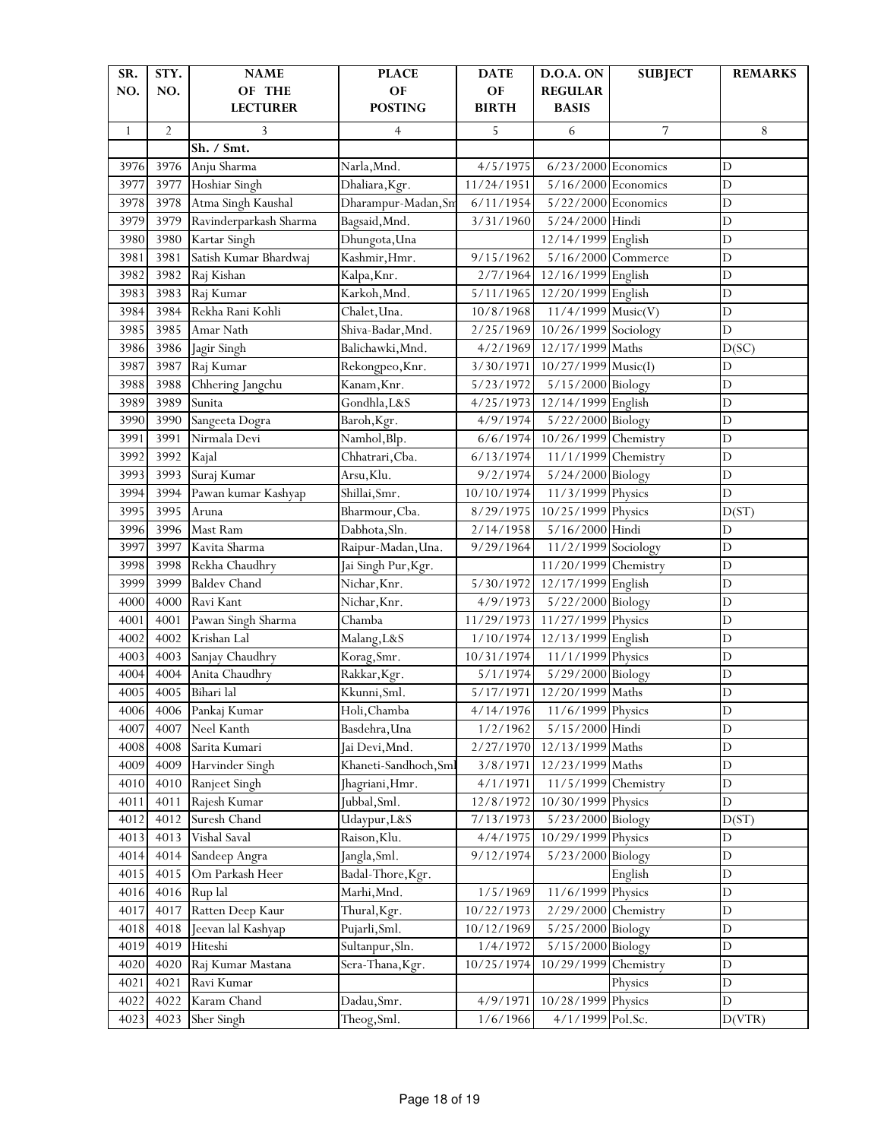| SR.          | STY.           | <b>NAME</b>            | <b>PLACE</b>          | <b>DATE</b>  | D.O.A. ON                       | <b>SUBJECT</b> | <b>REMARKS</b> |
|--------------|----------------|------------------------|-----------------------|--------------|---------------------------------|----------------|----------------|
| NO.          | NO.            | OF THE                 | OF                    | OF           | <b>REGULAR</b>                  |                |                |
|              |                | <b>LECTURER</b>        | <b>POSTING</b>        | <b>BIRTH</b> | <b>BASIS</b>                    |                |                |
| $\mathbf{1}$ | $\overline{2}$ | 3                      | 4                     | 5            | 6                               | 7              | 8              |
|              |                | Sh. / Smt.             |                       |              |                                 |                |                |
| 3976         | 3976           | Anju Sharma            | Narla,Mnd.            | 4/5/1975     | $6/23/2000$ Economics           |                | $\mathbf D$    |
| 3977         | 3977           | Hoshiar Singh          | Dhaliara, Kgr.        | 11/24/1951   | $5/16/2000$ Economics           |                | $\mathbf D$    |
| 3978         | 3978           | Atma Singh Kaushal     | Dharampur-Madan, Sn   | 6/11/1954    | 5/22/2000 Economics             |                | $\mathbf D$    |
| 3979         | 3979           | Ravinderparkash Sharma | Bagsaid, Mnd.         | 3/31/1960    | 5/24/2000 Hindi                 |                | $\mathbf D$    |
| 3980         | 3980           | Kartar Singh           | Dhungota, Una         |              | 12/14/1999 English              |                | D              |
| 3981         | 3981           | Satish Kumar Bhardwaj  | Kashmir, Hmr.         | 9/15/1962    | 5/16/2000 Commerce              |                | $\overline{D}$ |
| 3982         | 3982           | Raj Kishan             | Kalpa, Knr.           | 2/7/1964     | 12/16/1999 English              |                | $\mathbf D$    |
| 3983         | 3983           | Raj Kumar              | Karkoh, Mnd.          | 5/11/1965    | 12/20/1999 English              |                | $\mathbf D$    |
| 3984         | 3984           | Rekha Rani Kohli       | Chalet, Una.          | 10/8/1968    | $\frac{11}{4}$ /4/1999 Music(V) |                | $\mathbf D$    |
| 3985         | 3985           | Amar Nath              | Shiva-Badar, Mnd.     | 2/25/1969    | 10/26/1999 Sociology            |                | $\mathbf D$    |
| 3986         | 3986           | Jagir Singh            | Balichawki, Mnd.      | 4/2/1969     | 12/17/1999 Maths                |                | D(SC)          |
| 3987         | 3987           | Raj Kumar              | Rekongpeo, Knr.       | 3/30/1971    | $10/27/1999$ Music(I)           |                | $\mathbf D$    |
| 3988         | 3988           | Chhering Jangchu       | Kanam, Knr.           | 5/23/1972    | 5/15/2000 Biology               |                | $\mathbf D$    |
| 3989         | 3989           | Sunita                 | Gondhla, L&S          | 4/25/1973    | 12/14/1999 English              |                | $\mathbf D$    |
| 3990         | 3990           | Sangeeta Dogra         | Baroh, Kgr.           | 4/9/1974     | 5/22/2000 Biology               |                | $\overline{D}$ |
| 3991         | 3991           | Nirmala Devi           | Namhol, Blp.          | 6/6/1974     | 10/26/1999 Chemistry            |                | $\overline{D}$ |
| 3992         | 3992           | Kajal                  | Chhatrari, Cba.       | 6/13/1974    | 11/1/1999                       | Chemistry      | $\mathbf D$    |
| 3993         | 3993           | Suraj Kumar            | Arsu, Klu.            | 9/2/1974     | 5/24/2000 Biology               |                | $\mathbf D$    |
| 3994         | 3994           | Pawan kumar Kashyap    | Shillai, Smr.         | 10/10/1974   | 11/3/1999 Physics               |                | $\mathbf D$    |
| 3995         | 3995           | Aruna                  | Bharmour, Cba.        | 8/29/1975    | 10/25/1999 Physics              |                | D(ST)          |
| 3996         | 3996           | Mast Ram               | Dabhota, Sln.         | 2/14/1958    | 5/16/2000                       | Hindi          | $\mathbf D$    |
| 3997         | 3997           | Kavita Sharma          | Raipur-Madan, Una.    | 9/29/1964    | 11/2/1999 Sociology             |                | $\mathbf D$    |
| 3998         | 3998           | Rekha Chaudhry         | Jai Singh Pur, Kgr.   |              | 11/20/1999 Chemistry            |                | $\mathbf D$    |
| 3999         | 3999           | <b>Baldev Chand</b>    | Nichar, Knr.          | 5/30/1972    | 12/17/1999 English              |                | $\mathbf D$    |
| 4000         | 4000           | Ravi Kant              | Nichar, Knr.          | 4/9/1973     | 5/22/2000 Biology               |                | $\overline{D}$ |
| 4001         | 4001           | Pawan Singh Sharma     | Chamba                | 11/29/1973   | 11/27/1999 Physics              |                | $\mathbf D$    |
| 4002         | 4002           | Krishan Lal            | Malang, L&S           | 1/10/1974    | 12/13/1999 English              |                | $\mathbf D$    |
| 4003         | 4003           | Sanjay Chaudhry        | Korag, Smr.           | 10/31/1974   | 11/1/1999 Physics               |                | $\mathbf D$    |
| 4004         | 4004           | Anita Chaudhry         | Rakkar, Kgr.          | 5/1/1974     | 5/29/2000 Biology               |                | $\mathbf D$    |
| 4005         | 4005           | Bihari lal             | Kkunni, Sml.          | 5/17/1971    | 12/20/1999 Maths                |                | $\mathbf D$    |
| 4006         | 4006           | Pankaj Kumar           | Holi, Chamba          | 4/14/1976    | 11/6/1999 Physics               |                | D              |
| 4007         | 4007           | Neel Kanth             | Basdehra, Una         | 1/2/1962     | 5/15/2000 Hindi                 |                | $\mathbf D$    |
| 4008         | 4008           | Sarita Kumari          | Jai Devi, Mnd.        | 2/27/1970    | 12/13/1999 Maths                |                | $\mathbf D$    |
| 4009         | 4009           | Harvinder Singh        | Khaneti-Sandhoch, Sml | 3/8/1971     | 12/23/1999 Maths                |                | D              |
| 4010         | 4010           | Ranjeet Singh          | Jhagriani, Hmr.       | 4/1/1971     | 11/5/1999 Chemistry             |                | $\mathbf D$    |
| 4011         | 4011           | Rajesh Kumar           | Jubbal, Sml.          | 12/8/1972    | 10/30/1999 Physics              |                | D              |
| 4012         | 4012           | Suresh Chand           | Udaypur, L&S          | 7/13/1973    | 5/23/2000                       | Biology        | D(ST)          |
| 4013         | 4013           | Vishal Saval           | Raison, Klu.          | 4/4/1975     | 10/29/1999                      | Physics        | D              |
| 4014         | 4014           | Sandeep Angra          | Jangla, Sml.          | 9/12/1974    | 5/23/2000 Biology               |                | $\mathbf D$    |
| 4015         | 4015           | Om Parkash Heer        | Badal-Thore, Kgr.     |              |                                 | English        | $\mathbf D$    |
| 4016         | 4016           | Rup lal                | Marhi, Mnd.           | 1/5/1969     | 11/6/1999 Physics               |                | $\mathbf D$    |
| 4017         | 4017           | Ratten Deep Kaur       | Thural, Kgr.          | 10/22/1973   | 2/29/2000                       | Chemistry      | $\mathbf D$    |
| 4018         | 4018           | Jeevan lal Kashyap     | Pujarli, Sml.         | 10/12/1969   | 5/25/2000                       | Biology        | $\mathbf D$    |
| 4019         | 4019           | Hiteshi                | Sultanpur, Sln.       | 1/4/1972     | 5/15/2000                       | Biology        | $\mathbf D$    |
| 4020         | 4020           | Raj Kumar Mastana      | Sera-Thana, Kgr.      | 10/25/1974   | 10/29/1999                      | Chemistry      | $\mathbf D$    |
| 4021         | 4021           | Ravi Kumar             |                       |              |                                 | Physics        | $\mathbf D$    |
| 4022         | 4022           | Karam Chand            | Dadau, Smr.           | 4/9/1971     | 10/28/1999 Physics              |                | D              |
| 4023         | 4023           | Sher Singh             | Theog, Sml.           | 1/6/1966     | 4/1/1999 Pol.Sc.                |                | D(VTR)         |